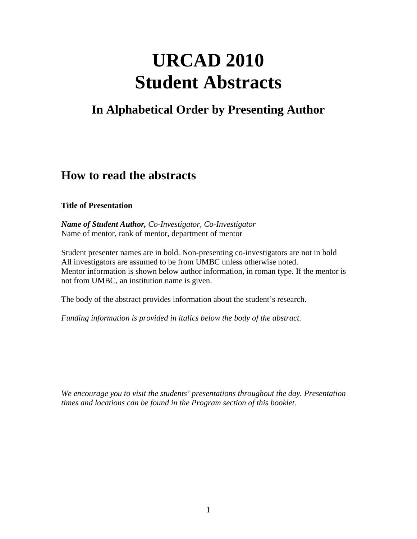# **URCAD 2010 Student Abstracts**

# **In Alphabetical Order by Presenting Author**

# **How to read the abstracts**

#### **Title of Presentation**

*Name of Student Author, Co-Investigator, Co-Investigator* Name of mentor, rank of mentor, department of mentor

Student presenter names are in bold. Non-presenting co-investigators are not in bold All investigators are assumed to be from UMBC unless otherwise noted. Mentor information is shown below author information, in roman type. If the mentor is not from UMBC, an institution name is given.

The body of the abstract provides information about the student's research.

*Funding information is provided in italics below the body of the abstract.*

*We encourage you to visit the students' presentations throughout the day. Presentation times and locations can be found in the Program section of this booklet.*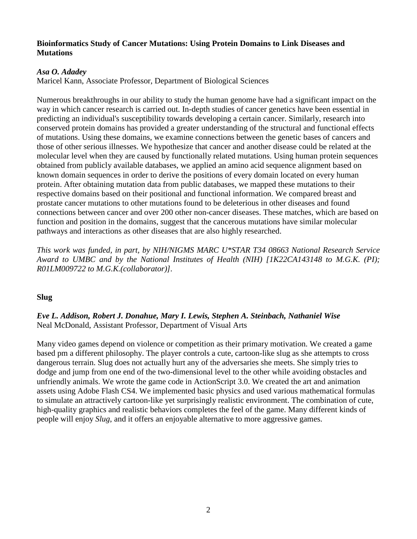#### **Bioinformatics Study of Cancer Mutations: Using Protein Domains to Link Diseases and Mutations**

#### *Asa O. Adadey*

Maricel Kann, Associate Professor, Department of Biological Sciences

Numerous breakthroughs in our ability to study the human genome have had a significant impact on the way in which cancer research is carried out. In-depth studies of cancer genetics have been essential in predicting an individual's susceptibility towards developing a certain cancer. Similarly, research into conserved protein domains has provided a greater understanding of the structural and functional effects of mutations. Using these domains, we examine connections between the genetic bases of cancers and those of other serious illnesses. We hypothesize that cancer and another disease could be related at the molecular level when they are caused by functionally related mutations. Using human protein sequences obtained from publicly available databases, we applied an amino acid sequence alignment based on known domain sequences in order to derive the positions of every domain located on every human protein. After obtaining mutation data from public databases, we mapped these mutations to their respective domains based on their positional and functional information. We compared breast and prostate cancer mutations to other mutations found to be deleterious in other diseases and found connections between cancer and over 200 other non-cancer diseases. These matches, which are based on function and position in the domains, suggest that the cancerous mutations have similar molecular pathways and interactions as other diseases that are also highly researched.

*This work was funded, in part, by NIH/NIGMS MARC U\*STAR T34 08663 National Research Service Award to UMBC and by the National Institutes of Health (NIH) [1K22CA143148 to M.G.K. (PI); R01LM009722 to M.G.K.(collaborator)].*

# **Slug**

*Eve L. Addison, Robert J. Donahue, Mary I. Lewis, Stephen A. Steinbach, Nathaniel Wise* Neal McDonald, Assistant Professor, Department of Visual Arts

Many video games depend on violence or competition as their primary motivation. We created a game based pm a different philosophy. The player controls a cute, cartoon-like slug as she attempts to cross dangerous terrain. Slug does not actually hurt any of the adversaries she meets. She simply tries to dodge and jump from one end of the two-dimensional level to the other while avoiding obstacles and unfriendly animals. We wrote the game code in ActionScript 3.0. We created the art and animation assets using Adobe Flash CS4. We implemented basic physics and used various mathematical formulas to simulate an attractively cartoon-like yet surprisingly realistic environment. The combination of cute, high-quality graphics and realistic behaviors completes the feel of the game. Many different kinds of people will enjoy *Slug*, and it offers an enjoyable alternative to more aggressive games.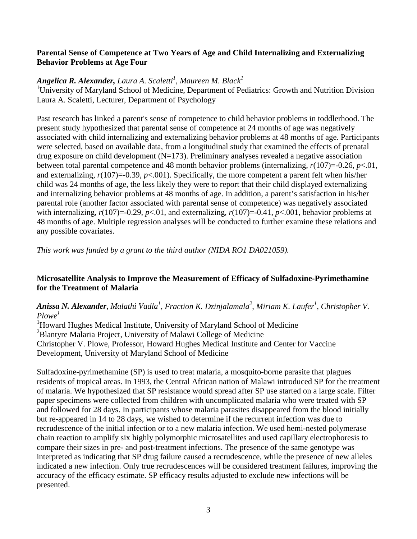#### **Parental Sense of Competence at Two Years of Age and Child Internalizing and Externalizing Behavior Problems at Age Four**

# *Angelica R. Alexander, Laura A. Scaletti 1 , Maureen M. Black1*

<sup>1</sup>University of Maryland School of Medicine, Department of Pediatrics: Growth and Nutrition Division Laura A. Scaletti, Lecturer, Department of Psychology

Past research has linked a parent's sense of competence to child behavior problems in toddlerhood. The present study hypothesized that parental sense of competence at 24 months of age was negatively associated with child internalizing and externalizing behavior problems at 48 months of age. Participants were selected, based on available data, from a longitudinal study that examined the effects of prenatal drug exposure on child development  $(N=173)$ . Preliminary analyses revealed a negative association between total parental competence and 48 month behavior problems (internalizing, *r*(107)=-0.26, *p*<.01, and externalizing,  $r(107)=0.39$ ,  $p<0.001$ ). Specifically, the more competent a parent felt when his/her child was 24 months of age, the less likely they were to report that their child displayed externalizing and internalizing behavior problems at 48 months of age. In addition, a parent's satisfaction in his/her parental role (another factor associated with parental sense of competence) was negatively associated with internalizing,  $r(107)=0.29$ ,  $p<0.01$ , and externalizing,  $r(107)=0.41$ ,  $p<0.01$ , behavior problems at 48 months of age. Multiple regression analyses will be conducted to further examine these relations and any possible covariates.

*This work was funded by a grant to the third author (NIDA RO1 DA021059).*

# **Microsatellite Analysis to Improve the Measurement of Efficacy of Sulfadoxine-Pyrimethamine for the Treatment of Malaria**

# Anissa N. Alexander, Malathi Vadla<sup>1</sup>, Fraction K. Dzinjalamala<sup>2</sup>, Miriam K. Laufer<sup>1</sup>, Christopher V. *Plowe1*

<sup>1</sup>Howard Hughes Medical Institute, University of Maryland School of Medicine <sup>2</sup>Blantyre Malaria Project, University of Malawi College of Medicine Christopher V. Plowe, Professor, Howard Hughes Medical Institute and Center for Vaccine Development, University of Maryland School of Medicine

Sulfadoxine-pyrimethamine (SP) is used to treat malaria, a mosquito-borne parasite that plagues residents of tropical areas. In 1993, the Central African nation of Malawi introduced SP for the treatment of malaria. We hypothesized that SP resistance would spread after SP use started on a large scale. Filter paper specimens were collected from children with uncomplicated malaria who were treated with SP and followed for 28 days. In participants whose malaria parasites disappeared from the blood initially but re-appeared in 14 to 28 days, we wished to determine if the recurrent infection was due to recrudescence of the initial infection or to a new malaria infection. We used hemi-nested polymerase chain reaction to amplify six highly polymorphic microsatellites and used capillary electrophoresis to compare their sizes in pre- and post-treatment infections. The presence of the same genotype was interpreted as indicating that SP drug failure caused a recrudescence, while the presence of new alleles indicated a new infection. Only true recrudescences will be considered treatment failures, improving the accuracy of the efficacy estimate. SP efficacy results adjusted to exclude new infections will be presented.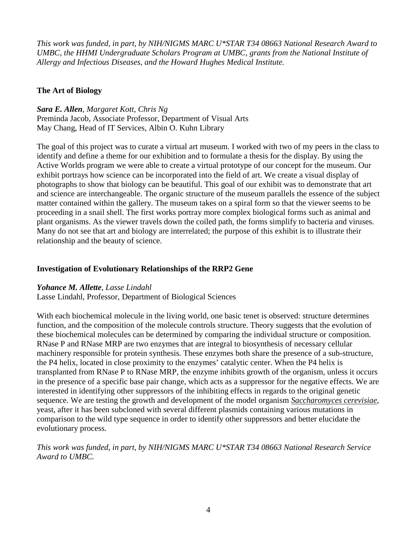*This work was funded, in part, by NIH/NIGMS MARC U\*STAR T34 08663 National Research Award to UMBC, the HHMI Undergraduate Scholars Program at UMBC, grants from the National Institute of Allergy and Infectious Diseases, and the Howard Hughes Medical Institute.*

# **The Art of Biology**

*Sara E. Allen, Margaret Kott, Chris Ng*

Preminda Jacob, Associate Professor, Department of Visual Arts May Chang, Head of IT Services, Albin O. Kuhn Library

The goal of this project was to curate a virtual art museum. I worked with two of my peers in the class to identify and define a theme for our exhibition and to formulate a thesis for the display. By using the Active Worlds program we were able to create a virtual prototype of our concept for the museum. Our exhibit portrays how science can be incorporated into the field of art. We create a visual display of photographs to show that biology can be beautiful. This goal of our exhibit was to demonstrate that art and science are interchangeable. The organic structure of the museum parallels the essence of the subject matter contained within the gallery. The museum takes on a spiral form so that the viewer seems to be proceeding in a snail shell. The first works portray more complex biological forms such as animal and plant organisms. As the viewer travels down the coiled path, the forms simplify to bacteria and viruses. Many do not see that art and biology are interrelated; the purpose of this exhibit is to illustrate their relationship and the beauty of science.

#### **Investigation of Evolutionary Relationships of the RRP2 Gene**

#### *Yohance M. Allette, Lasse Lindahl*

Lasse Lindahl, Professor, Department of Biological Sciences

With each biochemical molecule in the living world, one basic tenet is observed: structure determines function, and the composition of the molecule controls structure. Theory suggests that the evolution of these biochemical molecules can be determined by comparing the individual structure or composition. RNase P and RNase MRP are two enzymes that are integral to biosynthesis of necessary cellular machinery responsible for protein synthesis. These enzymes both share the presence of a sub-structure, the P4 helix, located in close proximity to the enzymes' catalytic center. When the P4 helix is transplanted from RNase P to RNase MRP, the enzyme inhibits growth of the organism, unless it occurs in the presence of a specific base pair change, which acts as a suppressor for the negative effects. We are interested in identifying other suppressors of the inhibiting effects in regards to the original genetic sequence. We are testing the growth and development of the model organism *[Saccharomyces cerevisiae](http://en.wikipedia.org/wiki/Saccharomyces_cerevisiae)*, yeast, after it has been subcloned with several different plasmids containing various mutations in comparison to the wild type sequence in order to identify other suppressors and better elucidate the evolutionary process.

# *This work was funded, in part, by NIH/NIGMS MARC U\*STAR T34 08663 National Research Service Award to UMBC.*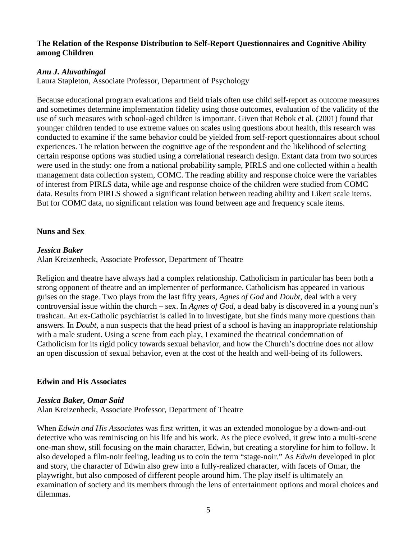#### **The Relation of the Response Distribution to Self-Report Questionnaires and Cognitive Ability among Children**

#### *Anu J. Aluvathingal*

Laura Stapleton, Associate Professor, Department of Psychology

Because educational program evaluations and field trials often use child self-report as outcome measures and sometimes determine implementation fidelity using those outcomes, evaluation of the validity of the use of such measures with school-aged children is important. Given that Rebok et al. (2001) found that younger children tended to use extreme values on scales using questions about health, this research was conducted to examine if the same behavior could be yielded from self-report questionnaires about school experiences. The relation between the cognitive age of the respondent and the likelihood of selecting certain response options was studied using a correlational research design. Extant data from two sources were used in the study: one from a national probability sample, PIRLS and one collected within a health management data collection system, COMC. The reading ability and response choice were the variables of interest from PIRLS data, while age and response choice of the children were studied from COMC data. Results from PIRLS showed a significant relation between reading ability and Likert scale items. But for COMC data, no significant relation was found between age and frequency scale items.

#### **Nuns and Sex**

#### *Jessica Baker*

Alan Kreizenbeck, Associate Professor, Department of Theatre

Religion and theatre have always had a complex relationship. Catholicism in particular has been both a strong opponent of theatre and an implementer of performance. Catholicism has appeared in various guises on the stage. Two plays from the last fifty years, *Agnes of God* and *Doubt*, deal with a very controversial issue within the church – sex. In *Agnes of God,* a dead baby is discovered in a young nun's trashcan. An ex-Catholic psychiatrist is called in to investigate, but she finds many more questions than answers. In *Doubt*, a nun suspects that the head priest of a school is having an inappropriate relationship with a male student. Using a scene from each play, I examined the theatrical condemnation of Catholicism for its rigid policy towards sexual behavior, and how the Church's doctrine does not allow an open discussion of sexual behavior, even at the cost of the health and well-being of its followers.

# **Edwin and His Associates**

#### *Jessica Baker, Omar Said*

Alan Kreizenbeck, Associate Professor, Department of Theatre

When *Edwin and His Associates* was first written, it was an extended monologue by a down-and-out detective who was reminiscing on his life and his work. As the piece evolved, it grew into a multi-scene one-man show, still focusing on the main character, Edwin, but creating a storyline for him to follow. It also developed a film-noir feeling, leading us to coin the term "stage-noir." As *Edwin* developed in plot and story, the character of Edwin also grew into a fully-realized character, with facets of Omar, the playwright, but also composed of different people around him. The play itself is ultimately an examination of society and its members through the lens of entertainment options and moral choices and dilemmas.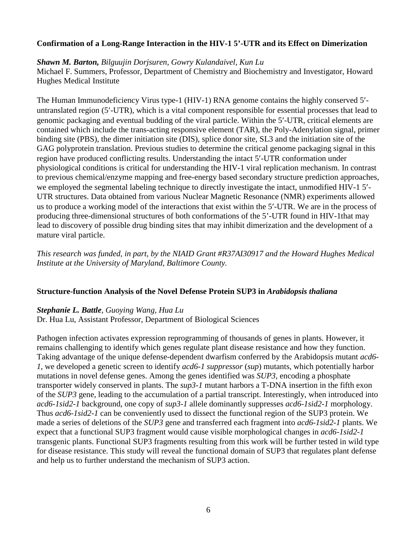#### **Confirmation of a Long-Range Interaction in the HIV-1 5'-UTR and its Effect on Dimerization**

*Shawn M. Barton, Bilguujin Dorjsuren, Gowry Kulandaivel, Kun Lu*

Michael F. Summers, Professor, Department of Chemistry and Biochemistry and Investigator, Howard Hughes Medical Institute

The Human Immunodeficiency Virus type-1 (HIV-1) RNA genome contains the highly conserved 5′ untranslated region (5′-UTR), which is a vital component responsible for essential processes that lead to genomic packaging and eventual budding of the viral particle. Within the 5′-UTR, critical elements are contained which include the trans-acting responsive element (TAR), the Poly-Adenylation signal, primer binding site (PBS), the dimer initiation site (DIS), splice donor site, SL3 and the initiation site of the GAG polyprotein translation. Previous studies to determine the critical genome packaging signal in this region have produced conflicting results. Understanding the intact 5′-UTR conformation under physiological conditions is critical for understanding the HIV-1 viral replication mechanism. In contrast to previous chemical/enzyme mapping and free-energy based secondary structure prediction approaches, we employed the segmental labeling technique to directly investigate the intact, unmodified HIV-1 5'-UTR structures. Data obtained from various Nuclear Magnetic Resonance (NMR) experiments allowed us to produce a working model of the interactions that exist within the 5′-UTR. We are in the process of producing three-dimensional structures of both conformations of the 5'-UTR found in HIV-1that may lead to discovery of possible drug binding sites that may inhibit dimerization and the development of a mature viral particle.

*This research was funded, in part, by the NIAID Grant #R37AI30917 and the Howard Hughes Medical Institute at the University of Maryland, Baltimore County.*

#### **Structure-function Analysis of the Novel Defense Protein SUP3 in** *Arabidopsis thaliana*

#### *Stephanie L. Battle, Guoying Wang, Hua Lu* Dr. Hua Lu, Assistant Professor, Department of Biological Sciences

Pathogen infection activates expression reprogramming of thousands of genes in plants. However, it remains challenging to identify which genes regulate plant disease resistance and how they function. Taking advantage of the unique defense-dependent dwarfism conferred by the Arabidopsis mutant *acd6- 1*, we developed a genetic screen to identify *acd6-1 suppressor* (*sup*) mutants, which potentially harbor mutations in novel defense genes. Among the genes identified was *SUP3,* encoding a phosphate transporter widely conserved in plants. The *sup3-1* mutant harbors a T-DNA insertion in the fifth exon of the *SUP3* gene, leading to the accumulation of a partial transcript. Interestingly, when introduced into *acd6-1sid2-1* background, one copy of *sup3-1* allele dominantly suppresses *acd6-1sid2-1* morphology. Thus *acd6-1sid2-1* can be conveniently used to dissect the functional region of the SUP3 protein. We made a series of deletions of the *SUP3* gene and transferred each fragment into *acd6-1sid2-1* plants. We expect that a functional SUP3 fragment would cause visible morphological changes in *acd6-1sid2-1* transgenic plants. Functional SUP3 fragments resulting from this work will be further tested in wild type for disease resistance. This study will reveal the functional domain of SUP3 that regulates plant defense and help us to further understand the mechanism of SUP3 action.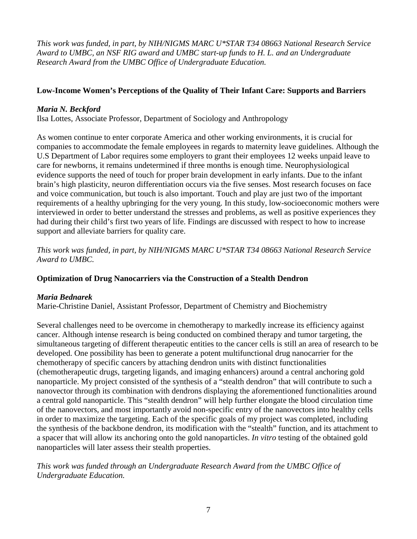*This work was funded, in part, by NIH/NIGMS MARC U\*STAR T34 08663 National Research Service Award to UMBC, an NSF RIG award and UMBC start-up funds to H. L. and an Undergraduate Research Award from the UMBC Office of Undergraduate Education.*

# **Low-Income Women's Perceptions of the Quality of Their Infant Care: Supports and Barriers**

# *Maria N. Beckford*

Ilsa Lottes, Associate Professor, Department of Sociology and Anthropology

As women continue to enter corporate America and other working environments, it is crucial for companies to accommodate the female employees in regards to maternity leave guidelines. Although the U.S Department of Labor requires some employers to grant their employees 12 weeks unpaid leave to care for newborns, it remains undetermined if three months is enough time. Neurophysiological evidence supports the need of touch for proper brain development in early infants. Due to the infant brain's high plasticity, neuron differentiation occurs via the five senses. Most research focuses on face and voice communication, but touch is also important. Touch and play are just two of the important requirements of a healthy upbringing for the very young. In this study, low-socioeconomic mothers were interviewed in order to better understand the stresses and problems, as well as positive experiences they had during their child's first two years of life. Findings are discussed with respect to how to increase support and alleviate barriers for quality care.

*This work was funded, in part, by NIH/NIGMS MARC U\*STAR T34 08663 National Research Service Award to UMBC.*

# **Optimization of Drug Nanocarriers via the Construction of a Stealth Dendron**

# *Maria Bednarek*

Marie-Christine Daniel, Assistant Professor, Department of Chemistry and Biochemistry

Several challenges need to be overcome in chemotherapy to markedly increase its efficiency against cancer. Although intense research is being conducted on combined therapy and tumor targeting, the simultaneous targeting of different therapeutic entities to the cancer cells is still an area of research to be developed. One possibility has been to generate a potent multifunctional drug nanocarrier for the chemotherapy of specific cancers by attaching dendron units with distinct functionalities (chemotherapeutic drugs, targeting ligands, and imaging enhancers) around a central anchoring gold nanoparticle. My project consisted of the synthesis of a "stealth dendron" that will contribute to such a nanovector through its combination with dendrons displaying the aforementioned functionalities around a central gold nanoparticle. This "stealth dendron" will help further elongate the blood circulation time of the nanovectors, and most importantly avoid non-specific entry of the nanovectors into healthy cells in order to maximize the targeting. Each of the specific goals of my project was completed, including the synthesis of the backbone dendron, its modification with the "stealth" function, and its attachment to a spacer that will allow its anchoring onto the gold nanoparticles. *In vitro* testing of the obtained gold nanoparticles will later assess their stealth properties.

*This work was funded through an Undergraduate Research Award from the UMBC Office of Undergraduate Education.*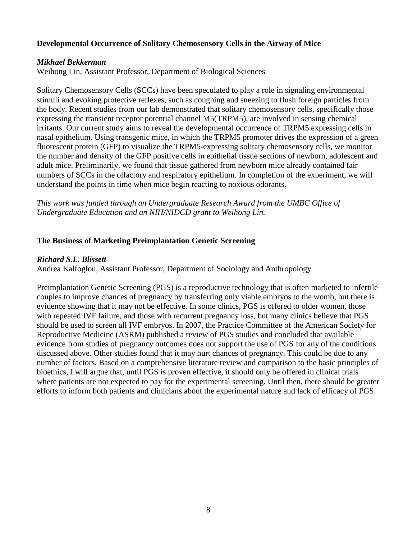#### **Developmental Occurrence of Solitary Chemosensory Cells in the Airway of Mice**

#### *Mikhael Bekkerman*

Weihong Lin, Assistant Professor, Department of Biological Sciences

Solitary Chemosensory Cells (SCCs) have been speculated to play a role in signaling environmental stimuli and evoking protective reflexes, such as coughing and sneezing to flush foreign particles from the body. Recent studies from our lab demonstrated that solitary chemosensory cells, specifically those expressing the transient receptor potential channel M5(TRPM5), are involved in sensing chemical irritants. Our current study aims to reveal the developmental occurrence of TRPM5 expressing cells in nasal epithelium. Using transgenic mice, in which the TRPM5 promoter drives the expression of a green fluorescent protein (GFP) to visualize the TRPM5-expressing solitary chemosensory cells, we monitor the number and density of the GFP positive cells in epithelial tissue sections of newborn, adolescent and adult mice. Preliminarily, we found that tissue gathered from newborn mice already contained fair numbers of SCCs in the olfactory and respiratory epithelium. In completion of the experiment, we will understand the points in time when mice begin reacting to noxious odorants.

*This work was funded through an Undergraduate Research Award from the UMBC Office of Undergraduate Education and an NIH/NIDCD grant to Weihong Lin.*

#### **The Business of Marketing Preimplantation Genetic Screening**

#### *Richard S.L. Blissett*

Andrea Kalfoglou, Assistant Professor, Department of Sociology and Anthropology

Preimplantation Genetic Screening (PGS) is a reproductive technology that is often marketed to infertile couples to improve chances of pregnancy by transferring only viable embryos to the womb, but there is evidence showing that it may not be effective. In some clinics, PGS is offered to older women, those with repeated IVF failure, and those with recurrent pregnancy loss, but many clinics believe that PGS should be used to screen all IVF embryos. In 2007, the Practice Committee of the American Society for Reproductive Medicine (ASRM) published a review of PGS studies and concluded that available evidence from studies of pregnancy outcomes does not support the use of PGS for any of the conditions discussed above. Other studies found that it may hurt chances of pregnancy. This could be due to any number of factors. Based on a comprehensive literature review and comparison to the basic principles of bioethics, I will argue that, until PGS is proven effective, it should only be offered in clinical trials where patients are not expected to pay for the experimental screening. Until then, there should be greater efforts to inform both patients and clinicians about the experimental nature and lack of efficacy of PGS.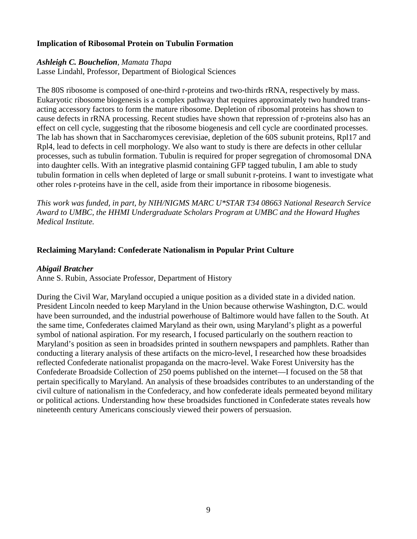#### **Implication of Ribosomal Protein on Tubulin Formation**

#### *Ashleigh C. Bouchelion, Mamata Thapa*

Lasse Lindahl, Professor, Department of Biological Sciences

The 80S ribosome is composed of one-third r-proteins and two-thirds rRNA, respectively by mass. Eukaryotic ribosome biogenesis is a complex pathway that requires approximately two hundred transacting accessory factors to form the mature ribosome. Depletion of ribosomal proteins has shown to cause defects in rRNA processing. Recent studies have shown that repression of r-proteins also has an effect on cell cycle, suggesting that the ribosome biogenesis and cell cycle are coordinated processes. The lab has shown that in Saccharomyces cerevisiae, depletion of the 60S subunit proteins, Rpl17 and Rpl4, lead to defects in cell morphology. We also want to study is there are defects in other cellular processes, such as tubulin formation. Tubulin is required for proper segregation of chromosomal DNA into daughter cells. With an integrative plasmid containing GFP tagged tubulin, I am able to study tubulin formation in cells when depleted of large or small subunit r-proteins. I want to investigate what other roles r-proteins have in the cell, aside from their importance in ribosome biogenesis.

*This work was funded, in part, by NIH/NIGMS MARC U\*STAR T34 08663 National Research Service Award to UMBC, the HHMI Undergraduate Scholars Program at UMBC and the Howard Hughes Medical Institute.*

#### **Reclaiming Maryland: Confederate Nationalism in Popular Print Culture**

#### *Abigail Bratcher*

Anne S. Rubin, Associate Professor, Department of History

During the Civil War, Maryland occupied a unique position as a divided state in a divided nation. President Lincoln needed to keep Maryland in the Union because otherwise Washington, D.C. would have been surrounded, and the industrial powerhouse of Baltimore would have fallen to the South. At the same time, Confederates claimed Maryland as their own, using Maryland's plight as a powerful symbol of national aspiration. For my research, I focused particularly on the southern reaction to Maryland's position as seen in broadsides printed in southern newspapers and pamphlets. Rather than conducting a literary analysis of these artifacts on the micro-level, I researched how these broadsides reflected Confederate nationalist propaganda on the macro-level. Wake Forest University has the Confederate Broadside Collection of 250 poems published on the internet—I focused on the 58 that pertain specifically to Maryland. An analysis of these broadsides contributes to an understanding of the civil culture of nationalism in the Confederacy, and how confederate ideals permeated beyond military or political actions. Understanding how these broadsides functioned in Confederate states reveals how nineteenth century Americans consciously viewed their powers of persuasion.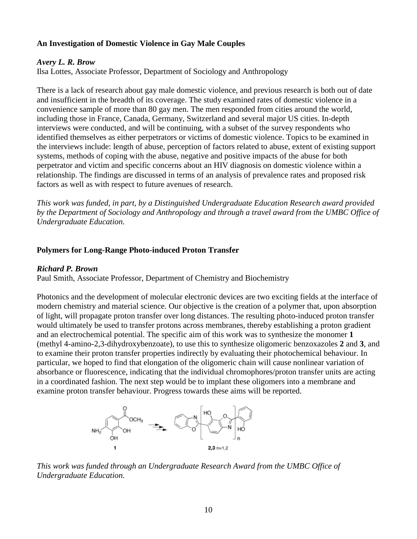# **An Investigation of Domestic Violence in Gay Male Couples**

#### *Avery L. R. Brow*

Ilsa Lottes, Associate Professor, Department of Sociology and Anthropology

There is a lack of research about gay male domestic violence, and previous research is both out of date and insufficient in the breadth of its coverage. The study examined rates of domestic violence in a convenience sample of more than 80 gay men. The men responded from cities around the world, including those in France, Canada, Germany, Switzerland and several major US cities. In-depth interviews were conducted, and will be continuing, with a subset of the survey respondents who identified themselves as either perpetrators or victims of domestic violence. Topics to be examined in the interviews include: length of abuse, perception of factors related to abuse, extent of existing support systems, methods of coping with the abuse, negative and positive impacts of the abuse for both perpetrator and victim and specific concerns about an HIV diagnosis on domestic violence within a relationship. The findings are discussed in terms of an analysis of prevalence rates and proposed risk factors as well as with respect to future avenues of research.

*This work was funded, in part, by a Distinguished Undergraduate Education Research award provided by the Department of Sociology and Anthropology and through a travel award from the UMBC Office of Undergraduate Education.*

#### **Polymers for Long-Range Photo-induced Proton Transfer**

#### *Richard P. Brown*

Paul Smith, Associate Professor, Department of Chemistry and Biochemistry

Photonics and the development of molecular electronic devices are two exciting fields at the interface of modern chemistry and material science. Our objective is the creation of a polymer that, upon absorption of light, will propagate proton transfer over long distances. The resulting photo-induced proton transfer would ultimately be used to transfer protons across membranes, thereby establishing a proton gradient and an electrochemical potential. The specific aim of this work was to synthesize the monomer **1**  (methyl 4-amino-2,3-dihydroxybenzoate), to use this to synthesize oligomeric benzoxazoles **2** and **3**, and to examine their proton transfer properties indirectly by evaluating their photochemical behaviour. In particular, we hoped to find that elongation of the oligomeric chain will cause nonlinear variation of absorbance or fluorescence, indicating that the individual chromophores/proton transfer units are acting in a coordinated fashion. The next step would be to implant these oligomers into a membrane and examine proton transfer behaviour. Progress towards these aims will be reported.



*This work was funded through an Undergraduate Research Award from the UMBC Office of Undergraduate Education.*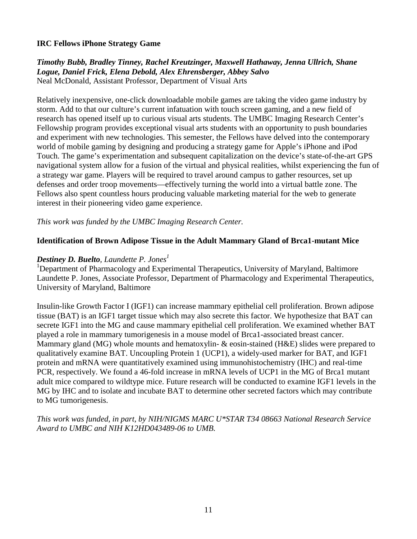#### **IRC Fellows iPhone Strategy Game**

*Timothy Bubb, Bradley Tinney, Rachel Kreutzinger, Maxwell Hathaway, Jenna Ullrich, Shane Logue, Daniel Frick, Elena Debold, Alex Ehrensberger, Abbey Salvo* Neal McDonald, Assistant Professor, Department of Visual Arts

Relatively inexpensive, one-click downloadable mobile games are taking the video game industry by storm. Add to that our culture's current infatuation with touch screen gaming, and a new field of research has opened itself up to curious visual arts students. The UMBC Imaging Research Center's Fellowship program provides exceptional visual arts students with an opportunity to push boundaries and experiment with new technologies. This semester, the Fellows have delved into the contemporary world of mobile gaming by designing and producing a strategy game for Apple's iPhone and iPod Touch. The game's experimentation and subsequent capitalization on the device's state-of-the-art GPS navigational system allow for a fusion of the virtual and physical realities, whilst experiencing the fun of a strategy war game. Players will be required to travel around campus to gather resources, set up defenses and order troop movements—effectively turning the world into a virtual battle zone. The Fellows also spent countless hours producing valuable marketing material for the web to generate interest in their pioneering video game experience.

*This work was funded by the UMBC Imaging Research Center.*

#### **Identification of Brown Adipose Tissue in the Adult Mammary Gland of Brca1-mutant Mice**

#### *Destiney D. Buelto, Laundette P. Jones<sup>1</sup>*

<sup>1</sup>Department of Pharmacology and Experimental Therapeutics, University of Maryland, Baltimore Laundette P. Jones, Associate Professor, Department of Pharmacology and Experimental Therapeutics, University of Maryland, Baltimore

Insulin-like Growth Factor I (IGF1) can increase mammary epithelial cell proliferation. Brown adipose tissue (BAT) is an IGF1 target tissue which may also secrete this factor. We hypothesize that BAT can secrete IGF1 into the MG and cause mammary epithelial cell proliferation. We examined whether BAT played a role in mammary tumorigenesis in a mouse model of Brca1-associated breast cancer. Mammary gland (MG) whole mounts and hematoxylin- & eosin-stained (H&E) slides were prepared to qualitatively examine BAT. Uncoupling Protein 1 (UCP1), a widely-used marker for BAT, and IGF1 protein and mRNA were quantitatively examined using immunohistochemistry (IHC) and real-time PCR, respectively. We found a 46-fold increase in mRNA levels of UCP1 in the MG of Brca1 mutant adult mice compared to wildtype mice. Future research will be conducted to examine IGF1 levels in the MG by IHC and to isolate and incubate BAT to determine other secreted factors which may contribute to MG tumorigenesis.

*This work was funded, in part, by NIH/NIGMS MARC U\*STAR T34 08663 National Research Service Award to UMBC and NIH K12HD043489-06 to UMB.*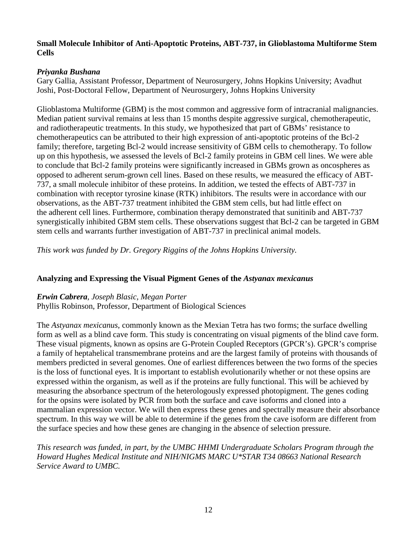#### **Small Molecule Inhibitor of Anti-Apoptotic Proteins, ABT-737, in Glioblastoma Multiforme Stem Cells**

#### *Priyanka Bushana*

Gary Gallia, Assistant Professor, Department of Neurosurgery, Johns Hopkins University; Avadhut Joshi, Post-Doctoral Fellow, Department of Neurosurgery, Johns Hopkins University

Glioblastoma Multiforme (GBM) is the most common and aggressive form of intracranial malignancies. Median patient survival remains at less than 15 months despite aggressive surgical, chemotherapeutic, and radiotherapeutic treatments. In this study, we hypothesized that part of GBMs' resistance to chemotherapeutics can be attributed to their high expression of anti-apoptotic proteins of the Bcl-2 family; therefore, targeting Bcl-2 would increase sensitivity of GBM cells to chemotherapy. To follow up on this hypothesis, we assessed the levels of Bcl-2 family proteins in GBM cell lines. We were able to conclude that Bcl-2 family proteins were significantly increased in GBMs grown as oncospheres as opposed to adherent serum-grown cell lines. Based on these results, we measured the efficacy of ABT-737, a small molecule inhibitor of these proteins. In addition, we tested the effects of ABT-737 in combination with receptor tyrosine kinase (RTK) inhibitors. The results were in accordance with our observations, as the ABT-737 treatment inhibited the GBM stem cells, but had little effect on the adherent cell lines. Furthermore, combination therapy demonstrated that sunitinib and ABT-737 synergistically inhibited GBM stem cells. These observations suggest that Bcl-2 can be targeted in GBM stem cells and warrants further investigation of ABT-737 in preclinical animal models.

*This work was funded by Dr. Gregory Riggins of the Johns Hopkins University.*

# **Analyzing and Expressing the Visual Pigment Genes of the** *Astyanax mexicanus*

#### *Erwin Cabrera, Joseph Blasic, Megan Porter*

Phyllis Robinson, Professor, Department of Biological Sciences

The *Astyanax mexicanus*, commonly known as the Mexian Tetra has two forms; the surface dwelling form as well as a blind cave form. This study is concentrating on visual pigments of the blind cave form. These visual pigments, known as opsins are G-Protein Coupled Receptors (GPCR's). GPCR's comprise a family of heptahelical transmembrane proteins and are the largest family of proteins with thousands of members predicted in several genomes. One of earliest differences between the two forms of the species is the loss of functional eyes. It is important to establish evolutionarily whether or not these opsins are expressed within the organism, as well as if the proteins are fully functional. This will be achieved by measuring the absorbance spectrum of the heterologously expressed photopigment. The genes coding for the opsins were isolated by PCR from both the surface and cave isoforms and cloned into a mammalian expression vector. We will then express these genes and spectrally measure their absorbance spectrum. In this way we will be able to determine if the genes from the cave isoform are different from the surface species and how these genes are changing in the absence of selection pressure.

*This research was funded, in part, by the UMBC HHMI Undergraduate Scholars Program through the Howard Hughes Medical Institute and NIH/NIGMS MARC U\*STAR T34 08663 National Research Service Award to UMBC.*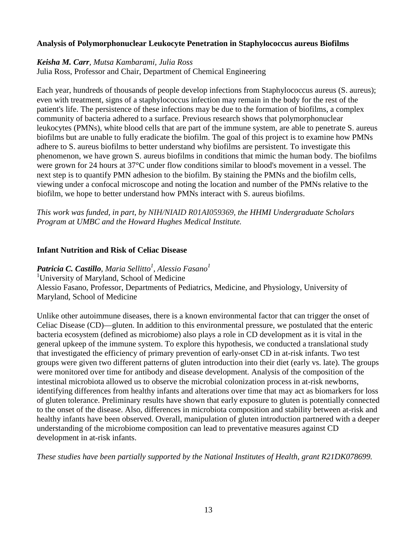# **Analysis of Polymorphonuclear Leukocyte Penetration in Staphylococcus aureus Biofilms**

#### *Keisha M. Carr, Mutsa Kambarami, Julia Ross*

Julia Ross, Professor and Chair, Department of Chemical Engineering

Each year, hundreds of thousands of people develop infections from Staphylococcus aureus (S. aureus); even with treatment, signs of a staphylococcus infection may remain in the body for the rest of the patient's life. The persistence of these infections may be due to the formation of biofilms, a complex community of bacteria adhered to a surface. Previous research shows that polymorphonuclear leukocytes (PMNs), white blood cells that are part of the immune system, are able to penetrate S. aureus biofilms but are unable to fully eradicate the biofilm. The goal of this project is to examine how PMNs adhere to S. aureus biofilms to better understand why biofilms are persistent. To investigate this phenomenon, we have grown S. aureus biofilms in conditions that mimic the human body. The biofilms were grown for 24 hours at 37°C under flow conditions similar to blood's movement in a vessel. The next step is to quantify PMN adhesion to the biofilm. By staining the PMNs and the biofilm cells, viewing under a confocal microscope and noting the location and number of the PMNs relative to the biofilm, we hope to better understand how PMNs interact with S. aureus biofilms.

*This work was funded, in part, by NIH/NIAID R01AI059369, the HHMI Undergraduate Scholars Program at UMBC and the Howard Hughes Medical Institute.*

#### **Infant Nutrition and Risk of Celiac Disease**

 $\bm{P}$ atricia C. Castillo, Maria Sellitto<sup>1</sup>, Alessio Fasano $^1$ <sup>1</sup>University of Maryland, School of Medicine Alessio Fasano, Professor, Departments of Pediatrics, Medicine, and Physiology, University of Maryland, School of Medicine

Unlike other autoimmune diseases, there is a known environmental factor that can trigger the onset of Celiac Disease (CD)—gluten. In addition to this environmental pressure, we postulated that the enteric bacteria ecosystem (defined as microbiome) also plays a role in CD development as it is vital in the general upkeep of the immune system. To explore this hypothesis, we conducted a translational study that investigated the efficiency of primary prevention of early-onset CD in at-risk infants. Two test groups were given two different patterns of gluten introduction into their diet (early vs. late). The groups were monitored over time for antibody and disease development. Analysis of the composition of the intestinal microbiota allowed us to observe the microbial colonization process in at-risk newborns, identifying differences from healthy infants and alterations over time that may act as biomarkers for loss of gluten tolerance. Preliminary results have shown that early exposure to gluten is potentially connected to the onset of the disease. Also, differences in microbiota composition and stability between at-risk and healthy infants have been observed. Overall, manipulation of gluten introduction partnered with a deeper understanding of the microbiome composition can lead to preventative measures against CD development in at-risk infants.

*These studies have been partially supported by the National Institutes of Health, grant R21DK078699.*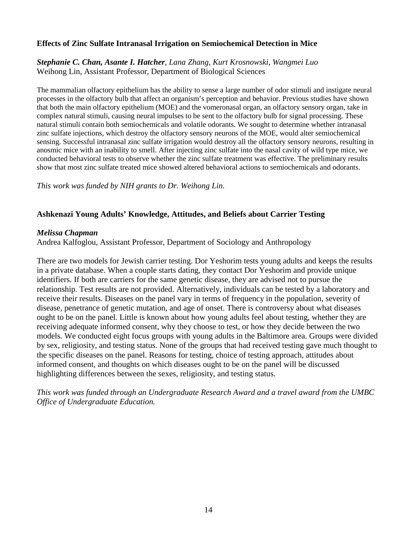#### **Effects of Zinc Sulfate Intranasal Irrigation on Semiochemical Detection in Mice**

*Stephanie C. Chan, Asante I. Hatcher, Lana Zhang, Kurt Krosnowski, Wangmei Luo* Weihong Lin, Assistant Professor, Department of Biological Sciences

The mammalian olfactory epithelium has the ability to sense a large number of odor stimuli and instigate neural processes in the olfactory bulb that affect an organism's perception and behavior. Previous studies have shown that both the main olfactory epithelium (MOE) and the vomeronasal organ, an olfactory sensory organ, take in complex natural stimuli, causing neural impulses to be sent to the olfactory bulb for signal processing. These natural stimuli contain both semiochemicals and volatile odorants. We sought to determine whether intranasal zinc sulfate injections, which destroy the olfactory sensory neurons of the MOE, would alter semiochemical sensing. Successful intranasal zinc sulfate irrigation would destroy all the olfactory sensory neurons, resulting in anosmic mice with an inability to smell. After injecting zinc sulfate into the nasal cavity of wild type mice, we conducted behavioral tests to observe whether the zinc sulfate treatment was effective. The preliminary results show that most zinc sulfate treated mice showed altered behavioral actions to semiochemicals and odorants.

*This work was funded by NIH grants to Dr. Weihong Lin.* 

# **Ashkenazi Young Adults' Knowledge, Attitudes, and Beliefs about Carrier Testing**

#### *Melissa Chapman*

Andrea Kalfoglou, Assistant Professor, Department of Sociology and Anthropology

There are two models for Jewish carrier testing. Dor Yeshorim tests young adults and keeps the results in a private database. When a couple starts dating, they contact Dor Yeshorim and provide unique identifiers. If both are carriers for the same genetic disease, they are advised not to pursue the relationship. Test results are not provided. Alternatively, individuals can be tested by a laboratory and receive their results. Diseases on the panel vary in terms of frequency in the population, severity of disease, penetrance of genetic mutation, and age of onset. There is controversy about what diseases ought to be on the panel. Little is known about how young adults feel about testing, whether they are receiving adequate informed consent, why they choose to test, or how they decide between the two models. We conducted eight focus groups with young adults in the Baltimore area. Groups were divided by sex, religiosity, and testing status. None of the groups that had received testing gave much thought to the specific diseases on the panel. Reasons for testing, choice of testing approach, attitudes about informed consent, and thoughts on which diseases ought to be on the panel will be discussed highlighting differences between the sexes, religiosity, and testing status.

*This work was funded through an Undergraduate Research Award and a travel award from the UMBC Office of Undergraduate Education.*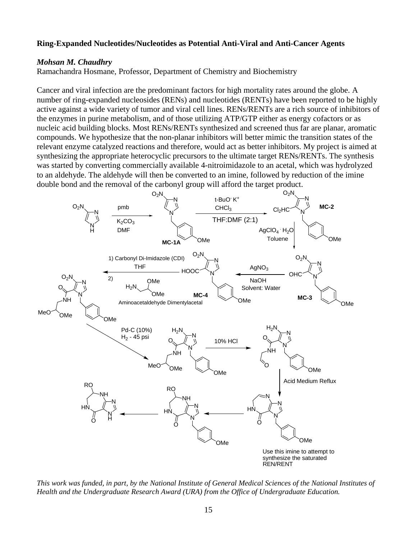#### **Ring-Expanded Nucleotides/Nucleotides as Potential Anti-Viral and Anti-Cancer Agents**

#### *Mohsan M. Chaudhry*

Ramachandra Hosmane, Professor, Department of Chemistry and Biochemistry

Cancer and viral infection are the predominant factors for high mortality rates around the globe. A number of ring-expanded nucleosides (RENs) and nucleotides (RENTs) have been reported to be highly active against a wide variety of tumor and viral cell lines. RENs/RENTs are a rich source of inhibitors of the enzymes in purine metabolism, and of those utilizing ATP/GTP either as energy cofactors or as nucleic acid building blocks. Most RENs/RENTs synthesized and screened thus far are planar, aromatic compounds. We hypothesize that the non-planar inhibitors will better mimic the transition states of the relevant enzyme catalyzed reactions and therefore, would act as better inhibitors. My project is aimed at synthesizing the appropriate heterocyclic precursors to the ultimate target RENs/RENTs. The synthesis was started by converting commercially available 4-nitroimidazole to an acetal, which was hydrolyzed to an aldehyde. The aldehyde will then be converted to an imine, followed by reduction of the imine double bond and the removal of the carbonyl group will afford the target product.



*This work was funded, in part, by the National Institute of General Medical Sciences of the National Institutes of Health and the Undergraduate Research Award (URA) from the Office of Undergraduate Education.*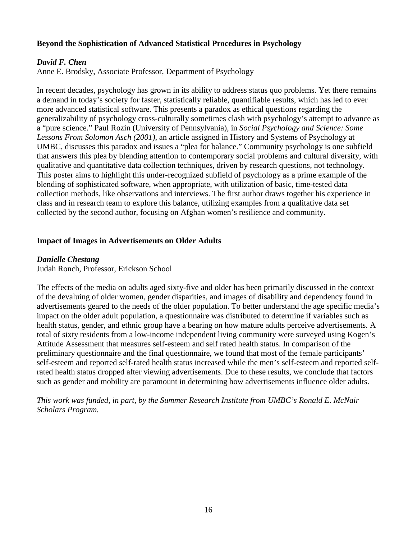#### **Beyond the Sophistication of Advanced Statistical Procedures in Psychology**

#### *David F. Chen*

Anne E. Brodsky, Associate Professor, Department of Psychology

In recent decades, psychology has grown in its ability to address status quo problems. Yet there remains a demand in today's society for faster, statistically reliable, quantifiable results, which has led to ever more advanced statistical software. This presents a paradox as ethical questions regarding the generalizability of psychology cross-culturally sometimes clash with psychology's attempt to advance as a "pure science." Paul Rozin (University of Pennsylvania), in *Social Psychology and Science: Some Lessons From Solomon Asch (2001)*, an article assigned in History and Systems of Psychology at UMBC, discusses this paradox and issues a "plea for balance." Community psychology is one subfield that answers this plea by blending attention to contemporary social problems and cultural diversity, with qualitative and quantitative data collection techniques, driven by research questions, not technology. This poster aims to highlight this under-recognized subfield of psychology as a prime example of the blending of sophisticated software, when appropriate, with utilization of basic, time-tested data collection methods, like observations and interviews. The first author draws together his experience in class and in research team to explore this balance, utilizing examples from a qualitative data set collected by the second author, focusing on Afghan women's resilience and community.

#### **Impact of Images in Advertisements on Older Adults**

#### *Danielle Chestang*

Judah Ronch, Professor, Erickson School

The effects of the media on adults aged sixty-five and older has been primarily discussed in the context of the devaluing of older women, gender disparities, and images of disability and dependency found in advertisements geared to the needs of the older population. To better understand the age specific media's impact on the older adult population, a questionnaire was distributed to determine if variables such as health status, gender, and ethnic group have a bearing on how mature adults perceive advertisements. A total of sixty residents from a low-income independent living community were surveyed using Kogen's Attitude Assessment that measures self-esteem and self rated health status. In comparison of the preliminary questionnaire and the final questionnaire, we found that most of the female participants' self-esteem and reported self-rated health status increased while the men's self-esteem and reported selfrated health status dropped after viewing advertisements. Due to these results, we conclude that factors such as gender and mobility are paramount in determining how advertisements influence older adults.

*This work was funded, in part, by the Summer Research Institute from UMBC's Ronald E. McNair Scholars Program.*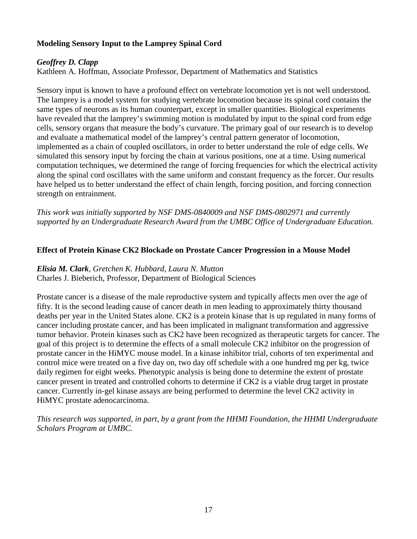# **Modeling Sensory Input to the Lamprey Spinal Cord**

# *Geoffrey D. Clapp*

Kathleen A. Hoffman, Associate Professor, Department of Mathematics and Statistics

Sensory input is known to have a profound effect on vertebrate locomotion yet is not well understood. The lamprey is a model system for studying vertebrate locomotion because its spinal cord contains the same types of neurons as its human counterpart, except in smaller quantities. Biological experiments have revealed that the lamprey's swimming motion is modulated by input to the spinal cord from edge cells, sensory organs that measure the body's curvature. The primary goal of our research is to develop and evaluate a mathematical model of the lamprey's central pattern generator of locomotion, implemented as a chain of coupled oscillators, in order to better understand the role of edge cells. We simulated this sensory input by forcing the chain at various positions, one at a time. Using numerical computation techniques, we determined the range of forcing frequencies for which the electrical activity along the spinal cord oscillates with the same uniform and constant frequency as the forcer. Our results have helped us to better understand the effect of chain length, forcing position, and forcing connection strength on entrainment.

*This work was initially supported by NSF DMS-0840009 and NSF DMS-0802971 and currently supported by an Undergraduate Research Award from the UMBC Office of Undergraduate Education.*

#### **Effect of Protein Kinase CK2 Blockade on Prostate Cancer Progression in a Mouse Model**

# *Elisia M. Clark, Gretchen K. Hubbard, Laura N. Mutton*

Charles J. Bieberich, Professor, Department of Biological Sciences

Prostate cancer is a disease of the male reproductive system and typically affects men over the age of fifty. It is the second leading cause of cancer death in men leading to approximately thirty thousand deaths per year in the United States alone. CK2 is a protein kinase that is up regulated in many forms of cancer including prostate cancer, and has been implicated in malignant transformation and aggressive tumor behavior. Protein kinases such as CK2 have been recognized as therapeutic targets for cancer. The goal of this project is to determine the effects of a small molecule CK2 inhibitor on the progression of prostate cancer in the HiMYC mouse model. In a kinase inhibitor trial, cohorts of ten experimental and control mice were treated on a five day on, two day off schedule with a one hundred mg per kg, twice daily regimen for eight weeks. Phenotypic analysis is being done to determine the extent of prostate cancer present in treated and controlled cohorts to determine if CK2 is a viable drug target in prostate cancer. Currently in-gel kinase assays are being performed to determine the level CK2 activity in HiMYC prostate adenocarcinoma.

*This research was supported, in part, by a grant from the HHMI Foundation, the HHMI Undergraduate Scholars Program at UMBC.*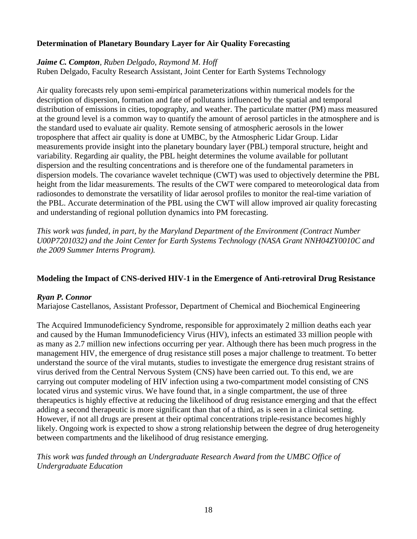# **Determination of Planetary Boundary Layer for Air Quality Forecasting**

# *Jaime C. Compton, Ruben Delgado, Raymond M. Hoff*

Ruben Delgado, Faculty Research Assistant, Joint Center for Earth Systems Technology

Air quality forecasts rely upon semi-empirical parameterizations within numerical models for the description of dispersion, formation and fate of pollutants influenced by the spatial and temporal distribution of emissions in cities, topography, and weather. The particulate matter (PM) mass measured at the ground level is a common way to quantify the amount of aerosol particles in the atmosphere and is the standard used to evaluate air quality. Remote sensing of atmospheric aerosols in the lower troposphere that affect air quality is done at UMBC, by the Atmospheric Lidar Group. Lidar measurements provide insight into the planetary boundary layer (PBL) temporal structure, height and variability. Regarding air quality, the PBL height determines the volume available for pollutant dispersion and the resulting concentrations and is therefore one of the fundamental parameters in dispersion models. The covariance wavelet technique (CWT) was used to objectively determine the PBL height from the lidar measurements. The results of the CWT were compared to meteorological data from radiosondes to demonstrate the versatility of lidar aerosol profiles to monitor the real-time variation of the PBL. Accurate determination of the PBL using the CWT will allow improved air quality forecasting and understanding of regional pollution dynamics into PM forecasting.

*This work was funded, in part, by the Maryland Department of the Environment (Contract Number U00P7201032) and the Joint Center for Earth Systems Technology (NASA Grant NNH04ZY0010C and the 2009 Summer Interns Program).*

# **Modeling the Impact of CNS-derived HIV-1 in the Emergence of Anti-retroviral Drug Resistance**

# *Ryan P. Connor*

Mariajose Castellanos, Assistant Professor, Department of Chemical and Biochemical Engineering

The Acquired Immunodeficiency Syndrome, responsible for approximately 2 million deaths each year and caused by the Human Immunodeficiency Virus (HIV), infects an estimated 33 million people with as many as 2.7 million new infections occurring per year. Although there has been much progress in the management HIV, the emergence of drug resistance still poses a major challenge to treatment. To better understand the source of the viral mutants, studies to investigate the emergence drug resistant strains of virus derived from the Central Nervous System (CNS) have been carried out. To this end, we are carrying out computer modeling of HIV infection using a two-compartment model consisting of CNS located virus and systemic virus. We have found that, in a single compartment, the use of three therapeutics is highly effective at reducing the likelihood of drug resistance emerging and that the effect adding a second therapeutic is more significant than that of a third, as is seen in a clinical setting. However, if not all drugs are present at their optimal concentrations triple-resistance becomes highly likely. Ongoing work is expected to show a strong relationship between the degree of drug heterogeneity between compartments and the likelihood of drug resistance emerging.

*This work was funded through an Undergraduate Research Award from the UMBC Office of Undergraduate Education*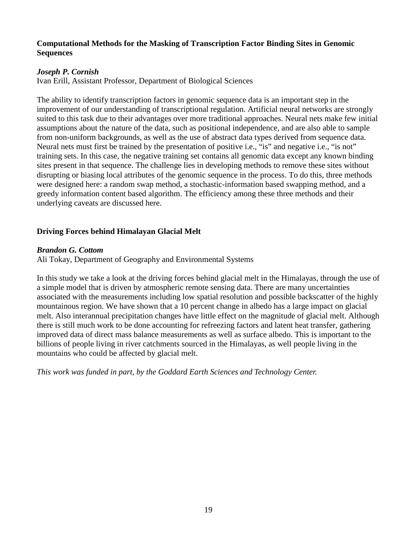#### **Computational Methods for the Masking of Transcription Factor Binding Sites in Genomic Sequences**

# *Joseph P. Cornish*

Ivan Erill, Assistant Professor, Department of Biological Sciences

The ability to identify transcription factors in genomic sequence data is an important step in the improvement of our understanding of transcriptional regulation. Artificial neural networks are strongly suited to this task due to their advantages over more traditional approaches. Neural nets make few initial assumptions about the nature of the data, such as positional independence, and are also able to sample from non-uniform backgrounds, as well as the use of abstract data types derived from sequence data. Neural nets must first be trained by the presentation of positive i.e., "is" and negative i.e., "is not" training sets. In this case, the negative training set contains all genomic data except any known binding sites present in that sequence. The challenge lies in developing methods to remove these sites without disrupting or biasing local attributes of the genomic sequence in the process. To do this, three methods were designed here: a random swap method, a stochastic-information based swapping method, and a greedy information content based algorithm. The efficiency among these three methods and their underlying caveats are discussed here.

# **Driving Forces behind Himalayan Glacial Melt**

#### *Brandon G. Cottom*

Ali Tokay, Department of Geography and Environmental Systems

In this study we take a look at the driving forces behind glacial melt in the Himalayas, through the use of a simple model that is driven by atmospheric remote sensing data. There are many uncertainties associated with the measurements including low spatial resolution and possible backscatter of the highly mountainous region. We have shown that a 10 percent change in albedo has a large impact on glacial melt. Also interannual precipitation changes have little effect on the magnitude of glacial melt. Although there is still much work to be done accounting for refreezing factors and latent heat transfer, gathering improved data of direct mass balance measurements as well as surface albedo. This is important to the billions of people living in river catchments sourced in the Himalayas, as well people living in the mountains who could be affected by glacial melt.

*This work was funded in part, by the Goddard Earth Sciences and Technology Center.*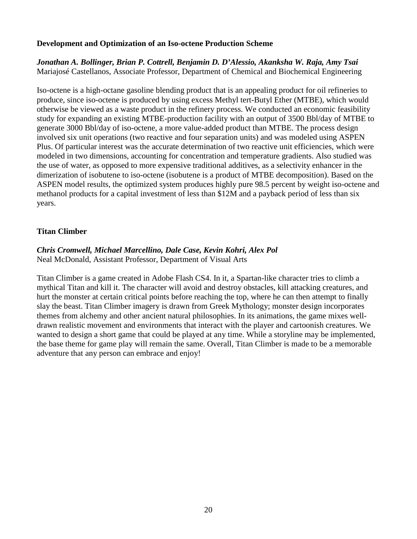#### **Development and Optimization of an Iso-octene Production Scheme**

*Jonathan A. Bollinger, Brian P. Cottrell, Benjamin D. D'Alessio, Akanksha W. Raja, Amy Tsai*  Mariajosé Castellanos, Associate Professor, Department of Chemical and Biochemical Engineering

Iso-octene is a high-octane gasoline blending product that is an appealing product for oil refineries to produce, since iso-octene is produced by using excess Methyl tert-Butyl Ether (MTBE), which would otherwise be viewed as a waste product in the refinery process. We conducted an economic feasibility study for expanding an existing MTBE-production facility with an output of 3500 Bbl/day of MTBE to generate 3000 Bbl/day of iso-octene, a more value-added product than MTBE. The process design involved six unit operations (two reactive and four separation units) and was modeled using ASPEN Plus. Of particular interest was the accurate determination of two reactive unit efficiencies, which were modeled in two dimensions, accounting for concentration and temperature gradients. Also studied was the use of water, as opposed to more expensive traditional additives, as a selectivity enhancer in the dimerization of isobutene to iso-octene (isobutene is a product of MTBE decomposition). Based on the ASPEN model results, the optimized system produces highly pure 98.5 percent by weight iso-octene and methanol products for a capital investment of less than \$12M and a payback period of less than six years.

# **Titan Climber**

#### *Chris Cromwell, Michael Marcellino, Dale Case, Kevin Kohri, Alex Pol* Neal McDonald, Assistant Professor, Department of Visual Arts

Titan Climber is a game created in Adobe Flash CS4. In it, a Spartan-like character tries to climb a mythical Titan and kill it. The character will avoid and destroy obstacles, kill attacking creatures, and hurt the monster at certain critical points before reaching the top, where he can then attempt to finally slay the beast. Titan Climber imagery is drawn from Greek Mythology; monster design incorporates themes from alchemy and other ancient natural philosophies. In its animations, the game mixes welldrawn realistic movement and environments that interact with the player and cartoonish creatures. We wanted to design a short game that could be played at any time. While a storyline may be implemented, the base theme for game play will remain the same. Overall, Titan Climber is made to be a memorable adventure that any person can embrace and enjoy!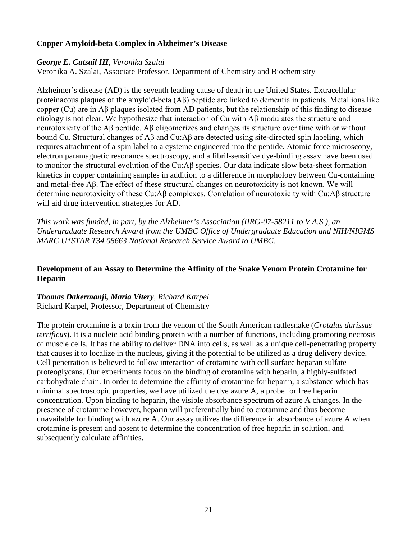#### **Copper Amyloid-beta Complex in Alzheimer's Disease**

#### *George E. Cutsail III, Veronika Szalai*

Veronika A. Szalai, Associate Professor, Department of Chemistry and Biochemistry

Alzheimer's disease (AD) is the seventh leading cause of death in the United States. Extracellular proteinacous plaques of the amyloid-beta (Aβ) peptide are linked to dementia in patients. Metal ions like copper (Cu) are in Aβ plaques isolated from AD patients, but the relationship of this finding to disease etiology is not clear. We hypothesize that interaction of Cu with Aβ modulates the structure and neurotoxicity of the Aβ peptide. Aβ oligomerizes and changes its structure over time with or without bound Cu. Structural changes of Aβ and Cu:Aβ are detected using site-directed spin labeling, which requires attachment of a spin label to a cysteine engineered into the peptide. Atomic force microscopy, electron paramagnetic resonance spectroscopy, and a fibril-sensitive dye-binding assay have been used to monitor the structural evolution of the Cu:Aβ species. Our data indicate slow beta-sheet formation kinetics in copper containing samples in addition to a difference in morphology between Cu-containing and metal-free Aβ. The effect of these structural changes on neurotoxicity is not known. We will determine neurotoxicity of these Cu:Aβ complexes. Correlation of neurotoxicity with Cu:Aβ structure will aid drug intervention strategies for AD.

*This work was funded, in part, by the Alzheimer's Association (IIRG-07-58211 to V.A.S.), an Undergraduate Research Award from the UMBC Office of Undergraduate Education and NIH/NIGMS MARC U\*STAR T34 08663 National Research Service Award to UMBC.*

# **Development of an Assay to Determine the Affinity of the Snake Venom Protein Crotamine for Heparin**

*Thomas Dakermanji, Maria Vitery, Richard Karpel* Richard Karpel, Professor, Department of Chemistry

The protein crotamine is a toxin from the venom of the South American rattlesnake (*Crotalus durissus terrificus*). It is a nucleic acid binding protein with a number of functions, including promoting necrosis of muscle cells. It has the ability to deliver DNA into cells, as well as a unique cell-penetrating property that causes it to localize in the nucleus, giving it the potential to be utilized as a drug delivery device. Cell penetration is believed to follow interaction of crotamine with cell surface heparan sulfate proteoglycans. Our experiments focus on the binding of crotamine with heparin, a highly-sulfated carbohydrate chain. In order to determine the affinity of crotamine for heparin, a substance which has minimal spectroscopic properties, we have utilized the dye azure A, a probe for free heparin concentration. Upon binding to heparin, the visible absorbance spectrum of azure A changes. In the presence of crotamine however, heparin will preferentially bind to crotamine and thus become unavailable for binding with azure A. Our assay utilizes the difference in absorbance of azure A when crotamine is present and absent to determine the concentration of free heparin in solution, and subsequently calculate affinities.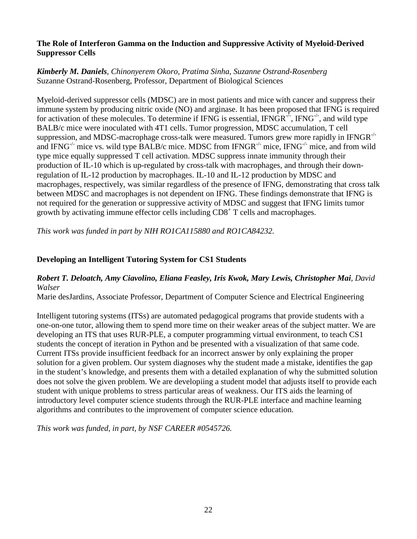#### **The Role of Interferon Gamma on the Induction and Suppressive Activity of Myeloid-Derived Suppressor Cells**

# *Kimberly M. Daniels, Chinonyerem Okoro, Pratima Sinha, Suzanne Ostrand-Rosenberg* Suzanne Ostrand-Rosenberg, Professor, Department of Biological Sciences

Myeloid-derived suppressor cells (MDSC) are in most patients and mice with cancer and suppress their immune system by producing nitric oxide (NO) and arginase. It has been proposed that IFNG is required for activation of these molecules. To determine if IFNG is essential, IFNGR $^{1/2}$ , IFNG $^{1/2}$ , and wild type BALB/c mice were inoculated with 4T1 cells. Tumor progression, MDSC accumulation, T cell suppression, and MDSC-macrophage cross-talk were measured. Tumors grew more rapidly in IFNGR<sup>-/-</sup> and IFNG<sup>-/-</sup> mice vs. wild type BALB/c mice. MDSC from IFNGR<sup>-/-</sup> mice, IFNG<sup>-/-</sup> mice, and from wild type mice equally suppressed T cell activation. MDSC suppress innate immunity through their production of IL-10 which is up-regulated by cross-talk with macrophages, and through their downregulation of IL-12 production by macrophages. IL-10 and IL-12 production by MDSC and macrophages, respectively, was similar regardless of the presence of IFNG, demonstrating that cross talk between MDSC and macrophages is not dependent on IFNG. These findings demonstrate that IFNG is not required for the generation or suppressive activity of MDSC and suggest that IFNG limits tumor growth by activating immune effector cells including  $CD8<sup>+</sup>$  T cells and macrophages.

*This work was funded in part by NIH RO1CA115880 and RO1CA84232.*

# **Developing an Intelligent Tutoring System for CS1 Students**

# *Robert T. Deloatch, Amy Ciavolino, Eliana Feasley, Iris Kwok, Mary Lewis, Christopher Mai, David Walser*

Marie desJardins, Associate Professor, Department of Computer Science and Electrical Engineering

Intelligent tutoring systems (ITSs) are automated pedagogical programs that provide students with a one-on-one tutor, allowing them to spend more time on their weaker areas of the subject matter. We are developing an ITS that uses RUR-PLE, a computer programming virtual environment, to teach CS1 students the concept of iteration in Python and be presented with a visualization of that same code. Current ITSs provide insufficient feedback for an incorrect answer by only explaining the proper solution for a given problem. Our system diagnoses why the student made a mistake, identifies the gap in the student's knowledge, and presents them with a detailed explanation of why the submitted solution does not solve the given problem. We are developiing a student model that adjusts itself to provide each student with unique problems to stress particular areas of weakness. Our ITS aids the learning of introductory level computer science students through the RUR-PLE interface and machine learning algorithms and contributes to the improvement of computer science education.

*This work was funded, in part, by NSF CAREER #0545726.*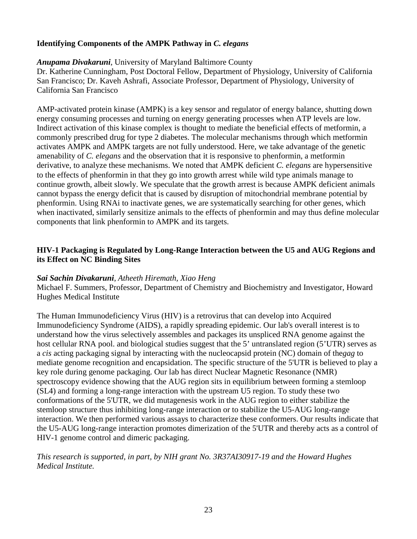# **Identifying Components of the AMPK Pathway in** *C. elegans*

# *Anupama Divakaruni*, University of Maryland Baltimore County

Dr. Katherine Cunningham, Post Doctoral Fellow, Department of Physiology, University of California San Francisco; Dr. Kaveh Ashrafi, Associate Professor, Department of Physiology, University of California San Francisco

AMP-activated protein kinase (AMPK) is a key sensor and regulator of energy balance, shutting down energy consuming processes and turning on energy generating processes when ATP levels are low. Indirect activation of this kinase complex is thought to mediate the beneficial effects of metformin, a commonly prescribed drug for type 2 diabetes. The molecular mechanisms through which metformin activates AMPK and AMPK targets are not fully understood. Here, we take advantage of the genetic amenability of *C. elegans* and the observation that it is responsive to phenformin, a metformin derivative, to analyze these mechanisms. We noted that AMPK deficient *C. elegans* are hypersensitive to the effects of phenformin in that they go into growth arrest while wild type animals manage to continue growth, albeit slowly. We speculate that the growth arrest is because AMPK deficient animals cannot bypass the energy deficit that is caused by disruption of mitochondrial membrane potential by phenformin. Using RNAi to inactivate genes, we are systematically searching for other genes, which when inactivated, similarly sensitize animals to the effects of phenformin and may thus define molecular components that link phenformin to AMPK and its targets.

# **HIV-1 Packaging is Regulated by Long-Range Interaction between the U5 and AUG Regions and its Effect on NC Binding Sites**

# *Sai Sachin Divakaruni*, *Atheeth Hiremath, Xiao Heng*

Michael F. Summers, Professor, Department of Chemistry and Biochemistry and Investigator, Howard Hughes Medical Institute

The Human Immunodeficiency Virus (HIV) is a retrovirus that can develop into Acquired Immunodeficiency Syndrome (AIDS), a rapidly spreading epidemic. Our lab's overall interest is to understand how the virus selectively assembles and packages its unspliced RNA genome against the host cellular RNA pool. and biological studies suggest that the 5' untranslated region (5'UTR) serves as a *cis* acting packaging signal by interacting with the nucleocapsid protein (NC) domain of the*gag* to mediate genome recognition and encapsidation. The specific structure of the 5'UTR is believed to play a key role during genome packaging. Our lab has direct Nuclear Magnetic Resonance (NMR) spectroscopy evidence showing that the AUG region sits in equilibrium between forming a stemloop (SL4) and forming a long-range interaction with the upstream U5 region. To study these two conformations of the 5'UTR, we did mutagenesis work in the AUG region to either stabilize the stemloop structure thus inhibiting long-range interaction or to stabilize the U5-AUG long-range interaction. We then performed various assays to characterize these conformers. Our results indicate that the U5-AUG long-range interaction promotes dimerization of the 5'UTR and thereby acts as a control of HIV-1 genome control and dimeric packaging.

# *This research is supported, in part, by NIH grant No. 3R37AI30917-19 and the Howard Hughes Medical Institute.*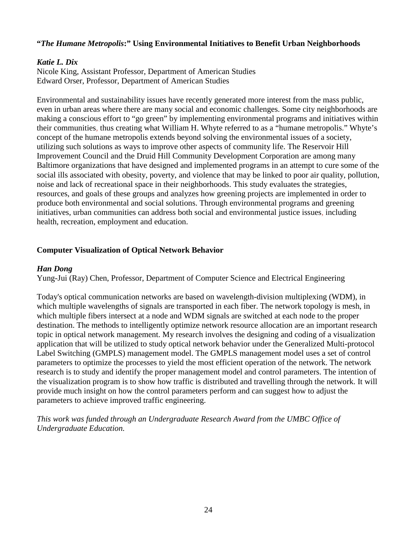# **"***The Humane Metropolis***:" Using Environmental Initiatives to Benefit Urban Neighborhoods**

#### *Katie L. Dix*

Nicole King, Assistant Professor, Department of American Studies Edward Orser, Professor, Department of American Studies

Environmental and sustainability issues have recently generated more interest from the mass public, even in urban areas where there are many social and economic challenges. Some city neighborhoods are making a conscious effort to "go green" by implementing environmental programs and initiatives within their communities, thus creating what William H. Whyte referred to as a "humane metropolis." Whyte's concept of the humane metropolis extends beyond solving the environmental issues of a society, utilizing such solutions as ways to improve other aspects of community life. The Reservoir Hill Improvement Council and the Druid Hill Community Development Corporation are among many Baltimore organizations that have designed and implemented programs in an attempt to cure some of the social ills associated with obesity, poverty, and violence that may be linked to poor air quality, pollution, noise and lack of recreational space in their neighborhoods. This study evaluates the strategies, resources, and goals of these groups and analyzes how greening projects are implemented in order to produce both environmental and social solutions. Through environmental programs and greening initiatives, urban communities can address both social and environmental justice issues, including health, recreation, employment and education.

#### **Computer Visualization of Optical Network Behavior**

#### *Han Dong*

Yung-Jui (Ray) Chen, Professor, Department of Computer Science and Electrical Engineering

Today's optical communication networks are based on wavelength-division multiplexing (WDM), in which multiple wavelengths of signals are transported in each fiber. The network topology is mesh, in which multiple fibers intersect at a node and WDM signals are switched at each node to the proper destination. The methods to intelligently optimize network resource allocation are an important research topic in optical network management. My research involves the designing and coding of a visualization application that will be utilized to study optical network behavior under the Generalized Multi-protocol Label Switching (GMPLS) management model. The GMPLS management model uses a set of control parameters to optimize the processes to yield the most efficient operation of the network. The network research is to study and identify the proper management model and control parameters. The intention of the visualization program is to show how traffic is distributed and travelling through the network. It will provide much insight on how the control parameters perform and can suggest how to adjust the parameters to achieve improved traffic engineering.

*This work was funded through an Undergraduate Research Award from the UMBC Office of Undergraduate Education.*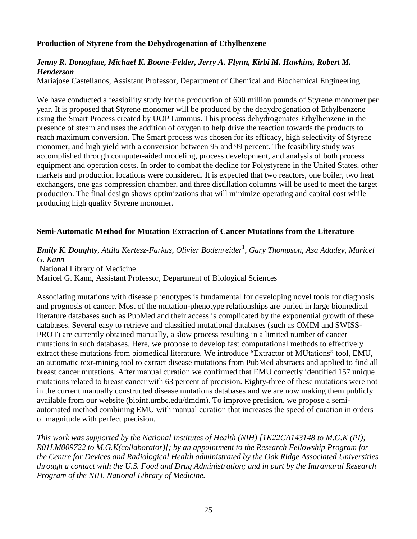#### **Production of Styrene from the Dehydrogenation of Ethylbenzene**

#### *Jenny R. Donoghue, Michael K. Boone-Felder, Jerry A. Flynn, Kirbi M. Hawkins, Robert M. Henderson*

Mariajose Castellanos, Assistant Professor, Department of Chemical and Biochemical Engineering

We have conducted a feasibility study for the production of 600 million pounds of Styrene monomer per year. It is proposed that Styrene monomer will be produced by the dehydrogenation of Ethylbenzene using the Smart Process created by UOP Lummus. This process dehydrogenates Ethylbenzene in the presence of steam and uses the addition of oxygen to help drive the reaction towards the products to reach maximum conversion. The Smart process was chosen for its efficacy, high selectivity of Styrene monomer, and high yield with a conversion between 95 and 99 percent. The feasibility study was accomplished through computer-aided modeling, process development, and analysis of both process equipment and operation costs. In order to combat the decline for Polystyrene in the United States, other markets and production locations were considered. It is expected that two reactors, one boiler, two heat exchangers, one gas compression chamber, and three distillation columns will be used to meet the target production. The final design shows optimizations that will minimize operating and capital cost while producing high quality Styrene monomer.

#### **Semi-Automatic Method for Mutation Extraction of Cancer Mutations from the Literature**

*Emily K. Doughty*, *Attila Kertesz-Farkas*, *Olivier Bodenreider*<sup>1</sup> , *Gary Thompson*, *Asa Adadey*, *Maricel G. Kann* <sup>1</sup>National Library of Medicine Maricel G. Kann, Assistant Professor, Department of Biological Sciences

Associating mutations with disease phenotypes is fundamental for developing novel tools for diagnosis and prognosis of cancer. Most of the mutation-phenotype relationships are buried in large biomedical literature databases such as PubMed and their access is complicated by the exponential growth of these databases. Several easy to retrieve and classified mutational databases (such as OMIM and SWISS-PROT) are currently obtained manually, a slow process resulting in a limited number of cancer mutations in such databases. Here, we propose to develop fast computational methods to effectively extract these mutations from biomedical literature. We introduce "Extractor of MUtations" tool, EMU, an automatic text-mining tool to extract disease mutations from PubMed abstracts and applied to find all breast cancer mutations. After manual curation we confirmed that EMU correctly identified 157 unique mutations related to breast cancer with 63 percent of precision. Eighty-three of these mutations were not in the current manually constructed disease mutations databases and we are now making them publicly available from our website (bioinf.umbc.edu/dmdm). To improve precision, we propose a semiautomated method combining EMU with manual curation that increases the speed of curation in orders of magnitude with perfect precision.

*This work was supported by the National Institutes of Health (NIH) [1K22CA143148 to M.G.K (PI); R01LM009722 to M.G.K(collaborator)]; by an appointment to the Research Fellowship Program for the Centre for Devices and Radiological Health administrated by the Oak Ridge Associated Universities through a contact with the U.S. Food and Drug Administration; and in part by the Intramural Research Program of the NIH, National Library of Medicine.*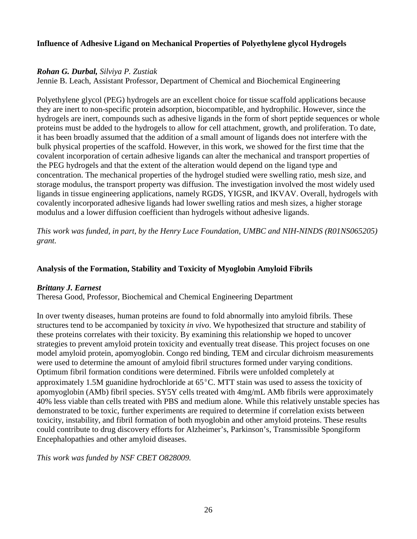#### **Influence of Adhesive Ligand on Mechanical Properties of Polyethylene glycol Hydrogels**

#### *Rohan G. Durbal, Silviya P. Zustiak*

Jennie B. Leach, Assistant Professor, Department of Chemical and Biochemical Engineering

Polyethylene glycol (PEG) hydrogels are an excellent choice for tissue scaffold applications because they are inert to non-specific protein adsorption, biocompatible, and hydrophilic. However, since the hydrogels are inert, compounds such as adhesive ligands in the form of short peptide sequences or whole proteins must be added to the hydrogels to allow for cell attachment, growth, and proliferation. To date, it has been broadly assumed that the addition of a small amount of ligands does not interfere with the bulk physical properties of the scaffold. However, in this work, we showed for the first time that the covalent incorporation of certain adhesive ligands can alter the mechanical and transport properties of the PEG hydrogels and that the extent of the alteration would depend on the ligand type and concentration. The mechanical properties of the hydrogel studied were swelling ratio, mesh size, and storage modulus, the transport property was diffusion. The investigation involved the most widely used ligands in tissue engineering applications, namely RGDS, YIGSR, and IKVAV. Overall, hydrogels with covalently incorporated adhesive ligands had lower swelling ratios and mesh sizes, a higher storage modulus and a lower diffusion coefficient than hydrogels without adhesive ligands.

*This work was funded, in part, by the Henry Luce Foundation, UMBC and NIH-NINDS (R01NS065205) grant.*

#### **Analysis of the Formation, Stability and Toxicity of Myoglobin Amyloid Fibrils**

#### *Brittany J. Earnest*

Theresa Good, Professor, Biochemical and Chemical Engineering Department

In over twenty diseases, human proteins are found to fold abnormally into amyloid fibrils. These structures tend to be accompanied by toxicity *in vivo*. We hypothesized that structure and stability of these proteins correlates with their toxicity. By examining this relationship we hoped to uncover strategies to prevent amyloid protein toxicity and eventually treat disease. This project focuses on one model amyloid protein, apomyoglobin. Congo red binding, TEM and circular dichroism measurements were used to determine the amount of amyloid fibril structures formed under varying conditions. Optimum fibril formation conditions were determined. Fibrils were unfolded completely at approximately 1.5M guanidine hydrochloride at 65⁰C. MTT stain was used to assess the toxicity of apomyoglobin (AMb) fibril species. SY5Y cells treated with 4mg/mL AMb fibrils were approximately 40% less viable than cells treated with PBS and medium alone. While this relatively unstable species has demonstrated to be toxic, further experiments are required to determine if correlation exists between toxicity, instability, and fibril formation of both myoglobin and other amyloid proteins. These results could contribute to drug discovery efforts for Alzheimer's, Parkinson's, Transmissible Spongiform Encephalopathies and other amyloid diseases.

*This work was funded by NSF CBET O828009.*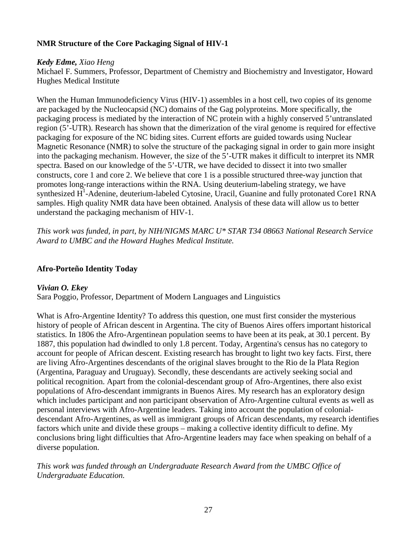# **NMR Structure of the Core Packaging Signal of HIV-1**

#### *Kedy Edme, Xiao Heng*

Michael F. Summers, Professor, Department of Chemistry and Biochemistry and Investigator, Howard Hughes Medical Institute

When the Human Immunodeficiency Virus (HIV-1) assembles in a host cell, two copies of its genome are packaged by the Nucleocapsid (NC) domains of the Gag polyproteins. More specifically, the packaging process is mediated by the interaction of NC protein with a highly conserved 5'untranslated region (5'-UTR). Research has shown that the dimerization of the viral genome is required for effective packaging for exposure of the NC biding sites. Current efforts are guided towards using Nuclear Magnetic Resonance (NMR) to solve the structure of the packaging signal in order to gain more insight into the packaging mechanism. However, the size of the 5'-UTR makes it difficult to interpret its NMR spectra. Based on our knowledge of the 5'-UTR, we have decided to dissect it into two smaller constructs, core 1 and core 2. We believe that core 1 is a possible structured three-way junction that promotes long-range interactions within the RNA. Using deuterium-labeling strategy, we have synthesized  $H^1$ -Adenine, deuterium-labeled Cytosine, Uracil, Guanine and fully protonated Core1 RNA samples. High quality NMR data have been obtained. Analysis of these data will allow us to better understand the packaging mechanism of HIV-1.

*This work was funded, in part, by NIH/NIGMS MARC U\* STAR T34 08663 National Research Service Award to UMBC and the Howard Hughes Medical Institute.*

#### **Afro-Porteño Identity Today**

# *Vivian O. Ekey*

Sara Poggio, Professor, Department of Modern Languages and Linguistics

What is Afro-Argentine Identity? To address this question, one must first consider the mysterious history of people of African descent in Argentina. The city of Buenos Aires offers important historical statistics. In 1806 the Afro-Argentinean population seems to have been at its peak, at 30.1 percent. By 1887, this population had dwindled to only 1.8 percent. Today, Argentina's census has no category to account for people of African descent. Existing research has brought to light two key facts. First, there are living Afro-Argentines descendants of the original slaves brought to the Rio de la Plata Region (Argentina, Paraguay and Uruguay). Secondly, these descendants are actively seeking social and political recognition. Apart from the colonial-descendant group of Afro-Argentines, there also exist populations of Afro-descendant immigrants in Buenos Aires. My research has an exploratory design which includes participant and non participant observation of Afro-Argentine cultural events as well as personal interviews with Afro-Argentine leaders. Taking into account the population of colonialdescendant Afro-Argentines, as well as immigrant groups of African descendants, my research identifies factors which unite and divide these groups – making a collective identity difficult to define. My conclusions bring light difficulties that Afro-Argentine leaders may face when speaking on behalf of a diverse population.

*This work was funded through an Undergraduate Research Award from the UMBC Office of Undergraduate Education.*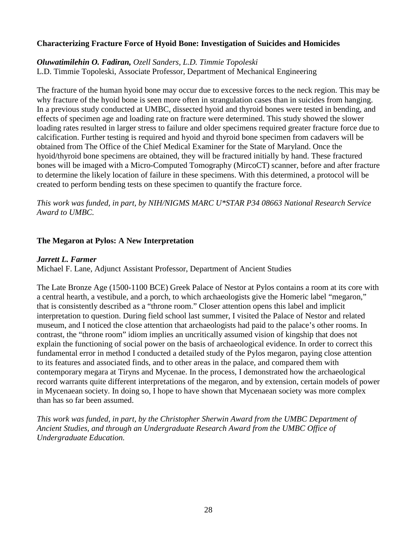#### **Characterizing Fracture Force of Hyoid Bone: Investigation of Suicides and Homicides**

#### *Oluwatimilehin O. Fadiran, Ozell Sanders, L.D. Timmie Topoleski* L.D. Timmie Topoleski, Associate Professor, Department of Mechanical Engineering

The fracture of the human hyoid bone may occur due to excessive forces to the neck region. This may be why fracture of the hyoid bone is seen more often in strangulation cases than in suicides from hanging. In a previous study conducted at UMBC, dissected hyoid and thyroid bones were tested in bending, and effects of specimen age and loading rate on fracture were determined. This study showed the slower loading rates resulted in larger stress to failure and older specimens required greater fracture force due to calcification. Further testing is required and hyoid and thyroid bone specimen from cadavers will be obtained from The Office of the Chief Medical Examiner for the State of Maryland. Once the hyoid/thyroid bone specimens are obtained, they will be fractured initially by hand. These fractured bones will be imaged with a Micro-Computed Tomography (MircoCT) scanner, before and after fracture to determine the likely location of failure in these specimens. With this determined, a protocol will be created to perform bending tests on these specimen to quantify the fracture force.

*This work was funded, in part, by NIH/NIGMS MARC U\*STAR P34 08663 National Research Service Award to UMBC.*

#### **The Megaron at Pylos: A New Interpretation**

#### *Jarrett L. Farmer*

Michael F. Lane, Adjunct Assistant Professor, Department of Ancient Studies

The Late Bronze Age (1500-1100 BCE) Greek Palace of Nestor at Pylos contains a room at its core with a central hearth, a vestibule, and a porch, to which archaeologists give the Homeric label "megaron," that is consistently described as a "throne room." Closer attention opens this label and implicit interpretation to question. During field school last summer, I visited the Palace of Nestor and related museum, and I noticed the close attention that archaeologists had paid to the palace's other rooms. In contrast, the "throne room" idiom implies an uncritically assumed vision of kingship that does not explain the functioning of social power on the basis of archaeological evidence. In order to correct this fundamental error in method I conducted a detailed study of the Pylos megaron, paying close attention to its features and associated finds, and to other areas in the palace, and compared them with contemporary megara at Tiryns and Mycenae. In the process, I demonstrated how the archaeological record warrants quite different interpretations of the megaron, and by extension, certain models of power in Mycenaean society. In doing so, I hope to have shown that Mycenaean society was more complex than has so far been assumed.

*This work was funded, in part, by the Christopher Sherwin Award from the UMBC Department of Ancient Studies, and through an Undergraduate Research Award from the UMBC Office of Undergraduate Education.*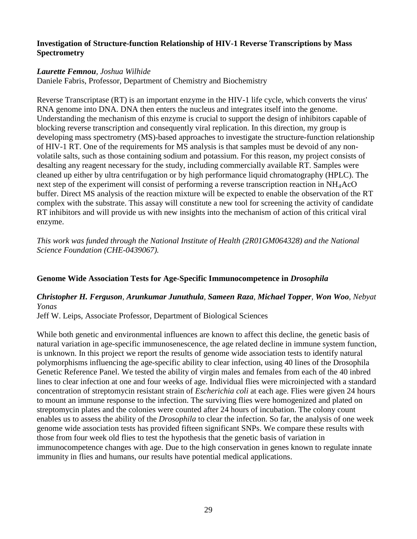#### **Investigation of Structure-function Relationship of HIV-1 Reverse Transcriptions by Mass Spectrometry**

#### *Laurette Femnou, Joshua Wilhide*

Daniele Fabris, Professor, Department of Chemistry and Biochemistry

Reverse Transcriptase (RT) is an important enzyme in the HIV-1 life cycle, which converts the virus' RNA genome into DNA. DNA then enters the nucleus and integrates itself into the genome. Understanding the mechanism of this enzyme is crucial to support the design of inhibitors capable of blocking reverse transcription and consequently viral replication. In this direction, my group is developing mass spectrometry (MS)-based approaches to investigate the structure-function relationship of HIV-1 RT. One of the requirements for MS analysis is that samples must be devoid of any nonvolatile salts, such as those containing sodium and potassium. For this reason, my project consists of desalting any reagent necessary for the study, including commercially available RT. Samples were cleaned up either by ultra centrifugation or by high performance liquid chromatography (HPLC). The next step of the experiment will consist of performing a reverse transcription reaction in NH<sub>4</sub>AcO buffer. Direct MS analysis of the reaction mixture will be expected to enable the observation of the RT complex with the substrate. This assay will constitute a new tool for screening the activity of candidate RT inhibitors and will provide us with new insights into the mechanism of action of this critical viral enzyme.

*This work was funded through the National Institute of Health (2R01GM064328) and the National Science Foundation (CHE-0439067).*

# **Genome Wide Association Tests for Age-Specific Immunocompetence in** *Drosophila*

#### *Christopher H. Ferguson, Arunkumar Junuthula, Sameen Raza, Michael Topper, Won Woo, Nebyat Yonas*

Jeff W. Leips, Associate Professor, Department of Biological Sciences

While both genetic and environmental influences are known to affect this decline, the genetic basis of natural variation in age-specific immunosenescence, the age related decline in immune system function, is unknown. In this project we report the results of genome wide association tests to identify natural polymorphisms influencing the age-specific ability to clear infection, using 40 lines of the Drosophila Genetic Reference Panel. We tested the ability of virgin males and females from each of the 40 inbred lines to clear infection at one and four weeks of age. Individual flies were microinjected with a standard concentration of streptomycin resistant strain of *Escherichia coli* at each age. Flies were given 24 hours to mount an immune response to the infection. The surviving flies were homogenized and plated on streptomycin plates and the colonies were counted after 24 hours of incubation. The colony count enables us to assess the ability of the *Drosophila* to clear the infection. So far, the analysis of one week genome wide association tests has provided fifteen significant SNPs. We compare these results with those from four week old flies to test the hypothesis that the genetic basis of variation in immunocompetence changes with age. Due to the high conservation in genes known to regulate innate immunity in flies and humans, our results have potential medical applications.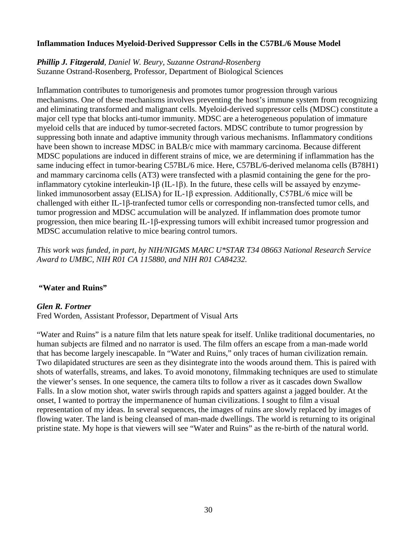#### **Inflammation Induces Myeloid-Derived Suppressor Cells in the C57BL/6 Mouse Model**

*Phillip J. Fitzgerald, Daniel W. Beury, Suzanne Ostrand-Rosenberg* Suzanne Ostrand-Rosenberg, Professor, Department of Biological Sciences

Inflammation contributes to tumorigenesis and promotes tumor progression through various mechanisms. One of these mechanisms involves preventing the host's immune system from recognizing and eliminating transformed and malignant cells. Myeloid-derived suppressor cells (MDSC) constitute a major cell type that blocks anti-tumor immunity. MDSC are a heterogeneous population of immature myeloid cells that are induced by tumor-secreted factors. MDSC contribute to tumor progression by suppressing both innate and adaptive immunity through various mechanisms. Inflammatory conditions have been shown to increase MDSC in BALB/c mice with mammary carcinoma. Because different MDSC populations are induced in different strains of mice, we are determining if inflammation has the same inducing effect in tumor-bearing C57BL/6 mice. Here, C57BL/6-derived melanoma cells (B78H1) and mammary carcinoma cells (AT3) were transfected with a plasmid containing the gene for the proinflammatory cytokine interleukin-1β (IL-1β). In the future, these cells will be assayed by enzymelinked immunosorbent assay (ELISA) for IL-1β expression. Additionally, C57BL/6 mice will be challenged with either IL-1β-tranfected tumor cells or corresponding non-transfected tumor cells, and tumor progression and MDSC accumulation will be analyzed. If inflammation does promote tumor progression, then mice bearing IL-1β-expressing tumors will exhibit increased tumor progression and MDSC accumulation relative to mice bearing control tumors.

*This work was funded, in part, by NIH/NIGMS MARC U\*STAR T34 08663 National Research Service Award to UMBC, NIH R01 CA 115880, and NIH R01 CA84232.* 

#### **"Water and Ruins"**

#### *Glen R. Fortner*

Fred Worden, Assistant Professor, Department of Visual Arts

"Water and Ruins" is a nature film that lets nature speak for itself. Unlike traditional documentaries, no human subjects are filmed and no narrator is used. The film offers an escape from a man-made world that has become largely inescapable. In "Water and Ruins," only traces of human civilization remain. Two dilapidated structures are seen as they disintegrate into the woods around them. This is paired with shots of waterfalls, streams, and lakes. To avoid monotony, filmmaking techniques are used to stimulate the viewer's senses. In one sequence, the camera tilts to follow a river as it cascades down Swallow Falls. In a slow motion shot, water swirls through rapids and spatters against a jagged boulder. At the onset, I wanted to portray the impermanence of human civilizations. I sought to film a visual representation of my ideas. In several sequences, the images of ruins are slowly replaced by images of flowing water. The land is being cleansed of man-made dwellings. The world is returning to its original pristine state. My hope is that viewers will see "Water and Ruins" as the re-birth of the natural world.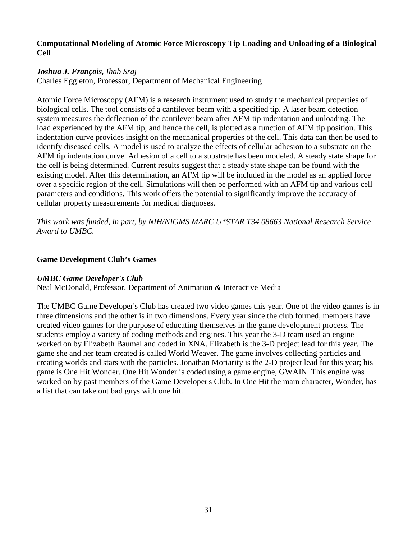#### **Computational Modeling of Atomic Force Microscopy Tip Loading and Unloading of a Biological Cell**

#### *Joshua J. François, Ihab Sraj*

Charles Eggleton, Professor, Department of Mechanical Engineering

Atomic Force Microscopy (AFM) is a research instrument used to study the mechanical properties of biological cells. The tool consists of a cantilever beam with a specified tip. A laser beam detection system measures the deflection of the cantilever beam after AFM tip indentation and unloading. The load experienced by the AFM tip, and hence the cell, is plotted as a function of AFM tip position. This indentation curve provides insight on the mechanical properties of the cell. This data can then be used to identify diseased cells. A model is used to analyze the effects of cellular adhesion to a substrate on the AFM tip indentation curve. Adhesion of a cell to a substrate has been modeled. A steady state shape for the cell is being determined. Current results suggest that a steady state shape can be found with the existing model. After this determination, an AFM tip will be included in the model as an applied force over a specific region of the cell. Simulations will then be performed with an AFM tip and various cell parameters and conditions. This work offers the potential to significantly improve the accuracy of cellular property measurements for medical diagnoses.

*This work was funded, in part, by NIH/NIGMS MARC U\*STAR T34 08663 National Research Service Award to UMBC.*

#### **Game Development Club's Games**

# *UMBC Game Developer's Club*

Neal McDonald, Professor, Department of Animation & Interactive Media

The UMBC Game Developer's Club has created two video games this year. One of the video games is in three dimensions and the other is in two dimensions. Every year since the club formed, members have created video games for the purpose of educating themselves in the game development process. The students employ a variety of coding methods and engines. This year the 3-D team used an engine worked on by Elizabeth Baumel and coded in XNA. Elizabeth is the 3-D project lead for this year. The game she and her team created is called World Weaver. The game involves collecting particles and creating worlds and stars with the particles. Jonathan Moriarity is the 2-D project lead for this year; his game is One Hit Wonder. One Hit Wonder is coded using a game engine, GWAIN. This engine was worked on by past members of the Game Developer's Club. In One Hit the main character, Wonder, has a fist that can take out bad guys with one hit.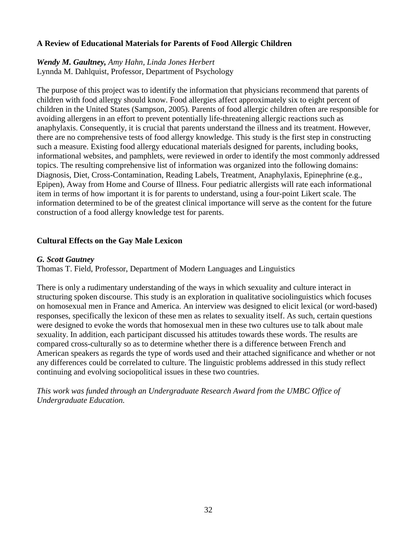#### **A Review of Educational Materials for Parents of Food Allergic Children**

#### *Wendy M. Gaultney, Amy Hahn, Linda Jones Herbert* Lynnda M. Dahlquist, Professor, Department of Psychology

The purpose of this project was to identify the information that physicians recommend that parents of children with food allergy should know. Food allergies affect approximately six to eight percent of children in the United States (Sampson, 2005). Parents of food allergic children often are responsible for avoiding allergens in an effort to prevent potentially life-threatening allergic reactions such as anaphylaxis. Consequently, it is crucial that parents understand the illness and its treatment. However, there are no comprehensive tests of food allergy knowledge. This study is the first step in constructing such a measure. Existing food allergy educational materials designed for parents, including books, informational websites, and pamphlets, were reviewed in order to identify the most commonly addressed topics. The resulting comprehensive list of information was organized into the following domains: Diagnosis, Diet, Cross-Contamination, Reading Labels, Treatment, Anaphylaxis, Epinephrine (e.g., Epipen), Away from Home and Course of Illness. Four pediatric allergists will rate each informational item in terms of how important it is for parents to understand, using a four-point Likert scale. The information determined to be of the greatest clinical importance will serve as the content for the future construction of a food allergy knowledge test for parents.

#### **Cultural Effects on the Gay Male Lexicon**

#### *G. Scott Gautney*

Thomas T. Field, Professor, Department of Modern Languages and Linguistics

There is only a rudimentary understanding of the ways in which sexuality and culture interact in structuring spoken discourse. This study is an exploration in qualitative sociolinguistics which focuses on homosexual men in France and America. An interview was designed to elicit lexical (or word-based) responses, specifically the lexicon of these men as relates to sexuality itself. As such, certain questions were designed to evoke the words that homosexual men in these two cultures use to talk about male sexuality. In addition, each participant discussed his attitudes towards these words. The results are compared cross-culturally so as to determine whether there is a difference between French and American speakers as regards the type of words used and their attached significance and whether or not any differences could be correlated to culture. The linguistic problems addressed in this study reflect continuing and evolving sociopolitical issues in these two countries.

*This work was funded through an Undergraduate Research Award from the UMBC Office of Undergraduate Education.*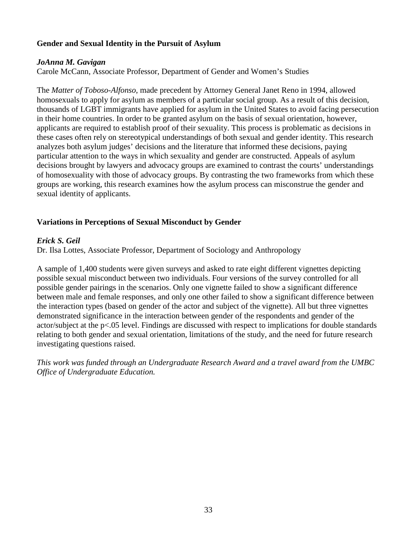# **Gender and Sexual Identity in the Pursuit of Asylum**

#### *JoAnna M. Gavigan*

Carole McCann, Associate Professor, Department of Gender and Women's Studies

The *Matter of Toboso-Alfonso*, made precedent by Attorney General Janet Reno in 1994, allowed homosexuals to apply for asylum as members of a particular social group. As a result of this decision, thousands of LGBT immigrants have applied for asylum in the United States to avoid facing persecution in their home countries. In order to be granted asylum on the basis of sexual orientation, however, applicants are required to establish proof of their sexuality. This process is problematic as decisions in these cases often rely on stereotypical understandings of both sexual and gender identity. This research analyzes both asylum judges' decisions and the literature that informed these decisions, paying particular attention to the ways in which sexuality and gender are constructed. Appeals of asylum decisions brought by lawyers and advocacy groups are examined to contrast the courts' understandings of homosexuality with those of advocacy groups. By contrasting the two frameworks from which these groups are working, this research examines how the asylum process can misconstrue the gender and sexual identity of applicants.

# **Variations in Perceptions of Sexual Misconduct by Gender**

#### *Erick S. Geil*

Dr. Ilsa Lottes, Associate Professor, Department of Sociology and Anthropology

A sample of 1,400 students were given surveys and asked to rate eight different vignettes depicting possible sexual misconduct between two individuals. Four versions of the survey controlled for all possible gender pairings in the scenarios. Only one vignette failed to show a significant difference between male and female responses, and only one other failed to show a significant difference between the interaction types (based on gender of the actor and subject of the vignette). All but three vignettes demonstrated significance in the interaction between gender of the respondents and gender of the actor/subject at the p<.05 level. Findings are discussed with respect to implications for double standards relating to both gender and sexual orientation, limitations of the study, and the need for future research investigating questions raised.

*This work was funded through an Undergraduate Research Award and a travel award from the UMBC Office of Undergraduate Education.*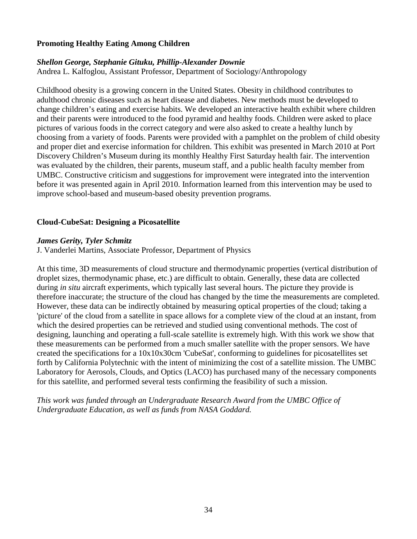#### **Promoting Healthy Eating Among Children**

# *Shellon George, Stephanie Gituku, Phillip-Alexander Downie*

Andrea L. Kalfoglou, Assistant Professor, Department of Sociology/Anthropology

Childhood obesity is a growing concern in the United States. Obesity in childhood contributes to adulthood chronic diseases such as heart disease and diabetes. New methods must be developed to change children's eating and exercise habits. We developed an interactive health exhibit where children and their parents were introduced to the food pyramid and healthy foods. Children were asked to place pictures of various foods in the correct category and were also asked to create a healthy lunch by choosing from a variety of foods. Parents were provided with a pamphlet on the problem of child obesity and proper diet and exercise information for children. This exhibit was presented in March 2010 at Port Discovery Children's Museum during its monthly Healthy First Saturday health fair. The intervention was evaluated by the children, their parents, museum staff, and a public health faculty member from UMBC. Constructive criticism and suggestions for improvement were integrated into the intervention before it was presented again in April 2010. Information learned from this intervention may be used to improve school-based and museum-based obesity prevention programs.

#### **Cloud-CubeSat: Designing a Picosatellite**

#### *James Gerity, Tyler Schmitz*

J. Vanderlei Martins, Associate Professor, Department of Physics

At this time, 3D measurements of cloud structure and thermodynamic properties (vertical distribution of droplet sizes, thermodynamic phase, etc.) are difficult to obtain. Generally, these data are collected during *in situ* aircraft experiments, which typically last several hours. The picture they provide is therefore inaccurate; the structure of the cloud has changed by the time the measurements are completed. However, these data can be indirectly obtained by measuring optical properties of the cloud; taking a 'picture' of the cloud from a satellite in space allows for a complete view of the cloud at an instant, from which the desired properties can be retrieved and studied using conventional methods. The cost of designing, launching and operating a full-scale satellite is extremely high. With this work we show that these measurements can be performed from a much smaller satellite with the proper sensors. We have created the specifications for a 10x10x30cm 'CubeSat', conforming to guidelines for picosatellites set forth by California Polytechnic with the intent of minimizing the cost of a satellite mission. The UMBC Laboratory for Aerosols, Clouds, and Optics (LACO) has purchased many of the necessary components for this satellite, and performed several tests confirming the feasibility of such a mission.

*This work was funded through an Undergraduate Research Award from the UMBC Office of Undergraduate Education, as well as funds from NASA Goddard.*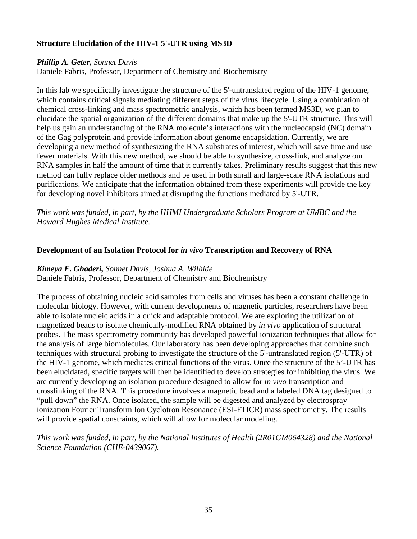# **Structure Elucidation of the HIV-1 5'-UTR using MS3D**

#### *Phillip A. Geter, Sonnet Davis*

Daniele Fabris, Professor, Department of Chemistry and Biochemistry

In this lab we specifically investigate the structure of the 5'-untranslated region of the HIV-1 genome, which contains critical signals mediating different steps of the virus lifecycle. Using a combination of chemical cross-linking and mass spectrometric analysis, which has been termed MS3D, we plan to elucidate the spatial organization of the different domains that make up the 5'-UTR structure. This will help us gain an understanding of the RNA molecule's interactions with the nucleocapsid (NC) domain of the Gag polyprotein and provide information about genome encapsidation. Currently, we are developing a new method of synthesizing the RNA substrates of interest, which will save time and use fewer materials. With this new method, we should be able to synthesize, cross-link, and analyze our RNA samples in half the amount of time that it currently takes. Preliminary results suggest that this new method can fully replace older methods and be used in both small and large-scale RNA isolations and purifications. We anticipate that the information obtained from these experiments will provide the key for developing novel inhibitors aimed at disrupting the functions mediated by 5'-UTR.

*This work was funded, in part, by the HHMI Undergraduate Scholars Program at UMBC and the Howard Hughes Medical Institute.*

#### **Development of an Isolation Protocol for** *in vivo* **Transcription and Recovery of RNA**

#### *Kimeya F. Ghaderi, Sonnet Davis, Joshua A. Wilhide*

Daniele Fabris, Professor, Department of Chemistry and Biochemistry

The process of obtaining nucleic acid samples from cells and viruses has been a constant challenge in molecular biology. However, with current developments of magnetic particles, researchers have been able to isolate nucleic acids in a quick and adaptable protocol. We are exploring the utilization of magnetized beads to isolate chemically-modified RNA obtained by *in vivo* application of structural probes. The mass spectrometry community has developed powerful ionization techniques that allow for the analysis of large biomolecules. Our laboratory has been developing approaches that combine such techniques with structural probing to investigate the structure of the 5'-untranslated region (5'-UTR) of the HIV-1 genome, which mediates critical functions of the virus. Once the structure of the 5'-UTR has been elucidated, specific targets will then be identified to develop strategies for inhibiting the virus. We are currently developing an isolation procedure designed to allow for *in vivo* transcription and crosslinking of the RNA. This procedure involves a magnetic bead and a labeled DNA tag designed to "pull down" the RNA. Once isolated, the sample will be digested and analyzed by electrospray ionization Fourier Transform Ion Cyclotron Resonance (ESI-FTICR) mass spectrometry. The results will provide spatial constraints, which will allow for molecular modeling.

*This work was funded, in part, by the National Institutes of Health (2R01GM064328) and the National Science Foundation (CHE-0439067).*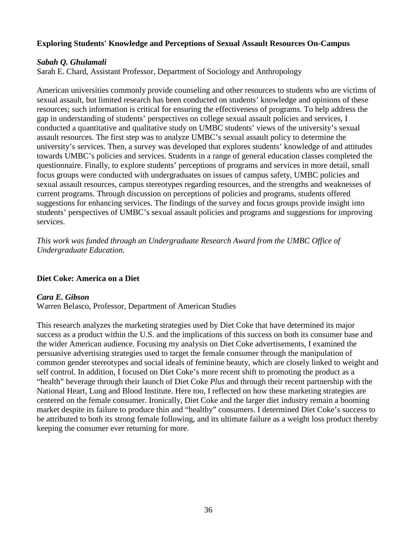#### **Exploring Students' Knowledge and Perceptions of Sexual Assault Resources On-Campus**

#### *Sabah Q. Ghulamali*

Sarah E. Chard, Assistant Professor, Department of Sociology and Anthropology

American universities commonly provide counseling and other resources to students who are victims of sexual assault, but limited research has been conducted on students' knowledge and opinions of these resources; such information is critical for ensuring the effectiveness of programs. To help address the gap in understanding of students' perspectives on college sexual assault policies and services, I conducted a quantitative and qualitative study on UMBC students' views of the university's sexual assault resources. The first step was to analyze UMBC's sexual assault policy to determine the university's services. Then, a survey was developed that explores students' knowledge of and attitudes towards UMBC's policies and services. Students in a range of general education classes completed the questionnaire. Finally, to explore students' perceptions of programs and services in more detail, small focus groups were conducted with undergraduates on issues of campus safety, UMBC policies and sexual assault resources, campus stereotypes regarding resources, and the strengths and weaknesses of current programs. Through discussion on perceptions of policies and programs, students offered suggestions for enhancing services. The findings of the survey and focus groups provide insight into students' perspectives of UMBC's sexual assault policies and programs and suggestions for improving services.

*This work was funded through an Undergraduate Research Award from the UMBC Office of Undergraduate Education.*

#### **Diet Coke: America on a Diet**

#### *Cara E. Gibson*

Warren Belasco, Professor, Department of American Studies

This research analyzes the marketing strategies used by Diet Coke that have determined its major success as a product within the U.S. and the implications of this success on both its consumer base and the wider American audience. Focusing my analysis on Diet Coke advertisements, I examined the persuasive advertising strategies used to target the female consumer through the manipulation of common gender stereotypes and social ideals of feminine beauty, which are closely linked to weight and self control. In addition, I focused on Diet Coke's more recent shift to promoting the product as a "health" beverage through their launch of Diet Coke *Plus* and through their recent partnership with the National Heart, Lung and Blood Institute. Here too, I reflected on how these marketing strategies are centered on the female consumer. Ironically, Diet Coke and the larger diet industry remain a booming market despite its failure to produce thin and "healthy" consumers. I determined Diet Coke's success to be attributed to both its strong female following, and its ultimate failure as a weight loss product thereby keeping the consumer ever returning for more.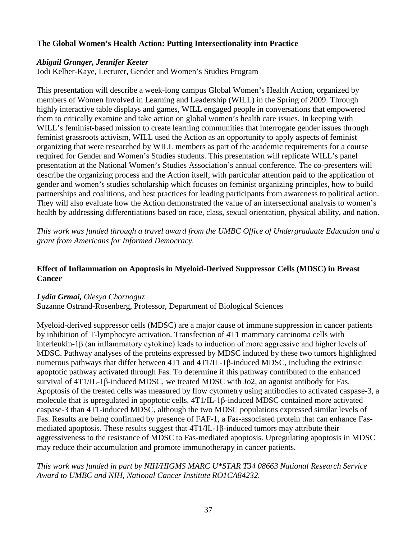# **The Global Women's Health Action: Putting Intersectionality into Practice**

### *Abigail Granger, Jennifer Keeter*

Jodi Kelber-Kaye, Lecturer, Gender and Women's Studies Program

This presentation will describe a week-long campus Global Women's Health Action, organized by members of Women Involved in Learning and Leadership (WILL) in the Spring of 2009. Through highly interactive table displays and games, WILL engaged people in conversations that empowered them to critically examine and take action on global women's health care issues. In keeping with WILL's feminist-based mission to create learning communities that interrogate gender issues through feminist grassroots activism, WILL used the Action as an opportunity to apply aspects of feminist organizing that were researched by WILL members as part of the academic requirements for a course required for Gender and Women's Studies students. This presentation will replicate WILL's panel presentation at the National Women's Studies Association's annual conference. The co-presenters will describe the organizing process and the Action itself, with particular attention paid to the application of gender and women's studies scholarship which focuses on feminist organizing principles, how to build partnerships and coalitions, and best practices for leading participants from awareness to political action. They will also evaluate how the Action demonstrated the value of an intersectional analysis to women's health by addressing differentiations based on race, class, sexual orientation, physical ability, and nation.

*This work was funded through a travel award from the UMBC Office of Undergraduate Education and a grant from Americans for Informed Democracy.*

# **Effect of Inflammation on Apoptosis in Myeloid-Derived Suppressor Cells (MDSC) in Breast Cancer**

### *Lydia Grmai, Olesya Chornoguz*

Suzanne Ostrand-Rosenberg, Professor, Department of Biological Sciences

Myeloid-derived suppressor cells (MDSC) are a major cause of immune suppression in cancer patients by inhibition of T-lymphocyte activation. Transfection of 4T1 mammary carcinoma cells with interleukin-1β (an inflammatory cytokine) leads to induction of more aggressive and higher levels of MDSC. Pathway analyses of the proteins expressed by MDSC induced by these two tumors highlighted numerous pathways that differ between 4T1 and 4T1/IL-1β-induced MDSC, including the extrinsic apoptotic pathway activated through Fas. To determine if this pathway contributed to the enhanced survival of 4T1/IL-1β-induced MDSC, we treated MDSC with Jo2, an agonist antibody for Fas. Apoptosis of the treated cells was measured by flow cytometry using antibodies to activated caspase-3, a molecule that is upregulated in apoptotic cells. 4T1/IL-1β-induced MDSC contained more activated caspase-3 than 4T1-induced MDSC, although the two MDSC populations expressed similar levels of Fas. Results are being confirmed by presence of FAF-1, a Fas-associated protein that can enhance Fasmediated apoptosis. These results suggest that 4T1/IL-1β-induced tumors may attribute their aggressiveness to the resistance of MDSC to Fas-mediated apoptosis. Upregulating apoptosis in MDSC may reduce their accumulation and promote immunotherapy in cancer patients.

# *This work was funded in part by NIH/HIGMS MARC U\*STAR T34 08663 National Research Service Award to UMBC and NIH, National Cancer Institute RO1CA84232.*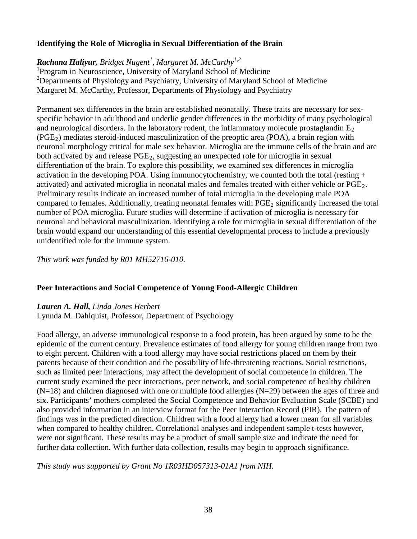# **Identifying the Role of Microglia in Sexual Differentiation of the Brain**

# *Rachana Haliyur, Bridget Nugent<sup>1</sup> , Margaret M. McCarthy1,2*

<sup>1</sup>Program in Neuroscience, University of Maryland School of Medicine <sup>2</sup>Departments of Physiology and Psychiatry, University of Maryland School of Medicine Margaret M. McCarthy, Professor, Departments of Physiology and Psychiatry

Permanent sex differences in the brain are established neonatally. These traits are necessary for sexspecific behavior in adulthood and underlie gender differences in the morbidity of many psychological and neurological disorders. In the laboratory rodent, the inflammatory molecule prostaglandin  $E_2$  $(PGE<sub>2</sub>)$  mediates steroid-induced masculinization of the preoptic area (POA), a brain region with neuronal morphology critical for male sex behavior. Microglia are the immune cells of the brain and are both activated by and release  $PGE<sub>2</sub>$ , suggesting an unexpected role for microglia in sexual differentiation of the brain. To explore this possibility, we examined sex differences in microglia activation in the developing POA. Using immunocytochemistry, we counted both the total (resting  $+$ activated) and activated microglia in neonatal males and females treated with either vehicle or PGE2. Preliminary results indicate an increased number of total microglia in the developing male POA compared to females. Additionally, treating neonatal females with  $PGE<sub>2</sub>$  significantly increased the total number of POA microglia. Future studies will determine if activation of microglia is necessary for neuronal and behavioral masculinization. Identifying a role for microglia in sexual differentiation of the brain would expand our understanding of this essential developmental process to include a previously unidentified role for the immune system.

*This work was funded by R01 MH52716-010.*

# **Peer Interactions and Social Competence of Young Food-Allergic Children**

# *Lauren A. Hall, Linda Jones Herbert*

Lynnda M. Dahlquist, Professor, Department of Psychology

Food allergy, an adverse immunological response to a food protein, has been argued by some to be the epidemic of the current century. Prevalence estimates of food allergy for young children range from two to eight percent. Children with a food allergy may have social restrictions placed on them by their parents because of their condition and the possibility of life-threatening reactions. Social restrictions, such as limited peer interactions, may affect the development of social competence in children. The current study examined the peer interactions, peer network, and social competence of healthy children  $(N=18)$  and children diagnosed with one or multiple food allergies  $(N=29)$  between the ages of three and six. Participants' mothers completed the Social Competence and Behavior Evaluation Scale (SCBE) and also provided information in an interview format for the Peer Interaction Record (PIR). The pattern of findings was in the predicted direction. Children with a food allergy had a lower mean for all variables when compared to healthy children. Correlational analyses and independent sample t-tests however, were not significant. These results may be a product of small sample size and indicate the need for further data collection. With further data collection, results may begin to approach significance.

*This study was supported by Grant No 1R03HD057313-01A1 from NIH.*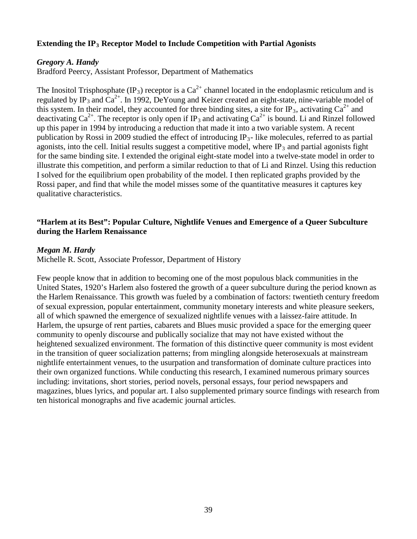# **Extending the IP3 Receptor Model to Include Competition with Partial Agonists**

### *Gregory A. Handy*

Bradford Peercy, Assistant Professor, Department of Mathematics

The Inositol Trisphosphate (IP<sub>3</sub>) receptor is a  $Ca^{2+}$  channel located in the endoplasmic reticulum and is regulated by IP<sub>3</sub> and  $Ca^{2+}$ . In 1992, DeYoung and Keizer created an eight-state, nine-variable model of this system. In their model, they accounted for three binding sites, a site for IP<sub>3</sub>, activating  $Ca^{2+}$  and deactivating  $Ca^{2+}$ . The receptor is only open if IP<sub>3</sub> and activating  $Ca^{2+}$  is bound. Li and Rinzel followed up this paper in 1994 by introducing a reduction that made it into a two variable system. A recent publication by Rossi in 2009 studied the effect of introducing  $IP_3$ - like molecules, referred to as partial agonists, into the cell. Initial results suggest a competitive model, where  $IP_3$  and partial agonists fight for the same binding site. I extended the original eight-state model into a twelve-state model in order to illustrate this competition, and perform a similar reduction to that of Li and Rinzel. Using this reduction I solved for the equilibrium open probability of the model. I then replicated graphs provided by the Rossi paper, and find that while the model misses some of the quantitative measures it captures key qualitative characteristics.

# **"Harlem at its Best": Popular Culture, Nightlife Venues and Emergence of a Queer Subculture during the Harlem Renaissance**

### *Megan M. Hardy*

Michelle R. Scott, Associate Professor, Department of History

Few people know that in addition to becoming one of the most populous black communities in the United States, 1920's Harlem also fostered the growth of a queer subculture during the period known as the Harlem Renaissance. This growth was fueled by a combination of factors: twentieth century freedom of sexual expression, popular entertainment, community monetary interests and white pleasure seekers, all of which spawned the emergence of sexualized nightlife venues with a laissez-faire attitude. In Harlem, the upsurge of rent parties, cabarets and Blues music provided a space for the emerging queer community to openly discourse and publically socialize that may not have existed without the heightened sexualized environment. The formation of this distinctive queer community is most evident in the transition of queer socialization patterns; from mingling alongside heterosexuals at mainstream nightlife entertainment venues, to the usurpation and transformation of dominate culture practices into their own organized functions. While conducting this research, I examined numerous primary sources including: invitations, short stories, period novels, personal essays, four period newspapers and magazines, blues lyrics, and popular art. I also supplemented primary source findings with research from ten historical monographs and five academic journal articles.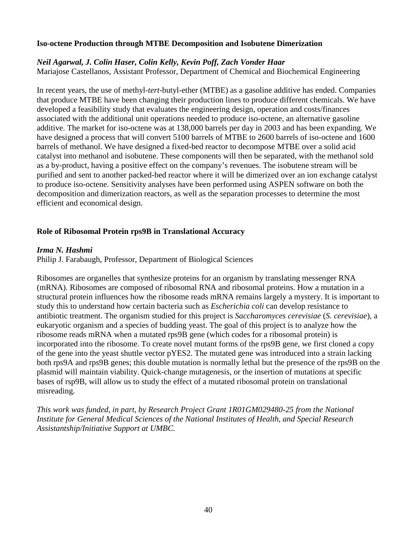### **Iso-octene Production through MTBE Decomposition and Isobutene Dimerization**

### *Neil Agarwal, J. Colin Haser, Colin Kelly, Kevin Poff, Zach Vonder Haar*

Mariajose Castellanos, Assistant Professor, Department of Chemical and Biochemical Engineering

In recent years, the use of methyl-*tert*-butyl-ether (MTBE) as a gasoline additive has ended. Companies that produce MTBE have been changing their production lines to produce different chemicals. We have developed a feasibility study that evaluates the engineering design, operation and costs/finances associated with the additional unit operations needed to produce iso-octene, an alternative gasoline additive. The market for iso-octene was at 138,000 barrels per day in 2003 and has been expanding. We have designed a process that will convert 5100 barrels of MTBE to 2600 barrels of iso-octene and 1600 barrels of methanol. We have designed a fixed-bed reactor to decompose MTBE over a solid acid catalyst into methanol and isobutene. These components will then be separated, with the methanol sold as a by-product, having a positive effect on the company's revenues. The isobutene stream will be purified and sent to another packed-bed reactor where it will be dimerized over an ion exchange catalyst to produce iso-octene. Sensitivity analyses have been performed using ASPEN software on both the decomposition and dimerization reactors, as well as the separation processes to determine the most efficient and economical design.

# **Role of Ribosomal Protein rps9B in Translational Accuracy**

### *Irma N. Hashmi*

Philip J. Farabaugh, Professor, Department of Biological Sciences

Ribosomes are organelles that synthesize proteins for an organism by translating messenger RNA (mRNA). Ribosomes are composed of ribosomal RNA and ribosomal proteins. How a mutation in a structural protein influences how the ribosome reads mRNA remains largely a mystery. It is important to study this to understand how certain bacteria such as *Escherichia coli* can develop resistance to antibiotic treatment. The organism studied for this project is *Saccharomyces cerevisiae* (*S. cerevisiae*), a eukaryotic organism and a species of budding yeast. The goal of this project is to analyze how the ribosome reads mRNA when a mutated rps9B gene (which codes for a ribosomal protein) is incorporated into the ribosome. To create novel mutant forms of the rps9B gene, we first cloned a copy of the gene into the yeast shuttle vector pYES2. The mutated gene was introduced into a strain lacking both rps9A and rps9B genes; this double mutation is normally lethal but the presence of the rps9B on the plasmid will maintain viability. Quick-change mutagenesis, or the insertion of mutations at specific bases of rsp9B, will allow us to study the effect of a mutated ribosomal protein on translational misreading.

*This work was funded, in part, by Research Project Grant 1R01GM029480-25 from the National Institute for General Medical Sciences of the National Institutes of Health, and Special Research Assistantship/Initiative Support at UMBC.*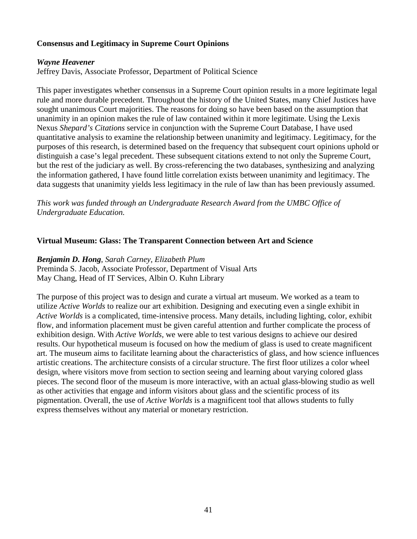# **Consensus and Legitimacy in Supreme Court Opinions**

# *Wayne Heavener*

Jeffrey Davis, Associate Professor, Department of Political Science

This paper investigates whether consensus in a Supreme Court opinion results in a more legitimate legal rule and more durable precedent. Throughout the history of the United States, many Chief Justices have sought unanimous Court majorities. The reasons for doing so have been based on the assumption that unanimity in an opinion makes the rule of law contained within it more legitimate. Using the Lexis Nexus *Shepard's Citations* service in conjunction with the Supreme Court Database, I have used quantitative analysis to examine the relationship between unanimity and legitimacy. Legitimacy, for the purposes of this research, is determined based on the frequency that subsequent court opinions uphold or distinguish a case's legal precedent. These subsequent citations extend to not only the Supreme Court, but the rest of the judiciary as well. By cross-referencing the two databases, synthesizing and analyzing the information gathered, I have found little correlation exists between unanimity and legitimacy. The data suggests that unanimity yields less legitimacy in the rule of law than has been previously assumed.

*This work was funded through an Undergraduate Research Award from the UMBC Office of Undergraduate Education.*

### **Virtual Museum: Glass: The Transparent Connection between Art and Science**

*Benjamin D. Hong*, *Sarah Carney, Elizabeth Plum* Preminda S. Jacob, Associate Professor, Department of Visual Arts May Chang, Head of IT Services, Albin O. Kuhn Library

The purpose of this project was to design and curate a virtual art museum. We worked as a team to utilize *Active Worlds* to realize our art exhibition. Designing and executing even a single exhibit in *Active Worlds* is a complicated, time-intensive process. Many details, including lighting, color, exhibit flow, and information placement must be given careful attention and further complicate the process of exhibition design. With *Active Worlds,* we were able to test various designs to achieve our desired results. Our hypothetical museum is focused on how the medium of glass is used to create magnificent art. The museum aims to facilitate learning about the characteristics of glass, and how science influences artistic creations. The architecture consists of a circular structure. The first floor utilizes a color wheel design, where visitors move from section to section seeing and learning about varying colored glass pieces. The second floor of the museum is more interactive, with an actual glass-blowing studio as well as other activities that engage and inform visitors about glass and the scientific process of its pigmentation. Overall, the use of *Active Worlds* is a magnificent tool that allows students to fully express themselves without any material or monetary restriction.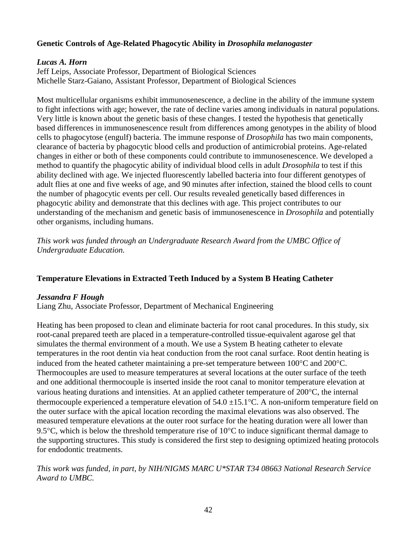# **Genetic Controls of Age-Related Phagocytic Ability in** *Drosophila melanogaster*

# *Lucas A. Horn*

Jeff Leips, Associate Professor, Department of Biological Sciences Michelle Starz-Gaiano, Assistant Professor, Department of Biological Sciences

Most multicellular organisms exhibit immunosenescence, a decline in the ability of the immune system to fight infections with age; however, the rate of decline varies among individuals in natural populations. Very little is known about the genetic basis of these changes. I tested the hypothesis that genetically based differences in immunosenescence result from differences among genotypes in the ability of blood cells to phagocytose (engulf) bacteria. The immune response of *Drosophila* has two main components, clearance of bacteria by phagocytic blood cells and production of antimicrobial proteins. Age-related changes in either or both of these components could contribute to immunosenescence. We developed a method to quantify the phagocytic ability of individual blood cells in adult *Drosophila* to test if this ability declined with age. We injected fluorescently labelled bacteria into four different genotypes of adult flies at one and five weeks of age, and 90 minutes after infection, stained the blood cells to count the number of phagocytic events per cell. Our results revealed genetically based differences in phagocytic ability and demonstrate that this declines with age. This project contributes to our understanding of the mechanism and genetic basis of immunosenescence in *Drosophila* and potentially other organisms, including humans.

*This work was funded through an Undergraduate Research Award from the UMBC Office of Undergraduate Education.*

# **Temperature Elevations in Extracted Teeth Induced by a System B Heating Catheter**

# *Jessandra F Hough*

Liang Zhu, Associate Professor, Department of Mechanical Engineering

Heating has been proposed to clean and eliminate bacteria for root canal procedures. In this study, six root-canal prepared teeth are placed in a temperature-controlled tissue-equivalent agarose gel that simulates the thermal environment of a mouth. We use a System B heating catheter to elevate temperatures in the root dentin via heat conduction from the root canal surface. Root dentin heating is induced from the heated catheter maintaining a pre-set temperature between 100°C and 200°C. Thermocouples are used to measure temperatures at several locations at the outer surface of the teeth and one additional thermocouple is inserted inside the root canal to monitor temperature elevation at various heating durations and intensities. At an applied catheter temperature of 200°C, the internal thermocouple experienced a temperature elevation of  $54.0 \pm 15.1$ °C. A non-uniform temperature field on the outer surface with the apical location recording the maximal elevations was also observed. The measured temperature elevations at the outer root surface for the heating duration were all lower than 9.5°C, which is below the threshold temperature rise of 10°C to induce significant thermal damage to the supporting structures. This study is considered the first step to designing optimized heating protocols for endodontic treatments.

*This work was funded, in part, by NIH/NIGMS MARC U\*STAR T34 08663 National Research Service Award to UMBC.*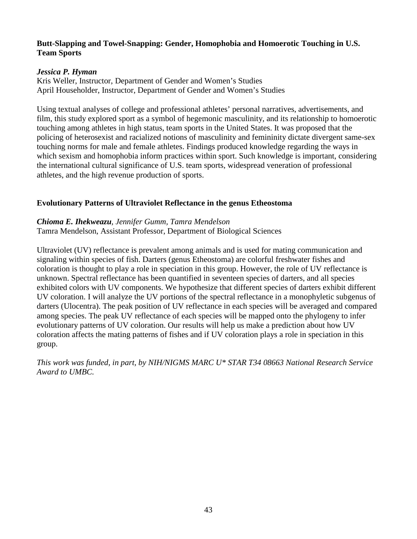# **Butt-Slapping and Towel-Snapping: Gender, Homophobia and Homoerotic Touching in U.S. Team Sports**

### *Jessica P. Hyman*

Kris Weller, Instructor, Department of Gender and Women's Studies April Householder, Instructor, Department of Gender and Women's Studies

Using textual analyses of college and professional athletes' personal narratives, advertisements, and film, this study explored sport as a symbol of hegemonic masculinity, and its relationship to homoerotic touching among athletes in high status, team sports in the United States. It was proposed that the policing of heterosexist and racialized notions of masculinity and femininity dictate divergent same-sex touching norms for male and female athletes. Findings produced knowledge regarding the ways in which sexism and homophobia inform practices within sport. Such knowledge is important, considering the international cultural significance of U.S. team sports, widespread veneration of professional athletes, and the high revenue production of sports.

### **Evolutionary Patterns of Ultraviolet Reflectance in the genus Etheostoma**

### *Chioma E. Ihekweazu, Jennifer Gumm, Tamra Mendelson* Tamra Mendelson, Assistant Professor, Department of Biological Sciences

Ultraviolet (UV) reflectance is prevalent among animals and is used for mating communication and signaling within species of fish. Darters (genus Etheostoma) are colorful freshwater fishes and coloration is thought to play a role in speciation in this group. However, the role of UV reflectance is unknown. Spectral reflectance has been quantified in seventeen species of darters, and all species exhibited colors with UV components. We hypothesize that different species of darters exhibit different UV coloration. I will analyze the UV portions of the spectral reflectance in a monophyletic subgenus of darters (Ulocentra). The peak position of UV reflectance in each species will be averaged and compared among species. The peak UV reflectance of each species will be mapped onto the phylogeny to infer evolutionary patterns of UV coloration. Our results will help us make a prediction about how UV coloration affects the mating patterns of fishes and if UV coloration plays a role in speciation in this group.

*This work was funded, in part, by NIH/NIGMS MARC U\* STAR T34 08663 National Research Service Award to UMBC.*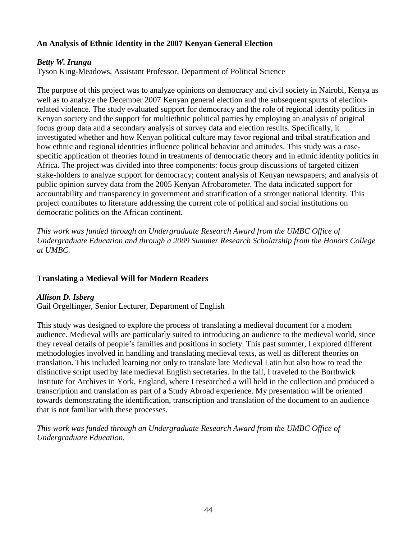# **An Analysis of Ethnic Identity in the 2007 Kenyan General Election**

# *Betty W. Irungu*

Tyson King-Meadows, Assistant Professor, Department of Political Science

The purpose of this project was to analyze opinions on democracy and civil society in Nairobi, Kenya as well as to analyze the December 2007 Kenyan general election and the subsequent spurts of electionrelated violence. The study evaluated support for democracy and the role of regional identity politics in Kenyan society and the support for multiethnic political parties by employing an analysis of original focus group data and a secondary analysis of survey data and election results. Specifically, it investigated whether and how Kenyan political culture may favor regional and tribal stratification and how ethnic and regional identities influence political behavior and attitudes. This study was a casespecific application of theories found in treatments of democratic theory and in ethnic identity politics in Africa. The project was divided into three components: focus group discussions of targeted citizen stake-holders to analyze support for democracy; content analysis of Kenyan newspapers; and analysis of public opinion survey data from the 2005 Kenyan Afrobarometer. The data indicated support for accountability and transparency in government and stratification of a stronger national identity. This project contributes to literature addressing the current role of political and social institutions on democratic politics on the African continent.

*This work was funded through an Undergraduate Research Award from the UMBC Office of Undergraduate Education and through a 2009 Summer Research Scholarship from the Honors College at UMBC.*

# **Translating a Medieval Will for Modern Readers**

# *Allison D. Isberg*

Gail Orgelfinger, Senior Lecturer, Department of English

This study was designed to explore the process of translating a medieval document for a modern audience. Medieval wills are particularly suited to introducing an audience to the medieval world, since they reveal details of people's families and positions in society. This past summer, I explored different methodologies involved in handling and translating medieval texts, as well as different theories on translation. This included learning not only to translate late Medieval Latin but also how to read the distinctive script used by late medieval English secretaries. In the fall, I traveled to the Borthwick Institute for Archives in York, England, where I researched a will held in the collection and produced a transcription and translation as part of a Study Abroad experience. My presentation will be oriented towards demonstrating the identification, transcription and translation of the document to an audience that is not familiar with these processes.

*This work was funded through an Undergraduate Research Award from the UMBC Office of Undergraduate Education.*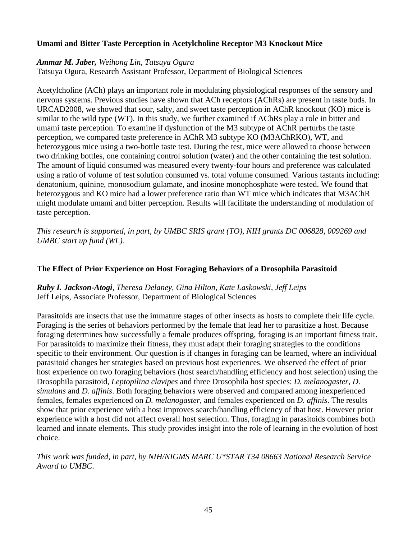# **Umami and Bitter Taste Perception in Acetylcholine Receptor M3 Knockout Mice**

# *Ammar M. Jaber, Weihong Lin, Tatsuya Ogura*

Tatsuya Ogura, Research Assistant Professor, Department of Biological Sciences

Acetylcholine (ACh) plays an important role in modulating physiological responses of the sensory and nervous systems. Previous studies have shown that ACh receptors (AChRs) are present in taste buds. In URCAD2008, we showed that sour, salty, and sweet taste perception in AChR knockout (KO) mice is similar to the wild type (WT). In this study, we further examined if AChRs play a role in bitter and umami taste perception. To examine if dysfunction of the M3 subtype of AChR perturbs the taste perception, we compared taste preference in AChR M3 subtype KO (M3AChRKO), WT, and heterozygous mice using a two-bottle taste test. During the test, mice were allowed to choose between two drinking bottles, one containing control solution (water) and the other containing the test solution. The amount of liquid consumed was measured every twenty-four hours and preference was calculated using a ratio of volume of test solution consumed vs. total volume consumed. Various tastants including: denatonium, quinine, monosodium gulamate, and inosine monophosphate were tested. We found that heterozygous and KO mice had a lower preference ratio than WT mice which indicates that M3AChR might modulate umami and bitter perception. Results will facilitate the understanding of modulation of taste perception.

*This research is supported, in part, by UMBC SRIS grant (TO), NIH grants DC 006828, 009269 and UMBC start up fund (WL).*

# **The Effect of Prior Experience on Host Foraging Behaviors of a Drosophila Parasitoid**

# *Ruby I. Jackson-Atogi, Theresa Delaney, Gina Hilton, Kate Laskowski, Jeff Leips* Jeff Leips, Associate Professor, Department of Biological Sciences

Parasitoids are insects that use the immature stages of other insects as hosts to complete their life cycle. Foraging is the series of behaviors performed by the female that lead her to parasitize a host. Because foraging determines how successfully a female produces offspring, foraging is an important fitness trait. For parasitoids to maximize their fitness, they must adapt their foraging strategies to the conditions specific to their environment. Our question is if changes in foraging can be learned, where an individual parasitoid changes her strategies based on previous host experiences. We observed the effect of prior host experience on two foraging behaviors (host search/handling efficiency and host selection) using the Drosophila parasitoid, *Leptopilina clavipes* and three Drosophila host species: *D. melanogaster*, *D. simulans* and *D. affinis*. Both foraging behaviors were observed and compared among inexperienced females, females experienced on *D. melanogaster*, and females experienced on *D. affinis*. The results show that prior experience with a host improves search/handling efficiency of that host. However prior experience with a host did not affect overall host selection. Thus, foraging in parasitoids combines both learned and innate elements. This study provides insight into the role of learning in the evolution of host choice.

*This work was funded, in part, by NIH/NIGMS MARC U\*STAR T34 08663 National Research Service Award to UMBC*.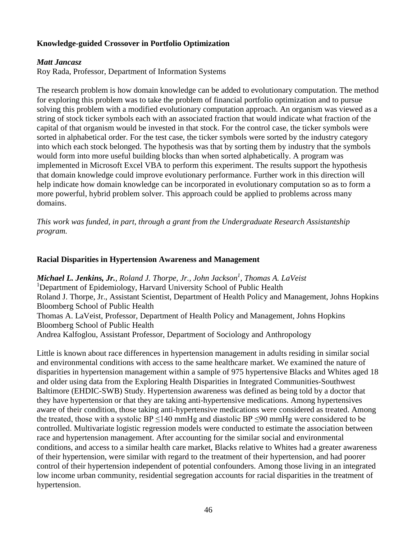# **Knowledge-guided Crossover in Portfolio Optimization**

# *Matt Jancasz*

Roy Rada, Professor, Department of Information Systems

The research problem is how domain knowledge can be added to evolutionary computation. The method for exploring this problem was to take the problem of financial portfolio optimization and to pursue solving this problem with a modified evolutionary computation approach. An organism was viewed as a string of stock ticker symbols each with an associated fraction that would indicate what fraction of the capital of that organism would be invested in that stock. For the control case, the ticker symbols were sorted in alphabetical order. For the test case, the ticker symbols were sorted by the industry category into which each stock belonged. The hypothesis was that by sorting them by industry that the symbols would form into more useful building blocks than when sorted alphabetically. A program was implemented in Microsoft Excel VBA to perform this experiment. The results support the hypothesis that domain knowledge could improve evolutionary performance. Further work in this direction will help indicate how domain knowledge can be incorporated in evolutionary computation so as to form a more powerful, hybrid problem solver. This approach could be applied to problems across many domains.

*This work was funded, in part, through a grant from the Undergraduate Research Assistantship program.*

# **Racial Disparities in Hypertension Awareness and Management**

**Michael L. Jenkins, Jr.**, Roland J. Thorpe, Jr., John Jackson<sup>1</sup>, Thomas A. LaVeist <sup>1</sup>Department of Epidemiology, Harvard University School of Public Health Roland J. Thorpe, Jr., Assistant Scientist, Department of Health Policy and Management, Johns Hopkins Bloomberg School of Public Health Thomas A. LaVeist, Professor, Department of Health Policy and Management, Johns Hopkins Bloomberg School of Public Health Andrea Kalfoglou, Assistant Professor, Department of Sociology and Anthropology

Little is known about race differences in hypertension management in adults residing in similar social and environmental conditions with access to the same healthcare market. We examined the nature of disparities in hypertension management within a sample of 975 hypertensive Blacks and Whites aged 18 and older using data from the Exploring Health Disparities in Integrated Communities-Southwest Baltimore (EHDIC-SWB) Study. Hypertension awareness was defined as being told by a doctor that they have hypertension or that they are taking anti-hypertensive medications. Among hypertensives aware of their condition, those taking anti-hypertensive medications were considered as treated. Among the treated, those with a systolic BP  $\leq$ 140 mmHg and diastolic BP  $\leq$ 90 mmHg were considered to be controlled. Multivariate logistic regression models were conducted to estimate the association between race and hypertension management. After accounting for the similar social and environmental conditions, and access to a similar health care market, Blacks relative to Whites had a greater awareness of their hypertension, were similar with regard to the treatment of their hypertension, and had poorer control of their hypertension independent of potential confounders. Among those living in an integrated low income urban community, residential segregation accounts for racial disparities in the treatment of hypertension.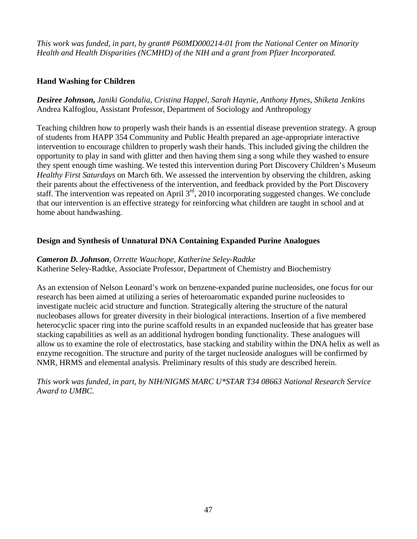*This work was funded, in part, by grant# P60MD000214-01 from the National Center on Minority Health and Health Disparities (NCMHD) of the NIH and a grant from Pfizer Incorporated.*

# **Hand Washing for Children**

*Desiree Johnson, Janiki Gondalia, Cristina Happel, Sarah Haynie, Anthony Hynes, Shiketa Jenkins* Andrea Kalfoglou, Assistant Professor, Department of Sociology and Anthropology

Teaching children how to properly wash their hands is an essential disease prevention strategy. A group of students from HAPP 354 Community and Public Health prepared an age-appropriate interactive intervention to encourage children to properly wash their hands. This included giving the children the opportunity to play in sand with glitter and then having them sing a song while they washed to ensure they spent enough time washing. We tested this intervention during Port Discovery Children's Museum *Healthy First Saturdays* on March 6th. We assessed the intervention by observing the children, asking their parents about the effectiveness of the intervention, and feedback provided by the Port Discovery staff. The intervention was repeated on April 3<sup>rd</sup>, 2010 incorporating suggested changes. We conclude that our intervention is an effective strategy for reinforcing what children are taught in school and at home about handwashing.

# **Design and Synthesis of Unnatural DNA Containing Expanded Purine Analogues**

# *Cameron D. Johnson, Orrette Wauchope, Katherine Seley-Radtke*

Katherine Seley-Radtke, Associate Professor, Department of Chemistry and Biochemistry

As an extension of Nelson Leonard's work on benzene-expanded purine nucleosides, one focus for our research has been aimed at utilizing a series of heteroaromatic expanded purine nucleosides to investigate nucleic acid structure and function. Strategically altering the structure of the natural nucleobases allows for greater diversity in their biological interactions. Insertion of a five membered heterocyclic spacer ring into the purine scaffold results in an expanded nucleoside that has greater base stacking capabilities as well as an additional hydrogen bonding functionality. These analogues will allow us to examine the role of electrostatics, base stacking and stability within the DNA helix as well as enzyme recognition. The structure and purity of the target nucleoside analogues will be confirmed by NMR, HRMS and elemental analysis. Preliminary results of this study are described herein.

*This work was funded, in part, by NIH/NIGMS MARC U\*STAR T34 08663 National Research Service Award to UMBC.*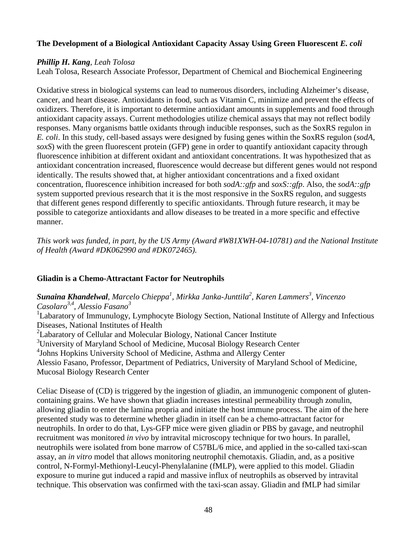# **The Development of a Biological Antioxidant Capacity Assay Using Green Fluorescent** *E. coli*

### *Phillip H. Kang, Leah Tolosa*

Leah Tolosa, Research Associate Professor, Department of Chemical and Biochemical Engineering

Oxidative stress in biological systems can lead to numerous disorders, including Alzheimer's disease, cancer, and heart disease. Antioxidants in food, such as Vitamin C, minimize and prevent the effects of oxidizers. Therefore, it is important to determine antioxidant amounts in supplements and food through antioxidant capacity assays. Current methodologies utilize chemical assays that may not reflect bodily responses. Many organisms battle oxidants through inducible responses, such as the SoxRS regulon in *E. coli*. In this study, cell-based assays were designed by fusing genes within the SoxRS regulon (*sodA*, *soxS*) with the green fluorescent protein (GFP) gene in order to quantify antioxidant capacity through fluorescence inhibition at different oxidant and antioxidant concentrations. It was hypothesized that as antioxidant concentration increased, fluorescence would decrease but different genes would not respond identically. The results showed that, at higher antioxidant concentrations and a fixed oxidant concentration, fluorescence inhibition increased for both *sodA::gfp* and *soxS::gfp*. Also, the *sodA::gfp*  system supported previous research that it is the most responsive in the SoxRS regulon, and suggests that different genes respond differently to specific antioxidants. Through future research, it may be possible to categorize antioxidants and allow diseases to be treated in a more specific and effective manner.

*This work was funded, in part, by the US Army (Award #W81XWH-04-10781) and the National Institute of Health (Award #DK062990 and #DK072465).*

# **Gliadin is a Chemo-Attractant Factor for Neutrophils**

*Sunaina Khandelwal, Marcelo Chieppa<sup>1</sup> , Mirkka Janka-Junttila<sup>2</sup> , Karen Lammers<sup>3</sup> , Vincenzo Casolaro3,4, Alessio Fasano3*

<sup>1</sup>Labaratory of Immunulogy, Lymphocyte Biology Section, National Institute of Allergy and Infectious Diseases, National Institutes of Health

 $2$ Labaratory of Cellular and Molecular Biology, National Cancer Institute

<sup>3</sup>University of Maryland School of Medicine, Mucosal Biology Research Center

4 Johns Hopkins University School of Medicine, Asthma and Allergy Center

Alessio Fasano, Professor, Department of Pediatrics, University of Maryland School of Medicine, Mucosal Biology Research Center

Celiac Disease of (CD) is triggered by the ingestion of gliadin, an immunogenic component of glutencontaining grains. We have shown that gliadin increases intestinal permeability through zonulin, allowing gliadin to enter the lamina propria and initiate the host immune process. The aim of the here presented study was to determine whether gliadin in itself can be a chemo-attractant factor for neutrophils. In order to do that, Lys-GFP mice were given gliadin or PBS by gavage, and neutrophil recruitment was monitored *in vivo* by intravital microscopy technique for two hours. In parallel, neutrophils were isolated from bone marrow of C57BL/6 mice, and applied in the so-called taxi-scan assay, an *in vitro* model that allows monitoring neutrophil chemotaxis. Gliadin, and, as a positive control, N-Formyl-Methionyl-Leucyl-Phenylalanine (fMLP), were applied to this model. Gliadin exposure to murine gut induced a rapid and massive influx of neutrophils as observed by intravital technique. This observation was confirmed with the taxi-scan assay. Gliadin and fMLP had similar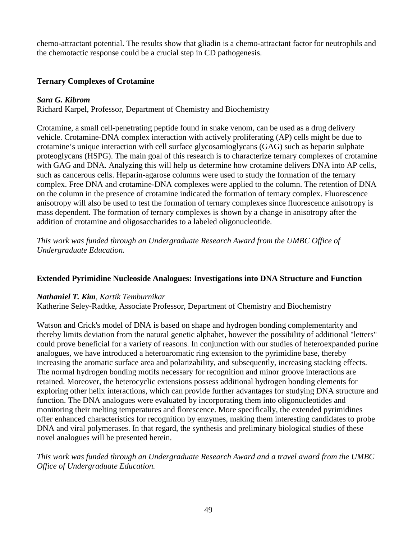chemo-attractant potential. The results show that gliadin is a chemo-attractant factor for neutrophils and the chemotactic response could be a crucial step in CD pathogenesis.

# **Ternary Complexes of Crotamine**

# *Sara G. Kibrom*

Richard Karpel, Professor, Department of Chemistry and Biochemistry

Crotamine, a small cell-penetrating peptide found in snake venom, can be used as a drug delivery vehicle. Crotamine-DNA complex interaction with actively proliferating (AP) cells might be due to crotamine's unique interaction with cell surface glycosamioglycans (GAG) such as heparin sulphate proteoglycans (HSPG). The main goal of this research is to characterize ternary complexes of crotamine with GAG and DNA. Analyzing this will help us determine how crotamine delivers DNA into AP cells, such as cancerous cells. Heparin-agarose columns were used to study the formation of the ternary complex. Free DNA and crotamine-DNA complexes were applied to the column. The retention of DNA on the column in the presence of crotamine indicated the formation of ternary complex. Fluorescence anisotropy will also be used to test the formation of ternary complexes since fluorescence anisotropy is mass dependent. The formation of ternary complexes is shown by a change in anisotropy after the addition of crotamine and oligosaccharides to a labeled oligonucleotide.

*This work was funded through an Undergraduate Research Award from the UMBC Office of Undergraduate Education.*

# **Extended Pyrimidine Nucleoside Analogues: Investigations into DNA Structure and Function**

### *Nathaniel T. Kim, Kartik Temburnikar*

Katherine Seley-Radtke, Associate Professor, Department of Chemistry and Biochemistry

Watson and Crick's model of DNA is based on shape and hydrogen bonding complementarity and thereby limits deviation from the natural genetic alphabet, however the possibility of additional "letters" could prove beneficial for a variety of reasons. In conjunction with our studies of heteroexpanded purine analogues, we have introduced a heteroaromatic ring extension to the pyrimidine base, thereby increasing the aromatic surface area and polarizability, and subsequently, increasing stacking effects. The normal hydrogen bonding motifs necessary for recognition and minor groove interactions are retained. Moreover, the heterocyclic extensions possess additional hydrogen bonding elements for exploring other helix interactions, which can provide further advantages for studying DNA structure and function. The DNA analogues were evaluated by incorporating them into oligonucleotides and monitoring their melting temperatures and florescence. More specifically, the extended pyrimidines offer enhanced characteristics for recognition by enzymes, making them interesting candidates to probe DNA and viral polymerases. In that regard, the synthesis and preliminary biological studies of these novel analogues will be presented herein.

*This work was funded through an Undergraduate Research Award and a travel award from the UMBC Office of Undergraduate Education.*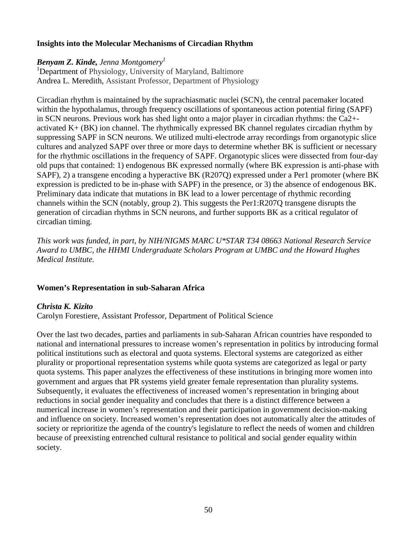# **Insights into the Molecular Mechanisms of Circadian Rhythm**

### *Benyam Z. Kinde, Jenna Montgomery1*

<sup>1</sup>Department of Physiology, University of Maryland, Baltimore Andrea L. Meredith, Assistant Professor, Department of Physiology

Circadian rhythm is maintained by the suprachiasmatic nuclei (SCN), the central pacemaker located within the hypothalamus, through frequency oscillations of spontaneous action potential firing (SAPF) in SCN neurons. Previous work has shed light onto a major player in circadian rhythms: the Ca2+ activated K+ (BK) ion channel. The rhythmically expressed BK channel regulates circadian rhythm by suppressing SAPF in SCN neurons. We utilized multi-electrode array recordings from organotypic slice cultures and analyzed SAPF over three or more days to determine whether BK is sufficient or necessary for the rhythmic oscillations in the frequency of SAPF. Organotypic slices were dissected from four-day old pups that contained: 1) endogenous BK expressed normally (where BK expression is anti-phase with SAPF), 2) a transgene encoding a hyperactive BK (R207Q) expressed under a Per1 promoter (where BK expression is predicted to be in-phase with SAPF) in the presence, or 3) the absence of endogenous BK. Preliminary data indicate that mutations in BK lead to a lower percentage of rhythmic recording channels within the SCN (notably, group 2). This suggests the Per1:R207Q transgene disrupts the generation of circadian rhythms in SCN neurons, and further supports BK as a critical regulator of circadian timing.

*This work was funded, in part, by NIH/NIGMS MARC U\*STAR T34 08663 National Research Service Award to UMBC, the HHMI Undergraduate Scholars Program at UMBC and the Howard Hughes Medical Institute.*

### **Women's Representation in sub-Saharan Africa**

### *Christa K. Kizito*

Carolyn Forestiere, Assistant Professor, Department of Political Science

Over the last two decades, parties and parliaments in sub-Saharan African countries have responded to national and international pressures to increase women's representation in politics by introducing formal political institutions such as electoral and quota systems. Electoral systems are categorized as either plurality or proportional representation systems while quota systems are categorized as legal or party quota systems. This paper analyzes the effectiveness of these institutions in bringing more women into government and argues that PR systems yield greater female representation than plurality systems. Subsequently, it evaluates the effectiveness of increased women's representation in bringing about reductions in social gender inequality and concludes that there is a distinct difference between a numerical increase in women's representation and their participation in government decision-making and influence on society. Increased women's representation does not automatically alter the attitudes of society or reprioritize the agenda of the country's legislature to reflect the needs of women and children because of preexisting entrenched cultural resistance to political and social gender equality within society.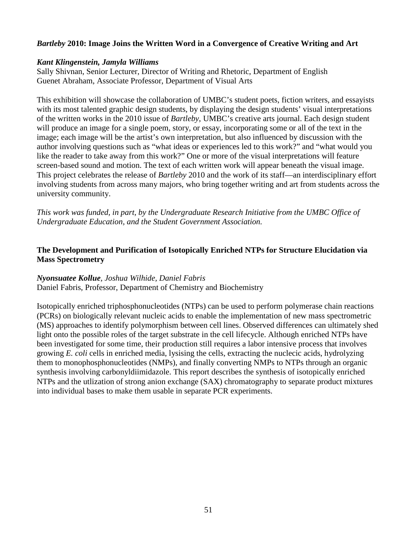# *Bartleby* **2010: Image Joins the Written Word in a Convergence of Creative Writing and Art**

### *Kant Klingenstein, Jamyla Williams*

Sally Shivnan, Senior Lecturer, Director of Writing and Rhetoric, Department of English Guenet Abraham, Associate Professor, Department of Visual Arts

This exhibition will showcase the collaboration of UMBC's student poets, fiction writers, and essayists with its most talented graphic design students, by displaying the design students' visual interpretations of the written works in the 2010 issue of *Bartleby*, UMBC's creative arts journal. Each design student will produce an image for a single poem, story, or essay, incorporating some or all of the text in the image; each image will be the artist's own interpretation, but also influenced by discussion with the author involving questions such as "what ideas or experiences led to this work?" and "what would you like the reader to take away from this work?" One or more of the visual interpretations will feature screen-based sound and motion. The text of each written work will appear beneath the visual image. This project celebrates the release of *Bartleby* 2010 and the work of its staff—an interdisciplinary effort involving students from across many majors, who bring together writing and art from students across the university community.

*This work was funded, in part, by the Undergraduate Research Initiative from the UMBC Office of Undergraduate Education, and the Student Government Association.*

# **The Development and Purification of Isotopically Enriched NTPs for Structure Elucidation via Mass Spectrometry**

# *Nyonsuatee Kollue, Joshua Wilhide, Daniel Fabris*

Daniel Fabris, Professor, Department of Chemistry and Biochemistry

Isotopically enriched triphosphonucleotides (NTPs) can be used to perform polymerase chain reactions (PCRs) on biologically relevant nucleic acids to enable the implementation of new mass spectrometric (MS) approaches to identify polymorphism between cell lines. Observed differences can ultimately shed light onto the possible roles of the target substrate in the cell lifecycle. Although enriched NTPs have been investigated for some time, their production still requires a labor intensive process that involves growing *E. coli* cells in enriched media, lysising the cells, extracting the nuclecic acids, hydrolyzing them to monophosphonucleotides (NMPs), and finally converting NMPs to NTPs through an organic synthesis involving carbonyldiimidazole. This report describes the synthesis of isotopically enriched NTPs and the utlization of strong anion exchange (SAX) chromatography to separate product mixtures into individual bases to make them usable in separate PCR experiments.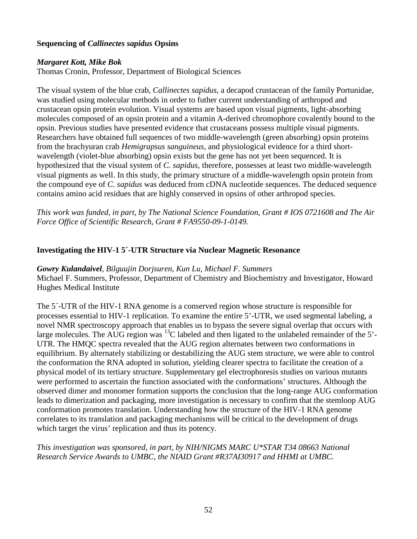# **Sequencing of** *Callinectes sapidus* **Opsins**

### *Margaret Kott, Mike Bok*

Thomas Cronin, Professor, Department of Biological Sciences

The visual system of the blue crab, *Callinectes sapidus*, a decapod crustacean of the family Portunidae, was studied using molecular methods in order to futher current understanding of arthropod and crustacean opsin protein evolution. Visual systems are based upon visual pigments, light-absorbing molecules composed of an opsin protein and a vitamin A-derived chromophore covalently bound to the opsin. Previous studies have presented evidence that crustaceans possess multiple visual pigments. Researchers have obtained full sequences of two middle-wavelength (green absorbing) opsin proteins from the brachyuran crab *Hemigrapsus sanguineus*, and physiological evidence for a third shortwavelength (violet-blue absorbing) opsin exists but the gene has not yet been sequenced. It is hypothesized that the visual system of *C. sapidus*, therefore, possesses at least two middle-wavelength visual pigments as well. In this study, the primary structure of a middle-wavelength opsin protein from the compound eye of *C. sapidus* was deduced from cDNA nucleotide sequences. The deduced sequence contains amino acid residues that are highly conserved in opsins of other arthropod species.

*This work was funded, in part, by The National Science Foundation, Grant # IOS 0721608 and The Air Force Office of Scientific Research, Grant # FA9550-09-1-0149.*

### **Investigating the HIV-1 5´-UTR Structure via Nuclear Magnetic Resonance**

*Gowry Kulandaivel, Bilguujin Dorjsuren, Kun Lu, Michael F. Summers* Michael F. Summers, Professor, Department of Chemistry and Biochemistry and Investigator, Howard Hughes Medical Institute

The 5´-UTR of the HIV-1 RNA genome is a conserved region whose structure is responsible for processes essential to HIV-1 replication. To examine the entire 5'-UTR, we used segmental labeling, a novel NMR spectroscopy approach that enables us to bypass the severe signal overlap that occurs with large molecules. The AUG region was <sup>13</sup>C labeled and then ligated to the unlabeled remainder of the 5'-UTR. The HMQC spectra revealed that the AUG region alternates between two conformations in equilibrium. By alternately stabilizing or destabilizing the AUG stem structure, we were able to control the conformation the RNA adopted in solution, yielding clearer spectra to facilitate the creation of a physical model of its tertiary structure. Supplementary gel electrophoresis studies on various mutants were performed to ascertain the function associated with the conformations' structures. Although the observed dimer and monomer formation supports the conclusion that the long-range AUG conformation leads to dimerization and packaging, more investigation is necessary to confirm that the stemloop AUG conformation promotes translation. Understanding how the structure of the HIV-1 RNA genome correlates to its translation and packaging mechanisms will be critical to the development of drugs which target the virus' replication and thus its potency.

*This investigation was sponsored, in part, by NIH/NIGMS MARC U\*STAR T34 08663 National Research Service Awards to UMBC, the NIAID Grant #R37AI30917 and HHMI at UMBC.*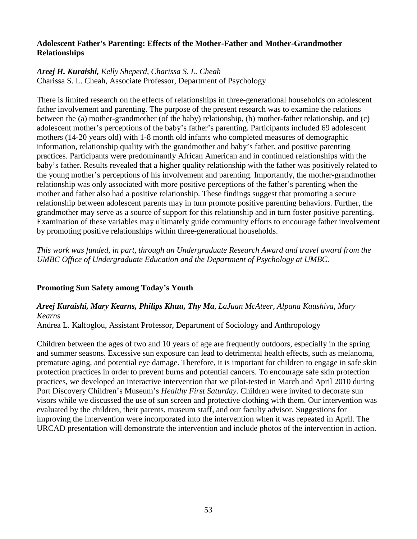# **Adolescent Father's Parenting: Effects of the Mother-Father and Mother-Grandmother Relationships**

# *Areej H. Kuraishi, Kelly Sheperd, Charissa S. L. Cheah*

Charissa S. L. Cheah, Associate Professor, Department of Psychology

There is limited research on the effects of relationships in three-generational households on adolescent father involvement and parenting. The purpose of the present research was to examine the relations between the (a) mother-grandmother (of the baby) relationship, (b) mother-father relationship, and (c) adolescent mother's perceptions of the baby's father's parenting. Participants included 69 adolescent mothers (14-20 years old) with 1-8 month old infants who completed measures of demographic information, relationship quality with the grandmother and baby's father, and positive parenting practices. Participants were predominantly African American and in continued relationships with the baby's father. Results revealed that a higher quality relationship with the father was positively related to the young mother's perceptions of his involvement and parenting. Importantly, the mother-grandmother relationship was only associated with more positive perceptions of the father's parenting when the mother and father also had a positive relationship. These findings suggest that promoting a secure relationship between adolescent parents may in turn promote positive parenting behaviors. Further, the grandmother may serve as a source of support for this relationship and in turn foster positive parenting. Examination of these variables may ultimately guide community efforts to encourage father involvement by promoting positive relationships within three-generational households.

*This work was funded, in part, through an Undergraduate Research Award and travel award from the UMBC Office of Undergraduate Education and the Department of Psychology at UMBC.*

# **Promoting Sun Safety among Today's Youth**

# *Areej Kuraishi, Mary Kearns, Philips Khuu, Thy Ma, LaJuan McAteer, Alpana Kaushiva, Mary Kearns*

Andrea L. Kalfoglou, Assistant Professor, Department of Sociology and Anthropology

Children between the ages of two and 10 years of age are frequently outdoors, especially in the spring and summer seasons. Excessive sun exposure can lead to detrimental health effects, such as melanoma, premature aging, and potential eye damage. Therefore, it is important for children to engage in safe skin protection practices in order to prevent burns and potential cancers. To encourage safe skin protection practices, we developed an interactive intervention that we pilot-tested in March and April 2010 during Port Discovery Children's Museum's *Healthy First Saturday*. Children were invited to decorate sun visors while we discussed the use of sun screen and protective clothing with them. Our intervention was evaluated by the children, their parents, museum staff, and our faculty advisor. Suggestions for improving the intervention were incorporated into the intervention when it was repeated in April. The URCAD presentation will demonstrate the intervention and include photos of the intervention in action.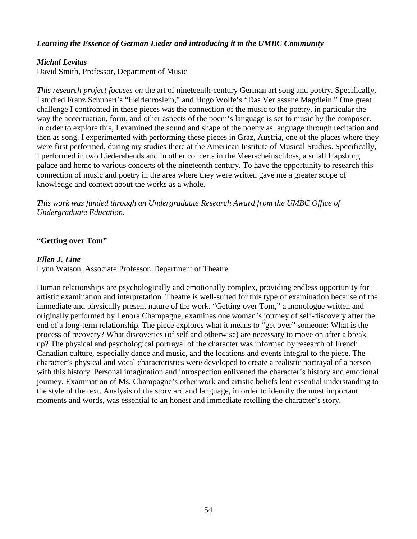# *Learning the Essence of German Lieder and introducing it to the UMBC Community*

# *Michal Levitas*

David Smith, Professor, Department of Music

*This research project focuses on* the art of nineteenth-century German art song and poetry. Specifically, I studied Franz Schubert's "Heidenroslein," and Hugo Wolfe's "Das Verlassene Magdlein." One great challenge I confronted in these pieces was the connection of the music to the poetry, in particular the way the accentuation, form, and other aspects of the poem's language is set to music by the composer. In order to explore this, I examined the sound and shape of the poetry as language through recitation and then as song. I experimented with performing these pieces in Graz, Austria, one of the places where they were first performed, during my studies there at the American Institute of Musical Studies. Specifically, I performed in two Liederabends and in other concerts in the Meerscheinschloss, a small Hapsburg palace and home to various concerts of the nineteenth century. To have the opportunity to research this connection of music and poetry in the area where they were written gave me a greater scope of knowledge and context about the works as a whole.

*This work was funded through an Undergraduate Research Award from the UMBC Office of Undergraduate Education.*

# **"Getting over Tom"**

### *Ellen J. Line*

Lynn Watson, Associate Professor, Department of Theatre

Human relationships are psychologically and emotionally complex, providing endless opportunity for artistic examination and interpretation. Theatre is well-suited for this type of examination because of the immediate and physically present nature of the work. "Getting over Tom," a monologue written and originally performed by Lenora Champagne, examines one woman's journey of self-discovery after the end of a long-term relationship. The piece explores what it means to "get over" someone: What is the process of recovery? What discoveries (of self and otherwise) are necessary to move on after a break up? The physical and psychological portrayal of the character was informed by research of French Canadian culture, especially dance and music, and the locations and events integral to the piece. The character's physical and vocal characteristics were developed to create a realistic portrayal of a person with this history. Personal imagination and introspection enlivened the character's history and emotional journey. Examination of Ms. Champagne's other work and artistic beliefs lent essential understanding to the style of the text. Analysis of the story arc and language, in order to identify the most important moments and words, was essential to an honest and immediate retelling the character's story.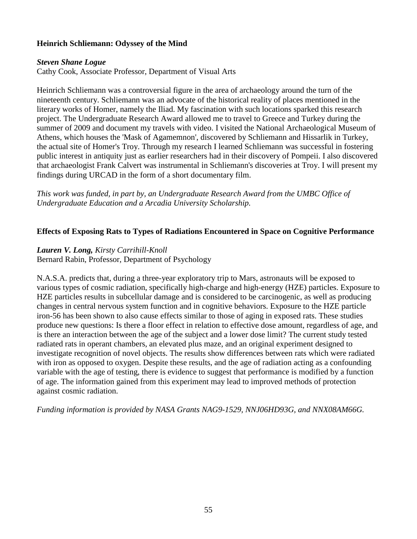# **Heinrich Schliemann: Odyssey of the Mind**

### *Steven Shane Logue*

Cathy Cook, Associate Professor, Department of Visual Arts

Heinrich Schliemann was a controversial figure in the area of archaeology around the turn of the nineteenth century. Schliemann was an advocate of the historical reality of places mentioned in the literary works of Homer, namely the Iliad. My fascination with such locations sparked this research project. The Undergraduate Research Award allowed me to travel to Greece and Turkey during the summer of 2009 and document my travels with video. I visited the National Archaeological Museum of Athens, which houses the 'Mask of Agamemnon', discovered by Schliemann and Hissarlik in Turkey, the actual site of Homer's Troy. Through my research I learned Schliemann was successful in fostering public interest in antiquity just as earlier researchers had in their discovery of Pompeii. I also discovered that archaeologist Frank Calvert was instrumental in Schliemann's discoveries at Troy. I will present my findings during URCAD in the form of a short documentary film.

*This work was funded, in part by, an Undergraduate Research Award from the UMBC Office of Undergraduate Education and a Arcadia University Scholarship.*

### **Effects of Exposing Rats to Types of Radiations Encountered in Space on Cognitive Performance**

### *Lauren V. Long, Kirsty Carrihill-Knoll*

Bernard Rabin, Professor, Department of Psychology

N.A.S.A. predicts that, during a three-year exploratory trip to Mars, astronauts will be exposed to various types of cosmic radiation, specifically high-charge and high-energy (HZE) particles. Exposure to HZE particles results in subcellular damage and is considered to be carcinogenic, as well as producing changes in central nervous system function and in cognitive behaviors. Exposure to the HZE particle iron-56 has been shown to also cause effects similar to those of aging in exposed rats. These studies produce new questions: Is there a floor effect in relation to effective dose amount, regardless of age, and is there an interaction between the age of the subject and a lower dose limit? The current study tested radiated rats in operant chambers, an elevated plus maze, and an original experiment designed to investigate recognition of novel objects. The results show differences between rats which were radiated with iron as opposed to oxygen. Despite these results, and the age of radiation acting as a confounding variable with the age of testing, there is evidence to suggest that performance is modified by a function of age. The information gained from this experiment may lead to improved methods of protection against cosmic radiation.

*Funding information is provided by NASA Grants NAG9-1529, NNJ06HD93G, and NNX08AM66G.*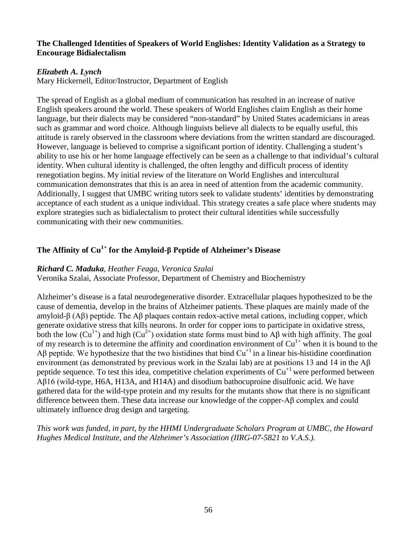### **The Challenged Identities of Speakers of World Englishes: Identity Validation as a Strategy to Encourage Bidialectalism**

# *Elizabeth A. Lynch*

Mary Hickernell, Editor/Instructor, Department of English

The spread of English as a global medium of communication has resulted in an increase of native English speakers around the world. These speakers of World Englishes claim English as their home language, but their dialects may be considered "non-standard" by United States academicians in areas such as grammar and word choice. Although linguists believe all dialects to be equally useful, this attitude is rarely observed in the classroom where deviations from the written standard are discouraged. However, language is believed to comprise a significant portion of identity. Challenging a student's ability to use his or her home language effectively can be seen as a challenge to that individual's cultural identity. When cultural identity is challenged, the often lengthy and difficult process of identity renegotiation begins. My initial review of the literature on World Englishes and intercultural communication demonstrates that this is an area in need of attention from the academic community. Additionally, I suggest that UMBC writing tutors seek to validate students' identities by demonstrating acceptance of each student as a unique individual. This strategy creates a safe place where students may explore strategies such as bidialectalism to protect their cultural identities while successfully communicating with their new communities.

# **The Affinity of Cu1+ for the Amyloid-β Peptide of Alzheimer's Disease**

### *Richard C. Maduka, Heather Feaga, Veronica Szalai*

Veronika Szalai, Associate Professor, Department of Chemistry and Biochemistry

Alzheimer's disease is a fatal neurodegenerative disorder. Extracellular plaques hypothesized to be the cause of dementia, develop in the brains of Alzheimer patients. These plaques are mainly made of the amyloid-β (Aβ) peptide. The Aβ plaques contain redox-active metal cations, including copper, which generate oxidative stress that kills neurons. In order for copper ions to participate in oxidative stress, both the low ( $Cu^{1+}$ ) and high ( $Cu^{2+}$ ) oxidation state forms must bind to A $\beta$  with high affinity. The goal of my research is to determine the affinity and coordination environment of  $Cu<sup>1+</sup>$  when it is bound to the Aβ peptide. We hypothesize that the two histidines that bind  $Cu<sup>+1</sup>$  in a linear bis-histidine coordination environment (as demonstrated by previous work in the Szalai lab) are at positions 13 and 14 in the Aβ peptide sequence. To test this idea, competitive chelation experiments of  $Cu<sup>+1</sup>$  were performed between Aβ16 (wild-type, H6A, H13A, and H14A) and disodium bathocuproine disulfonic acid. We have gathered data for the wild-type protein and my results for the mutants show that there is no significant difference between them. These data increase our knowledge of the copper-Aβ complex and could ultimately influence drug design and targeting.

*This work was funded, in part, by the HHMI Undergraduate Scholars Program at UMBC, the Howard Hughes Medical Institute, and the Alzheimer's Association (IIRG-07-5821 to V.A.S.).*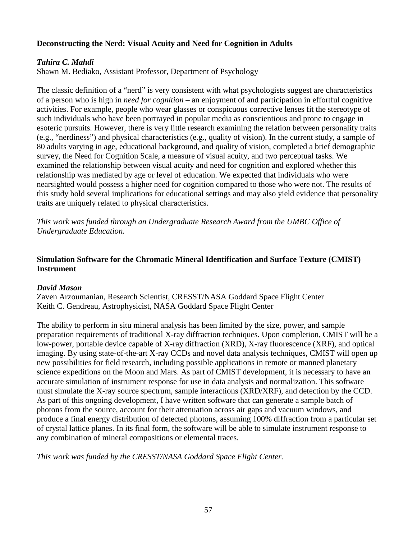# **Deconstructing the Nerd: Visual Acuity and Need for Cognition in Adults**

# *Tahira C. Mahdi*

Shawn M. Bediako, Assistant Professor, Department of Psychology

The classic definition of a "nerd" is very consistent with what psychologists suggest are characteristics of a person who is high in *need for cognition* – an enjoyment of and participation in effortful cognitive activities. For example, people who wear glasses or conspicuous corrective lenses fit the stereotype of such individuals who have been portrayed in popular media as conscientious and prone to engage in esoteric pursuits. However, there is very little research examining the relation between personality traits (e.g., "nerdiness") and physical characteristics (e.g., quality of vision). In the current study, a sample of 80 adults varying in age, educational background, and quality of vision, completed a brief demographic survey, the Need for Cognition Scale, a measure of visual acuity, and two perceptual tasks. We examined the relationship between visual acuity and need for cognition and explored whether this relationship was mediated by age or level of education. We expected that individuals who were nearsighted would possess a higher need for cognition compared to those who were not. The results of this study hold several implications for educational settings and may also yield evidence that personality traits are uniquely related to physical characteristics.

*This work was funded through an Undergraduate Research Award from the UMBC Office of Undergraduate Education.*

# **Simulation Software for the Chromatic Mineral Identification and Surface Texture (CMIST) Instrument**

# *David Mason*

Zaven Arzoumanian, Research Scientist, CRESST/NASA Goddard Space Flight Center Keith C. Gendreau, Astrophysicist, NASA Goddard Space Flight Center

The ability to perform in situ mineral analysis has been limited by the size, power, and sample preparation requirements of traditional X-ray diffraction techniques. Upon completion, CMIST will be a low-power, portable device capable of X-ray diffraction (XRD), X-ray fluorescence (XRF), and optical imaging. By using state-of-the-art X-ray CCDs and novel data analysis techniques, CMIST will open up new possibilities for field research, including possible applications in remote or manned planetary science expeditions on the Moon and Mars. As part of CMIST development, it is necessary to have an accurate simulation of instrument response for use in data analysis and normalization. This software must simulate the X-ray source spectrum, sample interactions (XRD/XRF), and detection by the CCD. As part of this ongoing development, I have written software that can generate a sample batch of photons from the source, account for their attenuation across air gaps and vacuum windows, and produce a final energy distribution of detected photons, assuming 100% diffraction from a particular set of crystal lattice planes. In its final form, the software will be able to simulate instrument response to any combination of mineral compositions or elemental traces.

*This work was funded by the CRESST/NASA Goddard Space Flight Center.*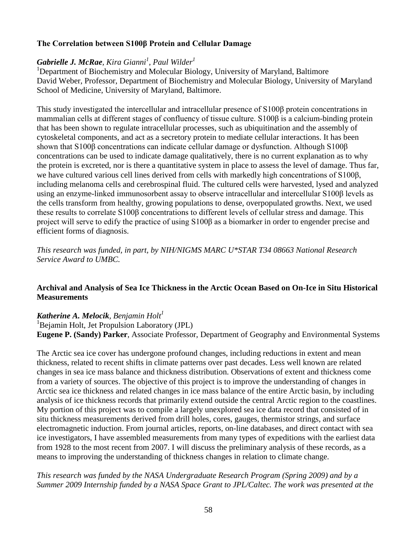# **The Correlation between S100β Protein and Cellular Damage**

# *Gabrielle J. McRae, Kira Gianni<sup>1</sup> , Paul Wilder 1*

<sup>1</sup>Department of Biochemistry and Molecular Biology, University of Maryland, Baltimore David Weber, Professor, Department of Biochemistry and Molecular Biology, University of Maryland School of Medicine, University of Maryland, Baltimore.

This study investigated the intercellular and intracellular presence of S100β protein concentrations in mammalian cells at different stages of confluency of tissue culture. S100β is a calcium-binding protein that has been shown to regulate intracellular processes, such as ubiquitination and the assembly of cytoskeletal components, and act as a secretory protein to mediate cellular interactions. It has been shown that S100β concentrations can indicate cellular damage or dysfunction. Although S100β concentrations can be used to indicate damage qualitatively, there is no current explanation as to why the protein is excreted, nor is there a quantitative system in place to assess the level of damage. Thus far, we have cultured various cell lines derived from cells with markedly high concentrations of S100β, including melanoma cells and cerebrospinal fluid. The cultured cells were harvested, lysed and analyzed using an enzyme-linked immunosorbent assay to observe intracellular and intercellular S100β levels as the cells transform from healthy, growing populations to dense, overpopulated growths. Next, we used these results to correlate S100β concentrations to different levels of cellular stress and damage. This project will serve to edify the practice of using S100β as a biomarker in order to engender precise and efficient forms of diagnosis.

*This research was funded, in part, by NIH/NIGMS MARC U\*STAR T34 08663 National Research Service Award to UMBC.*

# **Archival and Analysis of Sea Ice Thickness in the Arctic Ocean Based on On-Ice in Situ Historical Measurements**

# *Katherine A. Melocik, Benjamin Holt<sup>1</sup>*

<sup>1</sup>Bejamin Holt, Jet Propulsion Laboratory (JPL) **Eugene P. (Sandy) Parker**, Associate Professor, Department of Geography and Environmental Systems

The Arctic sea ice cover has undergone profound changes, including reductions in extent and mean thickness, related to recent shifts in climate patterns over past decades. Less well known are related changes in sea ice mass balance and thickness distribution. Observations of extent and thickness come from a variety of sources. The objective of this project is to improve the understanding of changes in Arctic sea ice thickness and related changes in ice mass balance of the entire Arctic basin, by including analysis of ice thickness records that primarily extend outside the central Arctic region to the coastlines. My portion of this project was to compile a largely unexplored sea ice data record that consisted of in situ thickness measurements derived from drill holes, cores, gauges, thermistor strings, and surface electromagnetic induction. From journal articles, reports, on-line databases, and direct contact with sea ice investigators, I have assembled measurements from many types of expeditions with the earliest data from 1928 to the most recent from 2007. I will discuss the preliminary analysis of these records, as a means to improving the understanding of thickness changes in relation to climate change.

# *This research was funded by the NASA Undergraduate Research Program (Spring 2009) and by a Summer 2009 Internship funded by a NASA Space Grant to JPL/Caltec. The work was presented at the*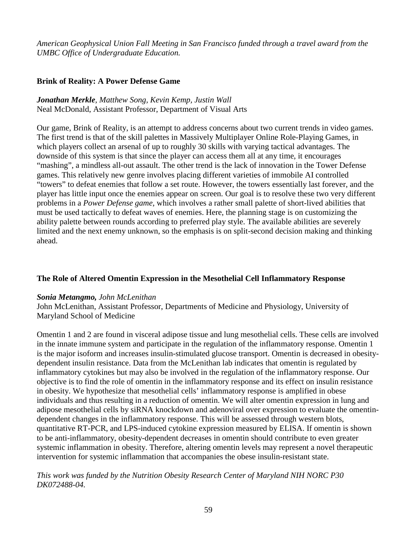*American Geophysical Union Fall Meeting in San Francisco funded through a travel award from the UMBC Office of Undergraduate Education.*

# **Brink of Reality: A Power Defense Game**

*Jonathan Merkle, Matthew Song, Kevin Kemp, Justin Wall* Neal McDonald, Assistant Professor, Department of Visual Arts

Our game, Brink of Reality, is an attempt to address concerns about two current trends in video games. The first trend is that of the skill palettes in Massively Multiplayer Online Role-Playing Games, in which players collect an arsenal of up to roughly 30 skills with varying tactical advantages. The downside of this system is that since the player can access them all at any time, it encourages "mashing", a mindless all-out assault. The other trend is the lack of innovation in the Tower Defense games. This relatively new genre involves placing different varieties of immobile AI controlled "towers" to defeat enemies that follow a set route. However, the towers essentially last forever, and the player has little input once the enemies appear on screen. Our goal is to resolve these two very different problems in a *Power Defense game*, which involves a rather small palette of short-lived abilities that must be used tactically to defeat waves of enemies. Here, the planning stage is on customizing the ability palette between rounds according to preferred play style. The available abilities are severely limited and the next enemy unknown, so the emphasis is on split-second decision making and thinking ahead.

# **The Role of Altered Omentin Expression in the Mesothelial Cell Inflammatory Response**

### *Sonia Metangmo, John McLenithan*

John McLenithan, Assistant Professor, Departments of Medicine and Physiology, University of Maryland School of Medicine

Omentin 1 and 2 are found in visceral adipose tissue and lung mesothelial cells. These cells are involved in the innate immune system and participate in the regulation of the inflammatory response. Omentin 1 is the major isoform and increases insulin-stimulated glucose transport. Omentin is decreased in obesitydependent insulin resistance. Data from the McLenithan lab indicates that omentin is regulated by inflammatory cytokines but may also be involved in the regulation of the inflammatory response. Our objective is to find the role of omentin in the inflammatory response and its effect on insulin resistance in obesity. We hypothesize that mesothelial cells' inflammatory response is amplified in obese individuals and thus resulting in a reduction of omentin. We will alter omentin expression in lung and adipose mesothelial cells by siRNA knockdown and adenoviral over expression to evaluate the omentindependent changes in the inflammatory response. This will be assessed through western blots, quantitative RT-PCR, and LPS-induced cytokine expression measured by ELISA. If omentin is shown to be anti-inflammatory, obesity-dependent decreases in omentin should contribute to even greater systemic inflammation in obesity. Therefore, altering omentin levels may represent a novel therapeutic intervention for systemic inflammation that accompanies the obese insulin-resistant state.

### *This work was funded by the Nutrition Obesity Research Center of Maryland NIH NORC P30 DK072488-04.*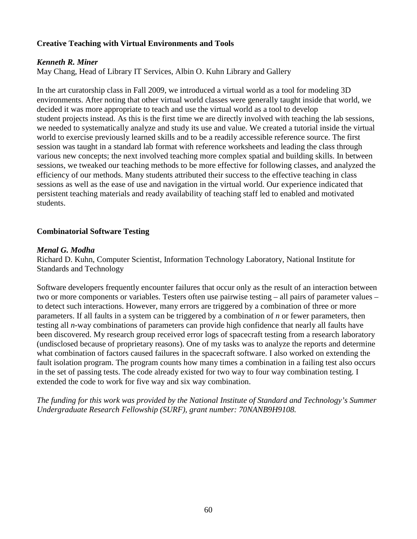# **Creative Teaching with Virtual Environments and Tools**

# *Kenneth R. Miner*

May Chang, Head of Library IT Services, Albin O. Kuhn Library and Gallery

In the art curatorship class in Fall 2009, we introduced a virtual world as a tool for modeling 3D environments. After noting that other virtual world classes were generally taught inside that world, we decided it was more appropriate to teach and use the virtual world as a tool to develop student projects instead. As this is the first time we are directly involved with teaching the lab sessions, we needed to systematically analyze and study its use and value. We created a tutorial inside the virtual world to exercise previously learned skills and to be a readily accessible reference source. The first session was taught in a standard lab format with reference worksheets and leading the class through various new concepts; the next involved teaching more complex spatial and building skills. In between sessions, we tweaked our teaching methods to be more effective for following classes, and analyzed the efficiency of our methods. Many students attributed their success to the effective teaching in class sessions as well as the ease of use and navigation in the virtual world. Our experience indicated that persistent teaching materials and ready availability of teaching staff led to enabled and motivated students.

# **Combinatorial Software Testing**

### *Menal G. Modha*

Richard D. Kuhn, Computer Scientist, Information Technology Laboratory, National Institute for Standards and Technology

Software developers frequently encounter failures that occur only as the result of an interaction between two or more components or variables. Testers often use pairwise testing – all pairs of parameter values – to detect such interactions. However, many errors are triggered by a combination of three or more parameters. If all faults in a system can be triggered by a combination of *n* or fewer parameters, then testing all *n*-way combinations of parameters can provide high confidence that nearly all faults have been discovered. My research group received error logs of spacecraft testing from a research laboratory (undisclosed because of proprietary reasons). One of my tasks was to analyze the reports and determine what combination of factors caused failures in the spacecraft software. I also worked on extending the fault isolation program. The program counts how many times a combination in a failing test also occurs in the set of passing tests. The code already existed for two way to four way combination testing. I extended the code to work for five way and six way combination.

*The funding for this work was provided by the National Institute of Standard and Technology's Summer Undergraduate Research Fellowship (SURF), grant number: 70NANB9H9108.*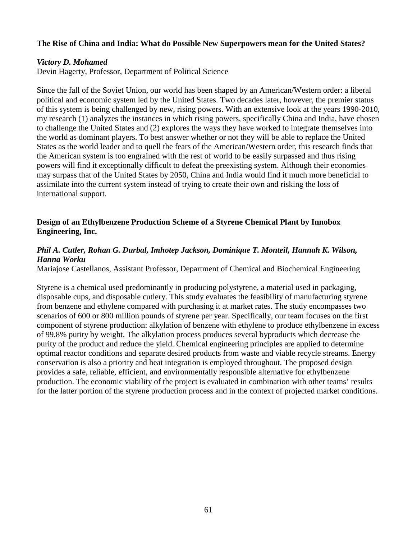### **The Rise of China and India: What do Possible New Superpowers mean for the United States?**

### *Victory D. Mohamed*

Devin Hagerty, Professor, Department of Political Science

Since the fall of the Soviet Union, our world has been shaped by an American/Western order: a liberal political and economic system led by the United States. Two decades later, however, the premier status of this system is being challenged by new, rising powers. With an extensive look at the years 1990-2010, my research (1) analyzes the instances in which rising powers, specifically China and India, have chosen to challenge the United States and (2) explores the ways they have worked to integrate themselves into the world as dominant players. To best answer whether or not they will be able to replace the United States as the world leader and to quell the fears of the American/Western order, this research finds that the American system is too engrained with the rest of world to be easily surpassed and thus rising powers will find it exceptionally difficult to defeat the preexisting system. Although their economies may surpass that of the United States by 2050, China and India would find it much more beneficial to assimilate into the current system instead of trying to create their own and risking the loss of international support.

# **Design of an Ethylbenzene Production Scheme of a Styrene Chemical Plant by Innobox Engineering, Inc.**

# *Phil A. Cutler, Rohan G. Durbal, Imhotep Jackson, Dominique T. Monteil, Hannah K. Wilson, Hanna Worku*

Mariajose Castellanos, Assistant Professor, Department of Chemical and Biochemical Engineering

Styrene is a chemical used predominantly in producing polystyrene, a material used in packaging, disposable cups, and disposable cutlery. This study evaluates the feasibility of manufacturing styrene from benzene and ethylene compared with purchasing it at market rates. The study encompasses two scenarios of 600 or 800 million pounds of styrene per year. Specifically, our team focuses on the first component of styrene production: alkylation of benzene with ethylene to produce ethylbenzene in excess of 99.8% purity by weight. The alkylation process produces several byproducts which decrease the purity of the product and reduce the yield. Chemical engineering principles are applied to determine optimal reactor conditions and separate desired products from waste and viable recycle streams. Energy conservation is also a priority and heat integration is employed throughout. The proposed design provides a safe, reliable, efficient, and environmentally responsible alternative for ethylbenzene production. The economic viability of the project is evaluated in combination with other teams' results for the latter portion of the styrene production process and in the context of projected market conditions.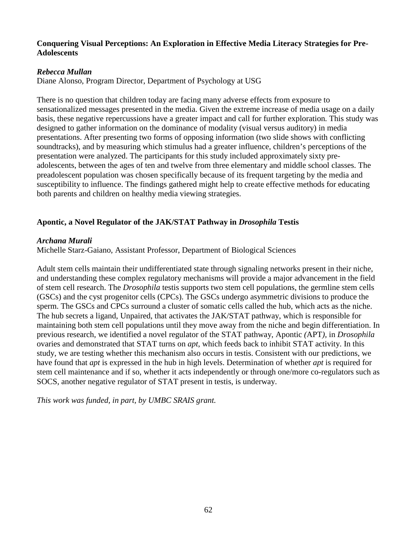### **Conquering Visual Perceptions: An Exploration in Effective Media Literacy Strategies for Pre-Adolescents**

# *Rebecca Mullan*

Diane Alonso, Program Director, Department of Psychology at USG

There is no question that children today are facing many adverse effects from exposure to sensationalized messages presented in the media. Given the extreme increase of media usage on a daily basis, these negative repercussions have a greater impact and call for further exploration*.* This study was designed to gather information on the dominance of modality (visual versus auditory) in media presentations. After presenting two forms of opposing information (two slide shows with conflicting soundtracks), and by measuring which stimulus had a greater influence, children's perceptions of the presentation were analyzed. The participants for this study included approximately sixty preadolescents, between the ages of ten and twelve from three elementary and middle school classes. The preadolescent population was chosen specifically because of its frequent targeting by the media and susceptibility to influence. The findings gathered might help to create effective methods for educating both parents and children on healthy media viewing strategies.

# **Apontic, a Novel Regulator of the JAK/STAT Pathway in** *Drosophila* **Testis**

# *Archana Murali*

Michelle Starz-Gaiano, Assistant Professor, Department of Biological Sciences

Adult stem cells maintain their undifferentiated state through signaling networks present in their niche, and understanding these complex regulatory mechanisms will provide a major advancement in the field of stem cell research. The *Drosophila* testis supports two stem cell populations, the germline stem cells (GSCs) and the cyst progenitor cells (CPCs). The GSCs undergo asymmetric divisions to produce the sperm. The GSCs and CPCs surround a cluster of somatic cells called the hub, which acts as the niche. The hub secrets a ligand, Unpaired, that activates the JAK/STAT pathway, which is responsible for maintaining both stem cell populations until they move away from the niche and begin differentiation. In previous research, we identified a novel regulator of the STAT pathway, Apontic *(*APT*),* in *Drosophila* ovaries and demonstrated that STAT turns on *apt*, which feeds back to inhibit STAT activity. In this study, we are testing whether this mechanism also occurs in testis. Consistent with our predictions, we have found that *apt* is expressed in the hub in high levels. Determination of whether *apt* is required for stem cell maintenance and if so, whether it acts independently or through one/more co-regulators such as SOCS, another negative regulator of STAT present in testis, is underway.

*This work was funded, in part, by UMBC SRAIS grant.*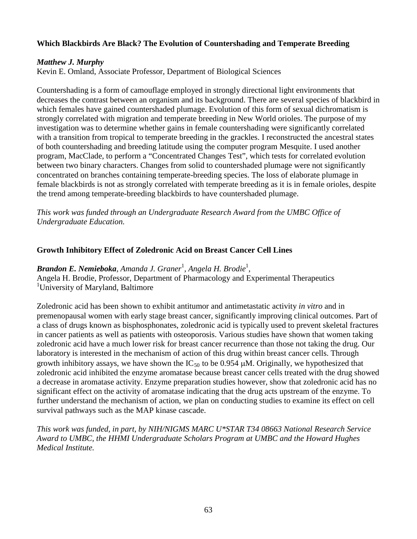# **Which Blackbirds Are Black? The Evolution of Countershading and Temperate Breeding**

# *Matthew J. Murphy*

Kevin E. Omland, Associate Professor, Department of Biological Sciences

Countershading is a form of camouflage employed in strongly directional light environments that decreases the contrast between an organism and its background. There are several species of blackbird in which females have gained countershaded plumage. Evolution of this form of sexual dichromatism is strongly correlated with migration and temperate breeding in New World orioles. The purpose of my investigation was to determine whether gains in female countershading were significantly correlated with a transition from tropical to temperate breeding in the grackles. I reconstructed the ancestral states of both countershading and breeding latitude using the computer program Mesquite. I used another program, MacClade, to perform a "Concentrated Changes Test", which tests for correlated evolution between two binary characters. Changes from solid to countershaded plumage were not significantly concentrated on branches containing temperate-breeding species. The loss of elaborate plumage in female blackbirds is not as strongly correlated with temperate breeding as it is in female orioles, despite the trend among temperate-breeding blackbirds to have countershaded plumage.

*This work was funded through an Undergraduate Research Award from the UMBC Office of Undergraduate Education.*

### **Growth Inhibitory Effect of Zoledronic Acid on Breast Cancer Cell Lines**

*Brandon E. Nemieboka, Amanda J. Graner*<sup>1</sup> *, Angela H. Brodie*<sup>1</sup> *,*

Angela H. Brodie, Professor, Department of Pharmacology and Experimental Therapeutics <sup>1</sup>University of Maryland, Baltimore

Zoledronic acid has been shown to exhibit antitumor and antimetastatic activity *in vitro* and in premenopausal women with early stage breast cancer, significantly improving clinical outcomes. Part of a class of drugs known as bisphosphonates, zoledronic acid is typically used to prevent skeletal fractures in cancer patients as well as patients with osteoporosis. Various studies have shown that women taking zoledronic acid have a much lower risk for breast cancer recurrence than those not taking the drug. Our laboratory is interested in the mechanism of action of this drug within breast cancer cells. Through growth inhibitory assays, we have shown the IC<sub>50</sub> to be 0.954  $\mu$ M. Originally, we hypothesized that zoledronic acid inhibited the enzyme aromatase because breast cancer cells treated with the drug showed a decrease in aromatase activity. Enzyme preparation studies however, show that zoledronic acid has no significant effect on the activity of aromatase indicating that the drug acts upstream of the enzyme. To further understand the mechanism of action, we plan on conducting studies to examine its effect on cell survival pathways such as the MAP kinase cascade.

*This work was funded, in part, by NIH/NIGMS MARC U\*STAR T34 08663 National Research Service Award to UMBC, the HHMI Undergraduate Scholars Program at UMBC and the Howard Hughes Medical Institute.*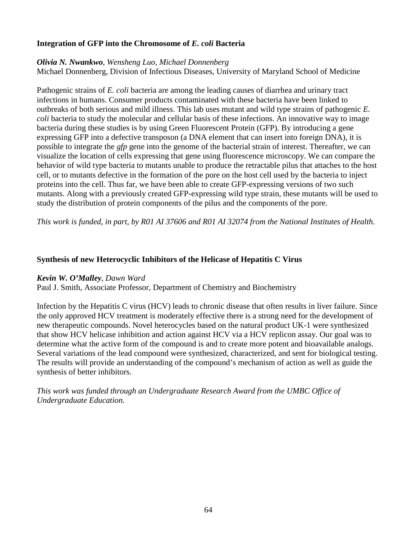# **Integration of GFP into the Chromosome of** *E. coli* **Bacteria**

#### *Olivia N. Nwankwo, Wensheng Luo*, *Michael Donnenberg*

Michael Donnenberg, Division of Infectious Diseases, University of Maryland School of Medicine

Pathogenic strains of *E. coli* bacteria are among the leading causes of diarrhea and urinary tract infections in humans. Consumer products contaminated with these bacteria have been linked to outbreaks of both serious and mild illness. This lab uses mutant and wild type strains of pathogenic *E. coli* bacteria to study the molecular and cellular basis of these infections. An innovative way to image bacteria during these studies is by using Green Fluorescent Protein (GFP). By introducing a gene expressing GFP into a defective transposon (a DNA element that can insert into foreign DNA), it is possible to integrate the *gfp* gene into the genome of the bacterial strain of interest. Thereafter, we can visualize the location of cells expressing that gene using fluorescence microscopy. We can compare the behavior of wild type bacteria to mutants unable to produce the retractable pilus that attaches to the host cell, or to mutants defective in the formation of the pore on the host cell used by the bacteria to inject proteins into the cell. Thus far, we have been able to create GFP-expressing versions of two such mutants. Along with a previously created GFP-expressing wild type strain, these mutants will be used to study the distribution of protein components of the pilus and the components of the pore.

*This work is funded, in part, by R01 AI 37606 and R01 AI 32074 from the National Institutes of Health.*

# **Synthesis of new Heterocyclic Inhibitors of the Helicase of Hepatitis C Virus**

### *Kevin W. O'Malley, Dawn Ward*

Paul J. Smith, Associate Professor, Department of Chemistry and Biochemistry

Infection by the Hepatitis C virus (HCV) leads to chronic disease that often results in liver failure. Since the only approved HCV treatment is moderately effective there is a strong need for the development of new therapeutic compounds. Novel heterocycles based on the natural product UK-1 were synthesized that show HCV helicase inhibition and action against HCV via a HCV replicon assay. Our goal was to determine what the active form of the compound is and to create more potent and bioavailable analogs. Several variations of the lead compound were synthesized, characterized, and sent for biological testing. The results will provide an understanding of the compound's mechanism of action as well as guide the synthesis of better inhibitors.

*This work was funded through an Undergraduate Research Award from the UMBC Office of Undergraduate Education.*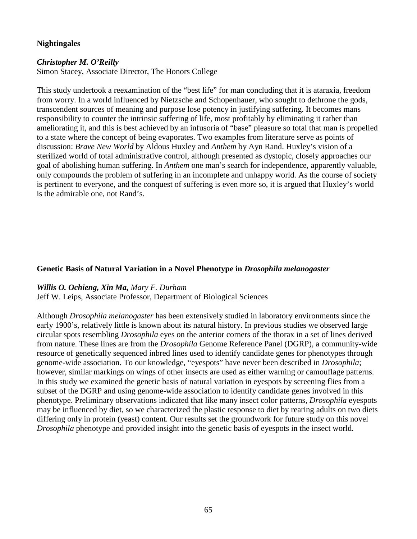# **Nightingales**

### *Christopher M. O'Reilly*

Simon Stacey, Associate Director, The Honors College

This study undertook a reexamination of the "best life" for man concluding that it is ataraxia, freedom from worry. In a world influenced by Nietzsche and Schopenhauer, who sought to dethrone the gods, transcendent sources of meaning and purpose lose potency in justifying suffering. It becomes mans responsibility to counter the intrinsic suffering of life, most profitably by eliminating it rather than ameliorating it, and this is best achieved by an infusoria of "base" pleasure so total that man is propelled to a state where the concept of being evaporates. Two examples from literature serve as points of discussion: *Brave New World* by Aldous Huxley and *Anthem* by Ayn Rand. Huxley's vision of a sterilized world of total administrative control, although presented as dystopic, closely approaches our goal of abolishing human suffering. In *Anthem* one man's search for independence, apparently valuable, only compounds the problem of suffering in an incomplete and unhappy world. As the course of society is pertinent to everyone, and the conquest of suffering is even more so, it is argued that Huxley's world is the admirable one, not Rand's.

### **Genetic Basis of Natural Variation in a Novel Phenotype in** *Drosophila melanogaster*

### *Willis O. Ochieng, Xin Ma, Mary F. Durham*

Jeff W. Leips, Associate Professor, Department of Biological Sciences

Although *Drosophila melanogaster* has been extensively studied in laboratory environments since the early 1900's, relatively little is known about its natural history. In previous studies we observed large circular spots resembling *Drosophila* eyes on the anterior corners of the thorax in a set of lines derived from nature. These lines are from the *Drosophila* Genome Reference Panel (DGRP), a community-wide resource of genetically sequenced inbred lines used to identify candidate genes for phenotypes through genome-wide association. To our knowledge, "eyespots" have never been described in *Drosophila*; however, similar markings on wings of other insects are used as either warning or camouflage patterns. In this study we examined the genetic basis of natural variation in eyespots by screening flies from a subset of the DGRP and using genome-wide association to identify candidate genes involved in this phenotype. Preliminary observations indicated that like many insect color patterns, *Drosophila* eyespots may be influenced by diet, so we characterized the plastic response to diet by rearing adults on two diets differing only in protein (yeast) content. Our results set the groundwork for future study on this novel *Drosophila* phenotype and provided insight into the genetic basis of eyespots in the insect world.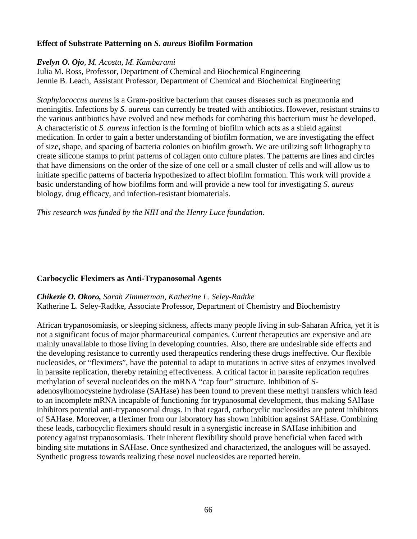# **Effect of Substrate Patterning on** *S. aureus* **Biofilm Formation**

#### *Evelyn O. Ojo, M. Acosta, M. Kambarami*

Julia M. Ross, Professor, Department of Chemical and Biochemical Engineering Jennie B. Leach, Assistant Professor, Department of Chemical and Biochemical Engineering

*Staphylococcus aureus* is a Gram-positive bacterium that causes diseases such as pneumonia and meningitis. Infections by *S. aureus* can currently be treated with antibiotics. However, resistant strains to the various antibiotics have evolved and new methods for combating this bacterium must be developed. A characteristic of *S. aureus* infection is the forming of biofilm which acts as a shield against medication. In order to gain a better understanding of biofilm formation, we are investigating the effect of size, shape, and spacing of bacteria colonies on biofilm growth. We are utilizing soft lithography to create silicone stamps to print patterns of collagen onto culture plates. The patterns are lines and circles that have dimensions on the order of the size of one cell or a small cluster of cells and will allow us to initiate specific patterns of bacteria hypothesized to affect biofilm formation. This work will provide a basic understanding of how biofilms form and will provide a new tool for investigating *S. aureus* biology, drug efficacy, and infection-resistant biomaterials.

*This research was funded by the NIH and the Henry Luce foundation.*

### **Carbocyclic Fleximers as Anti-Trypanosomal Agents**

*Chikezie O. Okoro, Sarah Zimmerman, Katherine L. Seley-Radtke* Katherine L. Seley-Radtke, Associate Professor, Department of Chemistry and Biochemistry

African trypanosomiasis, or sleeping sickness, affects many people living in sub-Saharan Africa, yet it is not a significant focus of major pharmaceutical companies. Current therapeutics are expensive and are mainly unavailable to those living in developing countries. Also, there are undesirable side effects and the developing resistance to currently used therapeutics rendering these drugs ineffective. Our flexible nucleosides, or "fleximers", have the potential to adapt to mutations in active sites of enzymes involved in parasite replication, thereby retaining effectiveness. A critical factor in parasite replication requires methylation of several nucleotides on the mRNA "cap four" structure. Inhibition of Sadenosylhomocysteine hydrolase (SAHase) has been found to prevent these methyl transfers which lead to an incomplete mRNA incapable of functioning for trypanosomal development, thus making SAHase inhibitors potential anti-trypanosomal drugs. In that regard, carbocyclic nucleosides are potent inhibitors of SAHase. Moreover, a fleximer from our laboratory has shown inhibition against SAHase. Combining these leads, carbocyclic fleximers should result in a synergistic increase in SAHase inhibition and potency against trypanosomiasis. Their inherent flexibility should prove beneficial when faced with binding site mutations in SAHase. Once synthesized and characterized, the analogues will be assayed. Synthetic progress towards realizing these novel nucleosides are reported herein.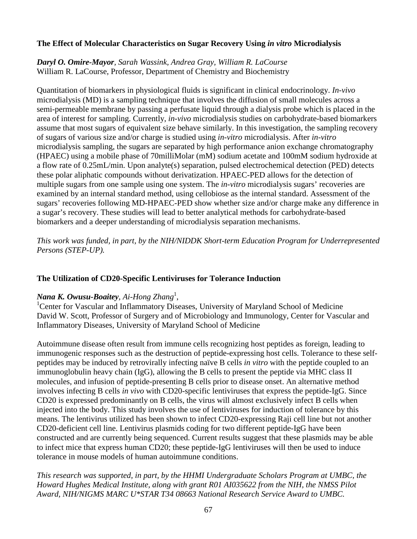# **The Effect of Molecular Characteristics on Sugar Recovery Using** *in vitro* **Microdialysis**

*Daryl O. Omire-Mayor, Sarah Wassink, Andrea Gray, William R. LaCourse* William R. LaCourse, Professor, Department of Chemistry and Biochemistry

Quantitation of biomarkers in physiological fluids is significant in clinical endocrinology. *In-vivo* microdialysis (MD) is a sampling technique that involves the diffusion of small molecules across a semi-permeable membrane by passing a perfusate liquid through a dialysis probe which is placed in the area of interest for sampling. Currently, *in-vivo* microdialysis studies on carbohydrate-based biomarkers assume that most sugars of equivalent size behave similarly. In this investigation, the sampling recovery of sugars of various size and/or charge is studied using *in-vitro* microdialysis. After *in-vitro*  microdialysis sampling, the sugars are separated by high performance anion exchange chromatography (HPAEC) using a mobile phase of 70milliMolar (mM) sodium acetate and 100mM sodium hydroxide at a flow rate of 0.25mL/min. Upon analyte(s) separation, pulsed electrochemical detection (PED) detects these polar aliphatic compounds without derivatization. HPAEC-PED allows for the detection of multiple sugars from one sample using one system. The *in-vitro* microdialysis sugars' recoveries are examined by an internal standard method, using cellobiose as the internal standard. Assessment of the sugars' recoveries following MD-HPAEC-PED show whether size and/or charge make any difference in a sugar's recovery. These studies will lead to better analytical methods for carbohydrate-based biomarkers and a deeper understanding of microdialysis separation mechanisms.

*This work was funded, in part, by the NIH/NIDDK Short-term Education Program for Underrepresented Persons (STEP-UP).*

### **The Utilization of CD20-Specific Lentiviruses for Tolerance Induction**

# *Nana K. Owusu-Boaitey, Ai-Hong Zhang*<sup>1</sup> , <sup>1</sup>

Center for Vascular and Inflammatory Diseases, University of Maryland School of Medicine David W. Scott, Professor of Surgery and of Microbiology and Immunology, Center for Vascular and Inflammatory Diseases, University of Maryland School of Medicine

Autoimmune disease often result from immune cells recognizing host peptides as foreign, leading to immunogenic responses such as the destruction of peptide-expressing host cells. Tolerance to these selfpeptides may be induced by retrovirally infecting naïve B cells *in vitro* with the peptide coupled to an immunoglobulin heavy chain (IgG), allowing the B cells to present the peptide via MHC class II molecules, and infusion of peptide-presenting B cells prior to disease onset. An alternative method involves infecting B cells *in vivo* with CD20-specific lentiviruses that express the peptide-IgG. Since CD20 is expressed predominantly on B cells, the virus will almost exclusively infect B cells when injected into the body. This study involves the use of lentiviruses for induction of tolerance by this means. The lentivirus utilized has been shown to infect CD20-expressing Raji cell line but not another CD20-deficient cell line. Lentivirus plasmids coding for two different peptide-IgG have been constructed and are currently being sequenced. Current results suggest that these plasmids may be able to infect mice that express human CD20; these peptide-IgG lentiviruses will then be used to induce tolerance in mouse models of human autoimmune conditions.

*This research was supported, in part, by the HHMI Undergraduate Scholars Program at UMBC, the Howard Hughes Medical Institute, along with grant R01 AI035622 from the NIH, the NMSS Pilot Award, NIH/NIGMS MARC U\*STAR T34 08663 National Research Service Award to UMBC.*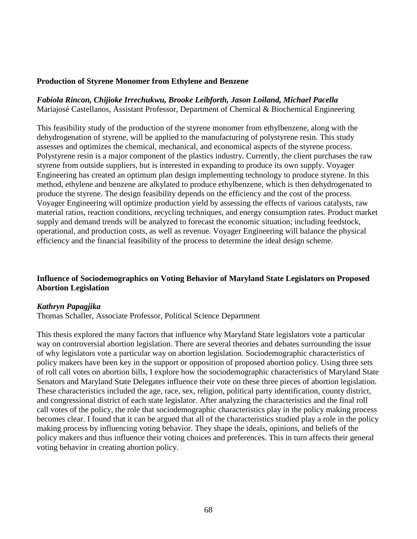### **Production of Styrene Monomer from Ethylene and Benzene**

### *Fabiola Rincon, Chijioke Irrechukwu, Brooke Leibforth, Jason Loiland, Michael Pacella* Mariajosé Castellanos, Assistant Professor, Department of Chemical & Biochemical Engineering

This feasibility study of the production of the styrene monomer from ethylbenzene, along with the dehydrogenation of styrene, will be applied to the manufacturing of polystyrene resin. This study assesses and optimizes the chemical, mechanical, and economical aspects of the styrene process. Polystyrene resin is a major component of the plastics industry. Currently, the client purchases the raw styrene from outside suppliers, but is interested in expanding to produce its own supply. Voyager Engineering has created an optimum plan design implementing technology to produce styrene. In this method, ethylene and benzene are alkylated to produce ethylbenzene, which is then dehydrogenated to produce the styrene. The design feasibility depends on the efficiency and the cost of the process. Voyager Engineering will optimize production yield by assessing the effects of various catalysts, raw material ratios, reaction conditions, recycling techniques, and energy consumption rates. Product market supply and demand trends will be analyzed to forecast the economic situation; including feedstock, operational, and production costs, as well as revenue. Voyager Engineering will balance the physical efficiency and the financial feasibility of the process to determine the ideal design scheme.

### **Influence of Sociodemographics on Voting Behavior of Maryland State Legislators on Proposed Abortion Legislation**

#### *Kathryn Papagjika*

Thomas Schaller, Associate Professor, Political Science Department

This thesis explored the many factors that influence why Maryland State legislators vote a particular way on controversial abortion legislation. There are several theories and debates surrounding the issue of why legislators vote a particular way on abortion legislation. Sociodemographic characteristics of policy makers have been key in the support or opposition of proposed abortion policy. Using three sets of roll call votes on abortion bills, I explore how the sociodemographic characteristics of Maryland State Senators and Maryland State Delegates influence their vote on these three pieces of abortion legislation. These characteristics included the age, race, sex, religion, political party identification, county district, and congressional district of each state legislator. After analyzing the characteristics and the final roll call votes of the policy, the role that sociodemographic characteristics play in the policy making process becomes clear. I found that it can be argued that all of the characteristics studied play a role in the policy making process by influencing voting behavior. They shape the ideals, opinions, and beliefs of the policy makers and thus influence their voting choices and preferences. This in turn affects their general voting behavior in creating abortion policy.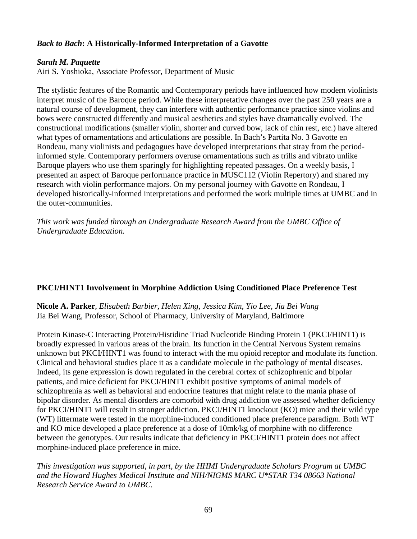# *Back to Bach***: A Historically-Informed Interpretation of a Gavotte**

### *Sarah M. Paquette*

Airi S. Yoshioka, Associate Professor, Department of Music

The stylistic features of the Romantic and Contemporary periods have influenced how modern violinists interpret music of the Baroque period. While these interpretative changes over the past 250 years are a natural course of development, they can interfere with authentic performance practice since violins and bows were constructed differently and musical aesthetics and styles have dramatically evolved. The constructional modifications (smaller violin, shorter and curved bow, lack of chin rest, etc.) have altered what types of ornamentations and articulations are possible. In Bach's Partita No. 3 Gavotte en Rondeau, many violinists and pedagogues have developed interpretations that stray from the periodinformed style. Contemporary performers overuse ornamentations such as trills and vibrato unlike Baroque players who use them sparingly for highlighting repeated passages. On a weekly basis, I presented an aspect of Baroque performance practice in MUSC112 (Violin Repertory) and shared my research with violin performance majors. On my personal journey with Gavotte en Rondeau, I developed historically-informed interpretations and performed the work multiple times at UMBC and in the outer-communities.

*This work was funded through an Undergraduate Research Award from the UMBC Office of Undergraduate Education.*

# **PKCI/HINT1 Involvement in Morphine Addiction Using Conditioned Place Preference Test**

**Nicole A. Parker**, *Elisabeth Barbier, Helen Xing, Jessica Kim, Yio Lee, Jia Bei Wang* Jia Bei Wang, Professor, School of Pharmacy, University of Maryland, Baltimore

Protein Kinase-C Interacting Protein/Histidine Triad Nucleotide Binding Protein 1 (PKCI/HINT1) is broadly expressed in various areas of the brain. Its function in the Central Nervous System remains unknown but PKCI/HINT1 was found to interact with the mu opioid receptor and modulate its function. Clinical and behavioral studies place it as a candidate molecule in the pathology of mental diseases. Indeed, its gene expression is down regulated in the cerebral cortex of schizophrenic and bipolar patients, and mice deficient for PKCI/HINT1 exhibit positive symptoms of animal models of schizophrenia as well as behavioral and endocrine features that might relate to the mania phase of bipolar disorder. As mental disorders are comorbid with drug addiction we assessed whether deficiency for PKCI/HINT1 will result in stronger addiction. PKCI/HINT1 knockout (KO) mice and their wild type (WT) littermate were tested in the morphine-induced conditioned place preference paradigm. Both WT and KO mice developed a place preference at a dose of 10mk/kg of morphine with no difference between the genotypes. Our results indicate that deficiency in PKCI/HINT1 protein does not affect morphine-induced place preference in mice.

*This investigation was supported, in part, by the HHMI Undergraduate Scholars Program at UMBC and the Howard Hughes Medical Institute and NIH/NIGMS MARC U\*STAR T34 08663 National Research Service Award to UMBC.*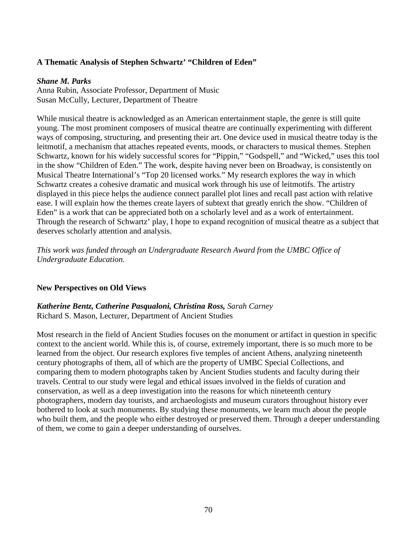# **A Thematic Analysis of Stephen Schwartz' "Children of Eden"**

#### *Shane M. Parks*

Anna Rubin, Associate Professor, Department of Music Susan McCully, Lecturer, Department of Theatre

While musical theatre is acknowledged as an American entertainment staple, the genre is still quite young. The most prominent composers of musical theatre are continually experimenting with different ways of composing, structuring, and presenting their art. One device used in musical theatre today is the leitmotif, a mechanism that attaches repeated events, moods, or characters to musical themes. Stephen Schwartz, known for his widely successful scores for "Pippin," "Godspell," and "Wicked," uses this tool in the show "Children of Eden." The work, despite having never been on Broadway, is consistently on Musical Theatre International's "Top 20 licensed works." My research explores the way in which Schwartz creates a cohesive dramatic and musical work through his use of leitmotifs. The artistry displayed in this piece helps the audience connect parallel plot lines and recall past action with relative ease. I will explain how the themes create layers of subtext that greatly enrich the show. "Children of Eden" is a work that can be appreciated both on a scholarly level and as a work of entertainment. Through the research of Schwartz' play, I hope to expand recognition of musical theatre as a subject that deserves scholarly attention and analysis.

*This work was funded through an Undergraduate Research Award from the UMBC Office of Undergraduate Education.*

### **New Perspectives on Old Views**

*Katherine Bentz, Catherine Pasqualoni, Christina Ross, Sarah Carney* Richard S. Mason, Lecturer, Department of Ancient Studies

Most research in the field of Ancient Studies focuses on the monument or artifact in question in specific context to the ancient world. While this is, of course, extremely important, there is so much more to be learned from the object. Our research explores five temples of ancient Athens, analyzing nineteenth century photographs of them, all of which are the property of UMBC Special Collections, and comparing them to modern photographs taken by Ancient Studies students and faculty during their travels. Central to our study were legal and ethical issues involved in the fields of curation and conservation, as well as a deep investigation into the reasons for which nineteenth century photographers, modern day tourists, and archaeologists and museum curators throughout history ever bothered to look at such monuments. By studying these monuments, we learn much about the people who built them, and the people who either destroyed or preserved them. Through a deeper understanding of them, we come to gain a deeper understanding of ourselves.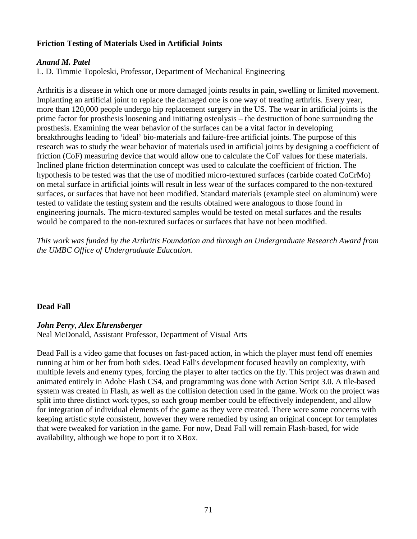# **Friction Testing of Materials Used in Artificial Joints**

#### *Anand M. Patel*

L. D. Timmie Topoleski, Professor, Department of Mechanical Engineering

Arthritis is a disease in which one or more damaged joints results in pain, swelling or limited movement. Implanting an artificial joint to replace the damaged one is one way of treating arthritis. Every year, more than 120,000 people undergo hip replacement surgery in the US. The wear in artificial joints is the prime factor for prosthesis loosening and initiating osteolysis – the destruction of bone surrounding the prosthesis. Examining the wear behavior of the surfaces can be a vital factor in developing breakthroughs leading to 'ideal' bio-materials and failure-free artificial joints. The purpose of this research was to study the wear behavior of materials used in artificial joints by designing a coefficient of friction (CoF) measuring device that would allow one to calculate the CoF values for these materials. Inclined plane friction determination concept was used to calculate the coefficient of friction. The hypothesis to be tested was that the use of modified micro-textured surfaces (carbide coated CoCrMo) on metal surface in artificial joints will result in less wear of the surfaces compared to the non-textured surfaces, or surfaces that have not been modified. Standard materials (example steel on aluminum) were tested to validate the testing system and the results obtained were analogous to those found in engineering journals. The micro-textured samples would be tested on metal surfaces and the results would be compared to the non-textured surfaces or surfaces that have not been modified.

*This work was funded by the Arthritis Foundation and through an Undergraduate Research Award from the UMBC Office of Undergraduate Education.*

### **Dead Fall**

### *John Perry*, *Alex Ehrensberger*

Neal McDonald, Assistant Professor, Department of Visual Arts

Dead Fall is a video game that focuses on fast-paced action, in which the player must fend off enemies running at him or her from both sides. Dead Fall's development focused heavily on complexity, with multiple levels and enemy types, forcing the player to alter tactics on the fly. This project was drawn and animated entirely in Adobe Flash CS4, and programming was done with Action Script 3.0. A tile-based system was created in Flash, as well as the collision detection used in the game. Work on the project was split into three distinct work types, so each group member could be effectively independent, and allow for integration of individual elements of the game as they were created. There were some concerns with keeping artistic style consistent, however they were remedied by using an original concept for templates that were tweaked for variation in the game. For now, Dead Fall will remain Flash-based, for wide availability, although we hope to port it to XBox.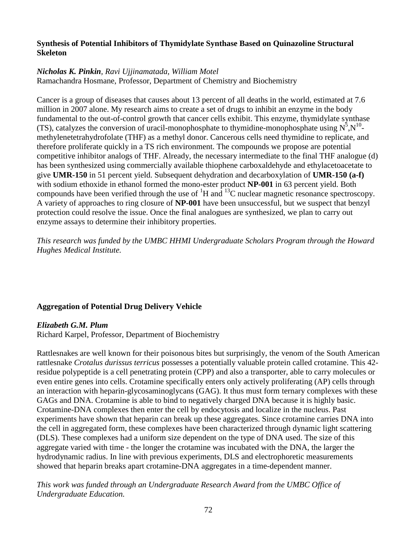# **Synthesis of Potential Inhibitors of Thymidylate Synthase Based on Quinazoline Structural Skeleton**

# *Nicholas K. Pinkin, Ravi Ujjinamatada, William Motel*

Ramachandra Hosmane, Professor, Department of Chemistry and Biochemistry

Cancer is a group of diseases that causes about 13 percent of all deaths in the world, estimated at 7.6 million in 2007 alone. My research aims to create a set of drugs to inhibit an enzyme in the body fundamental to the out-of-control growth that cancer cells exhibit. This enzyme, thymidylate synthase (TS), catalyzes the conversion of uracil-monophosphate to thymidine-monophosphate using  $N^5$ , $N^{10}$ methylenetetrahydrofolate (THF) as a methyl donor. Cancerous cells need thymidine to replicate, and therefore proliferate quickly in a TS rich environment. The compounds we propose are potential competitive inhibitor analogs of THF. Already, the necessary intermediate to the final THF analogue (d) has been synthesized using commercially available thiophene carboxaldehyde and ethylacetoacetate to give **UMR-150** in 51 percent yield. Subsequent dehydration and decarboxylation of **UMR-150 (a-f)**  with sodium ethoxide in ethanol formed the mono-ester product **NP-001** in 63 percent yield. Both compounds have been verified through the use of  ${}^{1}H$  and  ${}^{13}C$  nuclear magnetic resonance spectroscopy. A variety of approaches to ring closure of **NP-001** have been unsuccessful, but we suspect that benzyl protection could resolve the issue. Once the final analogues are synthesized, we plan to carry out enzyme assays to determine their inhibitory properties.

*This research was funded by the UMBC HHMI Undergraduate Scholars Program through the Howard Hughes Medical Institute.*

# **Aggregation of Potential Drug Delivery Vehicle**

### *Elizabeth G.M. Plum*

Richard Karpel, Professor, Department of Biochemistry

Rattlesnakes are well known for their poisonous bites but surprisingly, the venom of the South American rattlesnake *Crotalus durissus terricus* possesses a potentially valuable protein called crotamine. This 42 residue polypeptide is a cell penetrating protein (CPP) and also a transporter, able to carry molecules or even entire genes into cells. Crotamine specifically enters only actively proliferating (AP) cells through an interaction with heparin-glycosaminoglycans (GAG). It thus must form ternary complexes with these GAGs and DNA. Crotamine is able to bind to negatively charged DNA because it is highly basic. Crotamine-DNA complexes then enter the cell by endocytosis and localize in the nucleus. Past experiments have shown that heparin can break up these aggregates. Since crotamine carries DNA into the cell in aggregated form, these complexes have been characterized through dynamic light scattering (DLS). These complexes had a uniform size dependent on the type of DNA used. The size of this aggregate varied with time - the longer the crotamine was incubated with the DNA, the larger the hydrodynamic radius. In line with previous experiments, DLS and electrophoretic measurements showed that heparin breaks apart crotamine-DNA aggregates in a time-dependent manner.

*This work was funded through an Undergraduate Research Award from the UMBC Office of Undergraduate Education.*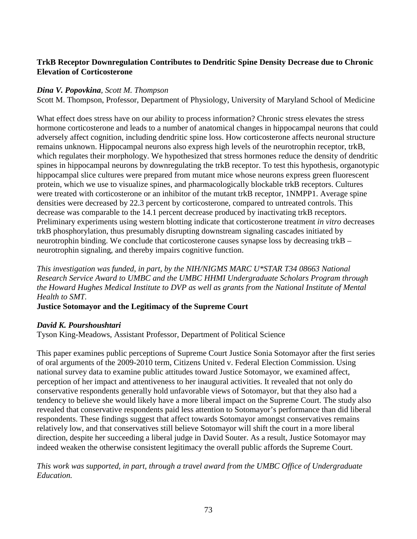# **TrkB Receptor Downregulation Contributes to Dendritic Spine Density Decrease due to Chronic Elevation of Corticosterone**

## *Dina V. Popovkina, Scott M. Thompson*

Scott M. Thompson, Professor, Department of Physiology, University of Maryland School of Medicine

What effect does stress have on our ability to process information? Chronic stress elevates the stress hormone corticosterone and leads to a number of anatomical changes in hippocampal neurons that could adversely affect cognition, including dendritic spine loss. How corticosterone affects neuronal structure remains unknown. Hippocampal neurons also express high levels of the neurotrophin receptor, trkB, which regulates their morphology. We hypothesized that stress hormones reduce the density of dendritic spines in hippocampal neurons by downregulating the trkB receptor. To test this hypothesis, organotypic hippocampal slice cultures were prepared from mutant mice whose neurons express green fluorescent protein, which we use to visualize spines, and pharmacologically blockable trkB receptors. Cultures were treated with corticosterone or an inhibitor of the mutant trkB receptor, 1NMPP1. Average spine densities were decreased by 22.3 percent by corticosterone, compared to untreated controls. This decrease was comparable to the 14.1 percent decrease produced by inactivating trkB receptors. Preliminary experiments using western blotting indicate that corticosterone treatment *in vitro* decreases trkB phosphorylation, thus presumably disrupting downstream signaling cascades initiated by neurotrophin binding. We conclude that corticosterone causes synapse loss by decreasing trkB – neurotrophin signaling, and thereby impairs cognitive function.

*This investigation was funded, in part, by the NIH/NIGMS MARC U\*STAR T34 08663 National Research Service Award to UMBC and the UMBC HHMI Undergraduate Scholars Program through the Howard Hughes Medical Institute to DVP as well as grants from the National Institute of Mental Health to SMT.*

**Justice Sotomayor and the Legitimacy of the Supreme Court**

# *David K. Pourshoushtari*

Tyson King-Meadows, Assistant Professor, Department of Political Science

This paper examines public perceptions of Supreme Court Justice Sonia Sotomayor after the first series of oral arguments of the 2009-2010 term, Citizens United v. Federal Election Commission. Using national survey data to examine public attitudes toward Justice Sotomayor, we examined affect, perception of her impact and attentiveness to her inaugural activities. It revealed that not only do conservative respondents generally hold unfavorable views of Sotomayor, but that they also had a tendency to believe she would likely have a more liberal impact on the Supreme Court. The study also revealed that conservative respondents paid less attention to Sotomayor's performance than did liberal respondents. These findings suggest that affect towards Sotomayor amongst conservatives remains relatively low, and that conservatives still believe Sotomayor will shift the court in a more liberal direction, despite her succeeding a liberal judge in David Souter. As a result, Justice Sotomayor may indeed weaken the otherwise consistent legitimacy the overall public affords the Supreme Court.

*This work was supported, in part, through a travel award from the UMBC Office of Undergraduate Education.*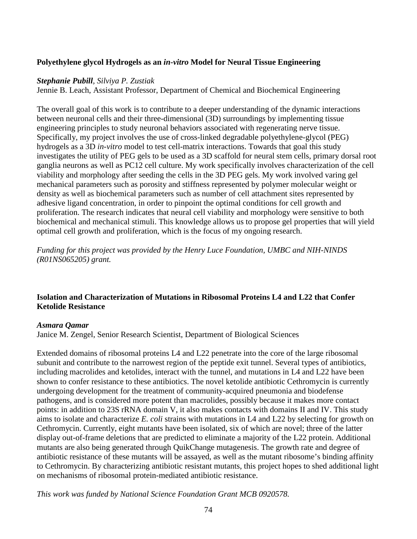## **Polyethylene glycol Hydrogels as an** *in-vitro* **Model for Neural Tissue Engineering**

#### *Stephanie Pubill, Silviya P. Zustiak*

Jennie B. Leach, Assistant Professor, Department of Chemical and Biochemical Engineering

The overall goal of this work is to contribute to a deeper understanding of the dynamic interactions between neuronal cells and their three-dimensional (3D) surroundings by implementing tissue engineering principles to study neuronal behaviors associated with regenerating nerve tissue. Specifically, my project involves the use of cross-linked degradable polyethylene-glycol (PEG) hydrogels as a 3D *in-vitro* model to test cell-matrix interactions. Towards that goal this study investigates the utility of PEG gels to be used as a 3D scaffold for neural stem cells, primary dorsal root ganglia neurons as well as PC12 cell culture. My work specifically involves characterization of the cell viability and morphology after seeding the cells in the 3D PEG gels. My work involved varing gel mechanical parameters such as porosity and stiffness represented by polymer molecular weight or density as well as biochemical parameters such as number of cell attachment sites represented by adhesive ligand concentration, in order to pinpoint the optimal conditions for cell growth and proliferation. The research indicates that neural cell viability and morphology were sensitive to both biochemical and mechanical stimuli. This knowledge allows us to propose gel properties that will yield optimal cell growth and proliferation, which is the focus of my ongoing research.

*Funding for this project was provided by the Henry Luce Foundation, UMBC and NIH-NINDS (R01NS065205) grant.*

# **Isolation and Characterization of Mutations in Ribosomal Proteins L4 and L22 that Confer Ketolide Resistance**

#### *Asmara Qamar*

Janice M. Zengel, Senior Research Scientist, Department of Biological Sciences

Extended domains of ribosomal proteins L4 and L22 penetrate into the core of the large ribosomal subunit and contribute to the narrowest region of the peptide exit tunnel. Several types of antibiotics, including macrolides and ketolides, interact with the tunnel, and mutations in L4 and L22 have been shown to confer resistance to these antibiotics. The novel ketolide antibiotic Cethromycin is currently undergoing development for the treatment of community-acquired pneumonia and biodefense pathogens, and is considered more potent than macrolides, possibly because it makes more contact points: in addition to 23S rRNA domain V, it also makes contacts with domains II and IV. This study aims to isolate and characterize *E. coli* strains with mutations in L4 and L22 by selecting for growth on Cethromycin. Currently, eight mutants have been isolated, six of which are novel; three of the latter display out-of-frame deletions that are predicted to eliminate a majority of the L22 protein. Additional mutants are also being generated through QuikChange mutagenesis. The growth rate and degree of antibiotic resistance of these mutants will be assayed, as well as the mutant ribosome's binding affinity to Cethromycin. By characterizing antibiotic resistant mutants, this project hopes to shed additional light on mechanisms of ribosomal protein-mediated antibiotic resistance.

*This work was funded by National Science Foundation Grant MCB 0920578.*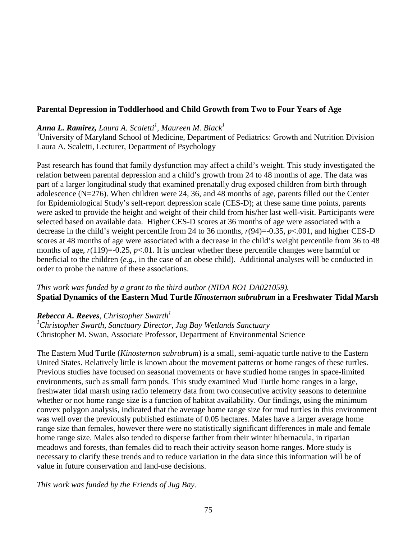# **Parental Depression in Toddlerhood and Child Growth from Two to Four Years of Age**

# *Anna L. Ramirez, Laura A. Scaletti 1 , Maureen M. Black1*

<sup>1</sup>University of Maryland School of Medicine, Department of Pediatrics: Growth and Nutrition Division Laura A. Scaletti, Lecturer, Department of Psychology

Past research has found that family dysfunction may affect a child's weight. This study investigated the relation between parental depression and a child's growth from 24 to 48 months of age. The data was part of a larger longitudinal study that examined prenatally drug exposed children from birth through adolescence (N=276). When children were 24, 36, and 48 months of age, parents filled out the Center for Epidemiological Study's self-report depression scale (CES-D); at these same time points, parents were asked to provide the height and weight of their child from his/her last well-visit. Participants were selected based on available data. Higher CES-D scores at 36 months of age were associated with a decrease in the child's weight percentile from 24 to 36 months, *r*(94)=-0.35, *p*<.001, and higher CES-D scores at 48 months of age were associated with a decrease in the child's weight percentile from 36 to 48 months of age,  $r(119)=0.25$ ,  $p<0.1$ . It is unclear whether these percentile changes were harmful or beneficial to the children (*e.g.*, in the case of an obese child). Additional analyses will be conducted in order to probe the nature of these associations.

# *This work was funded by a grant to the third author (NIDA RO1 DA021059).* **Spatial Dynamics of the Eastern Mud Turtle** *Kinosternon subrubrum* **in a Freshwater Tidal Marsh**

# *Rebecca* **A. Reeves**, *Christopher Swarth*<sup>1</sup>

*1 Christopher Swarth, Sanctuary Director, Jug Bay Wetlands Sanctuary* Christopher M. Swan, Associate Professor, Department of Environmental Science

The Eastern Mud Turtle (*Kinosternon subrubrum*) is a small, semi-aquatic turtle native to the Eastern United States. Relatively little is known about the movement patterns or home ranges of these turtles. Previous studies have focused on seasonal movements or have studied home ranges in space-limited environments, such as small farm ponds. This study examined Mud Turtle home ranges in a large, freshwater tidal marsh using radio telemetry data from two consecutive activity seasons to determine whether or not home range size is a function of habitat availability. Our findings, using the minimum convex polygon analysis, indicated that the average home range size for mud turtles in this environment was well over the previously published estimate of 0.05 hectares. Males have a larger average home range size than females, however there were no statistically significant differences in male and female home range size. Males also tended to disperse farther from their winter hibernacula, in riparian meadows and forests, than females did to reach their activity season home ranges. More study is necessary to clarify these trends and to reduce variation in the data since this information will be of value in future conservation and land-use decisions.

*This work was funded by the Friends of Jug Bay.*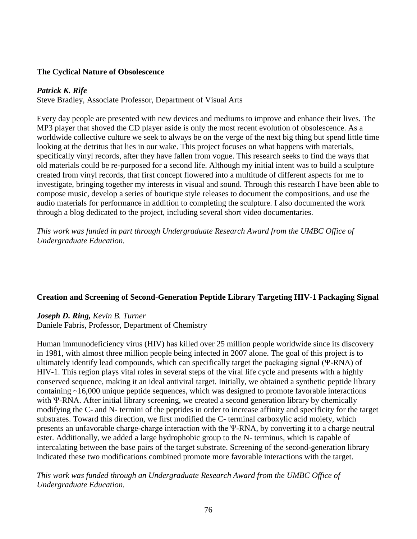### **The Cyclical Nature of Obsolescence**

## *Patrick K. Rife*

Steve Bradley, Associate Professor, Department of Visual Arts

Every day people are presented with new devices and mediums to improve and enhance their lives. The MP3 player that shoved the CD player aside is only the most recent evolution of obsolescence. As a worldwide collective culture we seek to always be on the verge of the next big thing but spend little time looking at the detritus that lies in our wake. This project focuses on what happens with materials, specifically vinyl records, after they have fallen from vogue. This research seeks to find the ways that old materials could be re-purposed for a second life. Although my initial intent was to build a sculpture created from vinyl records, that first concept flowered into a multitude of different aspects for me to investigate, bringing together my interests in visual and sound. Through this research I have been able to compose music, develop a series of boutique style releases to document the compositions, and use the audio materials for performance in addition to completing the sculpture. I also documented the work through a blog dedicated to the project, including several short video documentaries.

*This work was funded in part through Undergraduate Research Award from the UMBC Office of Undergraduate Education.*

# **Creation and Screening of Second-Generation Peptide Library Targeting HIV-1 Packaging Signal**

#### *Joseph D. Ring, Kevin B. Turner*

Daniele Fabris, Professor, Department of Chemistry

Human immunodeficiency virus (HIV) has killed over 25 million people worldwide since its discovery in 1981, with almost three million people being infected in 2007 alone. The goal of this project is to ultimately identify lead compounds, which can specifically target the packaging signal (Ψ-RNA) of HIV-1. This region plays vital roles in several steps of the viral life cycle and presents with a highly conserved sequence, making it an ideal antiviral target. Initially, we obtained a synthetic peptide library containing ~16,000 unique peptide sequences, which was designed to promote favorable interactions with Ψ-RNA. After initial library screening, we created a second generation library by chemically modifying the C- and N- termini of the peptides in order to increase affinity and specificity for the target substrates. Toward this direction, we first modified the C- terminal carboxylic acid moiety, which presents an unfavorable charge-charge interaction with the Ψ-RNA, by converting it to a charge neutral ester. Additionally, we added a large hydrophobic group to the N- terminus, which is capable of intercalating between the base pairs of the target substrate. Screening of the second-generation library indicated these two modifications combined promote more favorable interactions with the target.

*This work was funded through an Undergraduate Research Award from the UMBC Office of Undergraduate Education.*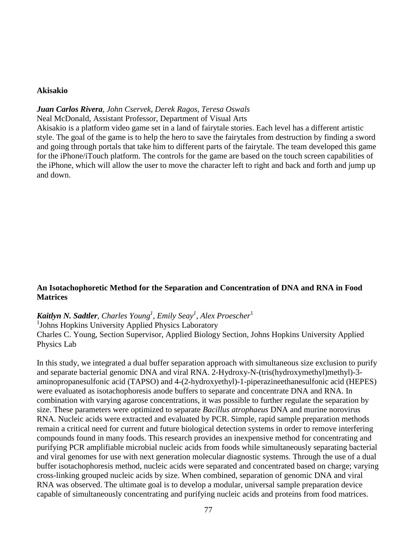#### **Akisakio**

#### *Juan Carlos Rivera, John Cservek, Derek Ragos, Teresa Oswals*

Neal McDonald, Assistant Professor, Department of Visual Arts

Akisakio is a platform video game set in a land of fairytale stories. Each level has a different artistic style. The goal of the game is to help the hero to save the fairytales from destruction by finding a sword and going through portals that take him to different parts of the fairytale. The team developed this game for the iPhone/iTouch platform. The controls for the game are based on the touch screen capabilities of the iPhone, which will allow the user to move the character left to right and back and forth and jump up and down.

# **An Isotachophoretic Method for the Separation and Concentration of DNA and RNA in Food Matrices**

# $\pmb{Kaitlyn}$   $\pmb{N}.$   $\pmb{Saddler},$   $\pmb{Charles}\text{ Young}^1,$   $\pmb{Emily}\text{ Seay}^1,$   $\pmb{Alex}\text{ Proescher}^1$

<sup>1</sup>Johns Hopkins University Applied Physics Laboratory Charles C. Young, Section Supervisor, Applied Biology Section, Johns Hopkins University Applied Physics Lab

In this study, we integrated a dual buffer separation approach with simultaneous size exclusion to purify and separate bacterial genomic DNA and viral RNA. 2-Hydroxy-N-(tris(hydroxymethyl)methyl)-3 aminopropanesulfonic acid (TAPSO) and 4-(2-hydroxyethyl)-1-piperazineethanesulfonic acid (HEPES) were evaluated as isotachophoresis anode buffers to separate and concentrate DNA and RNA. In combination with varying agarose concentrations, it was possible to further regulate the separation by size. These parameters were optimized to separate *Bacillus atrophaeus* DNA and murine norovirus RNA. Nucleic acids were extracted and evaluated by PCR. Simple, rapid sample preparation methods remain a critical need for current and future biological detection systems in order to remove interfering compounds found in many foods. This research provides an inexpensive method for concentrating and purifying PCR amplifiable microbial nucleic acids from foods while simultaneously separating bacterial and viral genomes for use with next generation molecular diagnostic systems. Through the use of a dual buffer isotachophoresis method, nucleic acids were separated and concentrated based on charge; varying cross-linking grouped nucleic acids by size. When combined, separation of genomic DNA and viral RNA was observed. The ultimate goal is to develop a modular, universal sample preparation device capable of simultaneously concentrating and purifying nucleic acids and proteins from food matrices.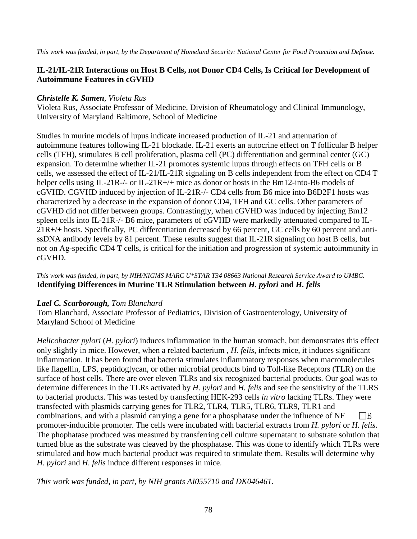# **IL-21/IL-21R Interactions on Host B Cells, not Donor CD4 Cells, Is Critical for Development of Autoimmune Features in cGVHD**

## *Christelle K. Samen, Violeta Rus*

Violeta Rus, Associate Professor of Medicine, Division of Rheumatology and Clinical Immunology, University of Maryland Baltimore, School of Medicine

Studies in murine models of lupus indicate increased production of IL-21 and attenuation of autoimmune features following IL-21 blockade. IL-21 exerts an autocrine effect on T follicular B helper cells (TFH), stimulates B cell proliferation, plasma cell (PC) differentiation and germinal center (GC) expansion. To determine whether IL-21 promotes systemic lupus through effects on TFH cells or B cells, we assessed the effect of IL-21/IL-21R signaling on B cells independent from the effect on CD4 T helper cells using IL-21R-/- or IL-21R+/+ mice as donor or hosts in the Bm12-into-B6 models of cGVHD. CGVHD induced by injection of IL-21R-/- CD4 cells from B6 mice into B6D2F1 hosts was characterized by a decrease in the expansion of donor CD4, TFH and GC cells. Other parameters of cGVHD did not differ between groups. Contrastingly, when cGVHD was induced by injecting Bm12 spleen cells into IL-21R-/- B6 mice, parameters of cGVHD were markedly attenuated compared to IL-21R+/+ hosts. Specifically, PC differentiation decreased by 66 percent, GC cells by 60 percent and antissDNA antibody levels by 81 percent. These results suggest that IL-21R signaling on host B cells, but not on Ag-specific CD4 T cells, is critical for the initiation and progression of systemic autoimmunity in cGVHD.

*This work was funded, in part, by NIH/NIGMS MARC U\*STAR T34 08663 National Research Service Award to UMBC.* **Identifying Differences in Murine TLR Stimulation between** *H. pylori* **and** *H. felis*

# *Lael C. Scarborough, Tom Blanchard*

Tom Blanchard, Associate Professor of Pediatrics, Division of Gastroenterology, University of Maryland School of Medicine

*Helicobacter pylori* (*H. pylori*) induces inflammation in the human stomach, but demonstrates this effect only slightly in mice. However, when a related bacterium , *H. felis*, infects mice, it induces significant inflammation. It has been found that bacteria stimulates inflammatory responses when macromolecules like flagellin, LPS, peptidoglycan, or other microbial products bind to Toll-like Receptors (TLR) on the surface of host cells. There are over eleven TLRs and six recognized bacterial products. Our goal was to determine differences in the TLRs activated by *H. pylori* and *H. felis* and see the sensitivity of the TLRS to bacterial products. This was tested by transfecting HEK-293 cells *in vitro* lacking TLRs. They were transfected with plasmids carrying genes for TLR2, TLR4, TLR5, TLR6, TLR9, TLR1 and combinations, and with a plasmid carrying a gene for a phosphatase under the influence of  $NF$   $\Box B$ promoter-inducible promoter. The cells were incubated with bacterial extracts from *H. pylori* or *H. felis*. The phophatase produced was measured by transferring cell culture supernatant to substrate solution that turned blue as the substrate was cleaved by the phosphatase. This was done to identify which TLRs were stimulated and how much bacterial product was required to stimulate them. Results will determine why *H. pylori* and *H. felis* induce different responses in mice.

*This work was funded, in part, by NIH grants AI055710 and DK046461.*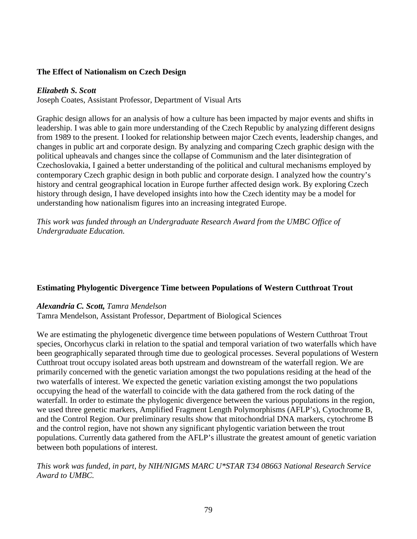### **The Effect of Nationalism on Czech Design**

#### *Elizabeth S. Scott*

Joseph Coates, Assistant Professor, Department of Visual Arts

Graphic design allows for an analysis of how a culture has been impacted by major events and shifts in leadership. I was able to gain more understanding of the Czech Republic by analyzing different designs from 1989 to the present. I looked for relationship between major Czech events, leadership changes, and changes in public art and corporate design. By analyzing and comparing Czech graphic design with the political upheavals and changes since the collapse of Communism and the later disintegration of Czechoslovakia, I gained a better understanding of the political and cultural mechanisms employed by contemporary Czech graphic design in both public and corporate design. I analyzed how the country's history and central geographical location in Europe further affected design work. By exploring Czech history through design, I have developed insights into how the Czech identity may be a model for understanding how nationalism figures into an increasing integrated Europe.

*This work was funded through an Undergraduate Research Award from the UMBC Office of Undergraduate Education.*

#### **Estimating Phylogentic Divergence Time between Populations of Western Cutthroat Trout**

#### *Alexandria C. Scott, Tamra Mendelson*

Tamra Mendelson, Assistant Professor, Department of Biological Sciences

We are estimating the phylogenetic divergence time between populations of Western Cutthroat Trout species, Oncorhycus clarki in relation to the spatial and temporal variation of two waterfalls which have been geographically separated through time due to geological processes. Several populations of Western Cutthroat trout occupy isolated areas both upstream and downstream of the waterfall region. We are primarily concerned with the genetic variation amongst the two populations residing at the head of the two waterfalls of interest. We expected the genetic variation existing amongst the two populations occupying the head of the waterfall to coincide with the data gathered from the rock dating of the waterfall. In order to estimate the phylogenic divergence between the various populations in the region, we used three genetic markers, Amplified Fragment Length Polymorphisms (AFLP's), Cytochrome B, and the Control Region. Our preliminary results show that mitochondrial DNA markers, cytochrome B and the control region, have not shown any significant phylogentic variation between the trout populations. Currently data gathered from the AFLP's illustrate the greatest amount of genetic variation between both populations of interest.

*This work was funded, in part, by NIH/NIGMS MARC U\*STAR T34 08663 National Research Service Award to UMBC.*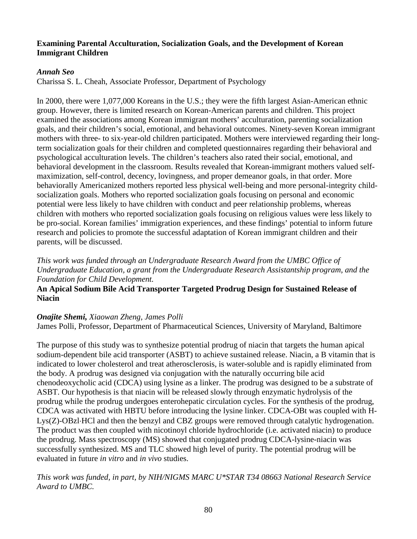## **Examining Parental Acculturation, Socialization Goals, and the Development of Korean Immigrant Children**

## *Annah Seo*

Charissa S. L. Cheah, Associate Professor, Department of Psychology

In 2000, there were 1,077,000 Koreans in the U.S.; they were the fifth largest Asian-American ethnic group. However, there is limited research on Korean-American parents and children. This project examined the associations among Korean immigrant mothers' acculturation, parenting socialization goals, and their children's social, emotional, and behavioral outcomes. Ninety-seven Korean immigrant mothers with three- to six-year-old children participated. Mothers were interviewed regarding their longterm socialization goals for their children and completed questionnaires regarding their behavioral and psychological acculturation levels. The children's teachers also rated their social, emotional, and behavioral development in the classroom. Results revealed that Korean-immigrant mothers valued selfmaximization, self-control, decency, lovingness, and proper demeanor goals, in that order. More behaviorally Americanized mothers reported less physical well-being and more personal-integrity childsocialization goals. Mothers who reported socialization goals focusing on personal and economic potential were less likely to have children with conduct and peer relationship problems, whereas children with mothers who reported socialization goals focusing on religious values were less likely to be pro-social. Korean families' immigration experiences, and these findings' potential to inform future research and policies to promote the successful adaptation of Korean immigrant children and their parents, will be discussed.

*This work was funded through an Undergraduate Research Award from the UMBC Office of Undergraduate Education, a grant from the Undergraduate Research Assistantship program, and the Foundation for Child Development.*

# **An Apical Sodium Bile Acid Transporter Targeted Prodrug Design for Sustained Release of Niacin**

# *Onajite Shemi, Xiaowan Zheng, James Polli*

James Polli, Professor, Department of Pharmaceutical Sciences, University of Maryland, Baltimore

The purpose of this study was to synthesize potential prodrug of niacin that targets the human apical sodium-dependent bile acid transporter (ASBT) to achieve sustained release. Niacin, a B vitamin that is indicated to lower cholesterol and treat atherosclerosis, is water-soluble and is rapidly eliminated from the body. A prodrug was designed via conjugation with the naturally occurring bile acid chenodeoxycholic acid (CDCA) using lysine as a linker. The prodrug was designed to be a substrate of ASBT. Our hypothesis is that niacin will be released slowly through enzymatic hydrolysis of the prodrug while the prodrug undergoes enterohepatic circulation cycles. For the synthesis of the prodrug, CDCA was activated with HBTU before introducing the lysine linker. CDCA-OBt was coupled with H-Lys(Z)-OBzl⋅HCl and then the benzyl and CBZ groups were removed through catalytic hydrogenation. The product was then coupled with nicotinoyl chloride hydrochloride (i.e. activated niacin) to produce the prodrug. Mass spectroscopy (MS) showed that conjugated prodrug CDCA-lysine-niacin was successfully synthesized. MS and TLC showed high level of purity. The potential prodrug will be evaluated in future *in vitro* and *in vivo* studies.

# *This work was funded, in part, by NIH/NIGMS MARC U\*STAR T34 08663 National Research Service Award to UMBC.*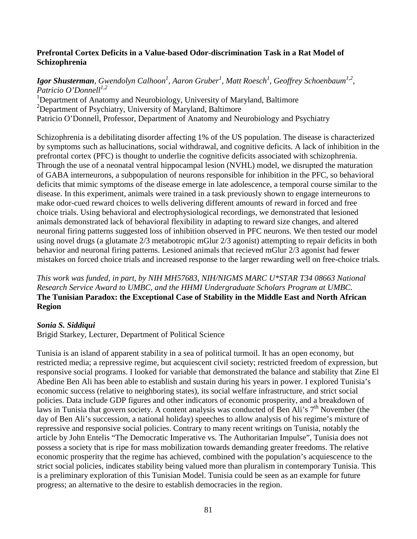# **Prefrontal Cortex Deficits in a Value-based Odor-discrimination Task in a Rat Model of Schizophrenia**

*Igor Shusterman, Gwendolyn Calhoon<sup>1</sup> , Aaron Gruber<sup>1</sup> , Matt Roesch1 , Geoffrey Schoenbaum1,2, Patricio O'Donnell1,2* <sup>1</sup>Department of Anatomy and Neurobiology, University of Maryland, Baltimore <sup>2</sup>Department of Psychiatry, University of Maryland, Baltimore Patricio O'Donnell, Professor, Department of Anatomy and Neurobiology and Psychiatry

Schizophrenia is a debilitating disorder affecting 1% of the US population. The disease is characterized by symptoms such as hallucinations, social withdrawal, and cognitive deficits. A lack of inhibition in the prefrontal cortex (PFC) is thought to underlie the cognitive deficits associated with schizophrenia. Through the use of a neonatal ventral hippocampal lesion (NVHL) model, we disrupted the maturation of GABA interneurons, a subpopulation of neurons responsible for inhibition in the PFC, so behavioral deficits that mimic symptoms of the disease emerge in late adolescence, a temporal course similar to the disease. In this experiment, animals were trained in a task previously shown to engage interneurons to make odor-cued reward choices to wells delivering different amounts of reward in forced and free choice trials. Using behavioral and electrophysiological recordings, we demonstrated that lesioned animals demonstrated lack of behavioral flexibility in adapting to reward size changes, and altered neuronal firing patterns suggested loss of inhibition observed in PFC neurons. We then tested our model using novel drugs (a glutamate 2/3 metabotropic mGlur 2/3 agonist) attempting to repair deficits in both behavior and neuronal firing patterns. Lesioned animals that recieved mGlur 2/3 agonist had fewer mistakes on forced choice trials and increased response to the larger rewarding well on free-choice trials.

*This work was funded, in part, by NIH MH57683, NIH/NIGMS MARC U\*STAR T34 08663 National Research Service Award to UMBC, and the HHMI Undergraduate Scholars Program at UMBC.* **The Tunisian Paradox: the Exceptional Case of Stability in the Middle East and North African Region**

# *Sonia S. Siddiqui*

Brigid Starkey, Lecturer, Department of Political Science

Tunisia is an island of apparent stability in a sea of political turmoil. It has an open economy, but restricted media; a repressive regime, but acquiescent civil society; restricted freedom of expression, but responsive social programs. I looked for variable that demonstrated the balance and stability that Zine El Abedine Ben Ali has been able to establish and sustain during his years in power. I explored Tunisia's economic success (relative to neighboring states), its social welfare infrastructure, and strict social policies. Data include GDP figures and other indicators of economic prosperity, and a breakdown of laws in Tunisia that govern society. A content analysis was conducted of Ben Ali's  $7<sup>th</sup>$  November (the day of Ben Ali's succession, a national holiday) speeches to allow analysis of his regime's mixture of repressive and responsive social policies. Contrary to many recent writings on Tunisia, notably the article by John Entelis "The Democratic Imperative vs. The Authoritarian Impulse", Tunisia does not possess a society that is ripe for mass mobilization towards demanding greater freedoms. The relative economic prosperity that the regime has achieved, combined with the population's acquiescence to the strict social policies, indicates stability being valued more than pluralism in contemporary Tunisia. This is a preliminary exploration of this Tunisian Model. Tunisia could be seen as an example for future progress; an alternative to the desire to establish democracies in the region.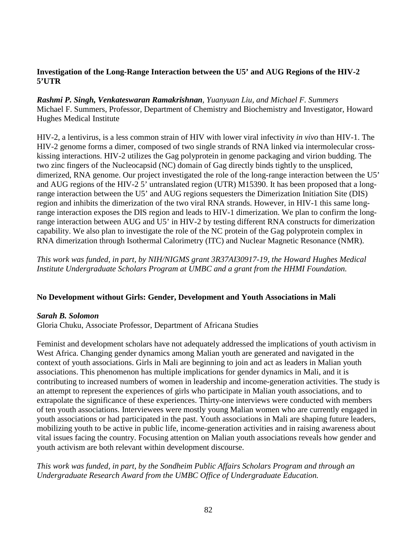## **Investigation of the Long-Range Interaction between the U5' and AUG Regions of the HIV-2 5'UTR**

*Rashmi P. Singh, Venkateswaran Ramakrishnan, Yuanyuan Liu, and Michael F. Summers* Michael F. Summers, Professor, Department of Chemistry and Biochemistry and Investigator, Howard Hughes Medical Institute

HIV-2, a lentivirus, is a less common strain of HIV with lower viral infectivity *in vivo* than HIV-1. The HIV-2 genome forms a dimer, composed of two single strands of RNA linked via intermolecular crosskissing interactions. HIV-2 utilizes the Gag polyprotein in genome packaging and virion budding. The two zinc fingers of the Nucleocapsid (NC) domain of Gag directly binds tightly to the unspliced, dimerized, RNA genome. Our project investigated the role of the long-range interaction between the U5' and AUG regions of the HIV-2 5' untranslated region (UTR) M15390. It has been proposed that a longrange interaction between the U5' and AUG regions sequesters the Dimerization Initiation Site (DIS) region and inhibits the dimerization of the two viral RNA strands. However, in HIV-1 this same longrange interaction exposes the DIS region and leads to HIV-1 dimerization. We plan to confirm the longrange interaction between AUG and U5' in HIV-2 by testing different RNA constructs for dimerization capability. We also plan to investigate the role of the NC protein of the Gag polyprotein complex in RNA dimerization through Isothermal Calorimetry (ITC) and Nuclear Magnetic Resonance (NMR).

*This work was funded, in part, by NIH/NIGMS grant 3R37AI30917-19, the Howard Hughes Medical Institute Undergraduate Scholars Program at UMBC and a grant from the HHMI Foundation.*

# **No Development without Girls: Gender, Development and Youth Associations in Mali**

#### *Sarah B. Solomon*

Gloria Chuku, Associate Professor, Department of Africana Studies

Feminist and development scholars have not adequately addressed the implications of youth activism in West Africa. Changing gender dynamics among Malian youth are generated and navigated in the context of youth associations. Girls in Mali are beginning to join and act as leaders in Malian youth associations. This phenomenon has multiple implications for gender dynamics in Mali, and it is contributing to increased numbers of women in leadership and income-generation activities. The study is an attempt to represent the experiences of girls who participate in Malian youth associations, and to extrapolate the significance of these experiences. Thirty-one interviews were conducted with members of ten youth associations. Interviewees were mostly young Malian women who are currently engaged in youth associations or had participated in the past. Youth associations in Mali are shaping future leaders, mobilizing youth to be active in public life, income-generation activities and in raising awareness about vital issues facing the country. Focusing attention on Malian youth associations reveals how gender and youth activism are both relevant within development discourse.

*This work was funded, in part, by the Sondheim Public Affairs Scholars Program and through an Undergraduate Research Award from the UMBC Office of Undergraduate Education.*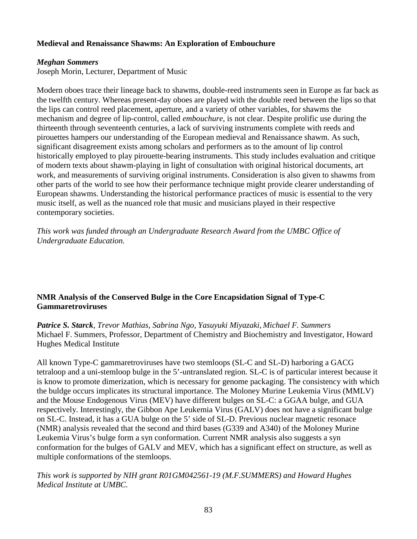# **Medieval and Renaissance Shawms: An Exploration of Embouchure**

# *Meghan Sommers*

Joseph Morin, Lecturer, Department of Music

Modern oboes trace their lineage back to shawms, double-reed instruments seen in Europe as far back as the twelfth century. Whereas present-day oboes are played with the double reed between the lips so that the lips can control reed placement, aperture, and a variety of other variables, for shawms the mechanism and degree of lip-control, called *embouchure,* is not clear. Despite prolific use during the thirteenth through seventeenth centuries, a lack of surviving instruments complete with reeds and pirouettes hampers our understanding of the European medieval and Renaissance shawm. As such, significant disagreement exists among scholars and performers as to the amount of lip control historically employed to play pirouette-bearing instruments. This study includes evaluation and critique of modern texts about shawm-playing in light of consultation with original historical documents, art work, and measurements of surviving original instruments. Consideration is also given to shawms from other parts of the world to see how their performance technique might provide clearer understanding of European shawms. Understanding the historical performance practices of music is essential to the very music itself, as well as the nuanced role that music and musicians played in their respective contemporary societies.

*This work was funded through an Undergraduate Research Award from the UMBC Office of Undergraduate Education.*

# **NMR Analysis of the Conserved Bulge in the Core Encapsidation Signal of Type-C Gammaretroviruses**

*Patrice S. Starck, Trevor Mathias, Sabrina Ngo, Yasuyuki Miyazaki, Michael F. Summers* Michael F. Summers, Professor, Department of Chemistry and Biochemistry and Investigator, Howard Hughes Medical Institute

All known Type-C gammaretroviruses have two stemloops (SL-C and SL-D) harboring a GACG tetraloop and a uni-stemloop bulge in the 5'-untranslated region. SL-C is of particular interest because it is know to promote dimerization, which is necessary for genome packaging. The consistency with which the buldge occurs implicates its structural importance. The Moloney Murine Leukemia Virus (MMLV) and the Mouse Endogenous Virus (MEV) have different bulges on SL-C: a GGAA bulge, and GUA respectively. Interestingly, the Gibbon Ape Leukemia Virus (GALV) does not have a significant bulge on SL-C. Instead, it has a GUA bulge on the 5' side of SL-D. Previous nuclear magnetic resonace (NMR) analysis revealed that the second and third bases (G339 and A340) of the Moloney Murine Leukemia Virus's bulge form a syn conformation. Current NMR analysis also suggests a syn conformation for the bulges of GALV and MEV, which has a significant effect on structure, as well as multiple conformations of the stemloops.

*This work is supported by NIH grant R01GM042561-19 (M.F.SUMMERS) and Howard Hughes Medical Institute at UMBC.*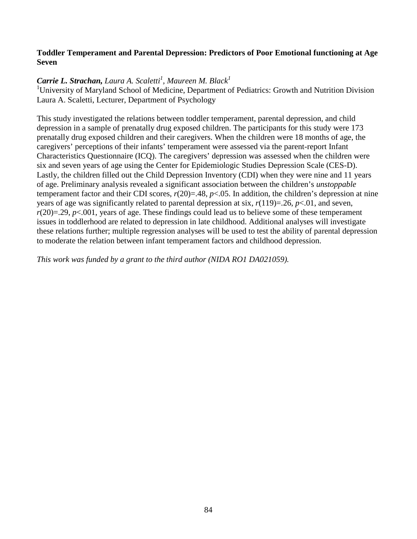## **Toddler Temperament and Parental Depression: Predictors of Poor Emotional functioning at Age Seven**

# *Carrie L. Strachan, Laura A. Scaletti 1 , Maureen M. Black 1*

<sup>1</sup>University of Maryland School of Medicine, Department of Pediatrics: Growth and Nutrition Division Laura A. Scaletti, Lecturer, Department of Psychology

This study investigated the relations between toddler temperament, parental depression, and child depression in a sample of prenatally drug exposed children. The participants for this study were 173 prenatally drug exposed children and their caregivers. When the children were 18 months of age, the caregivers' perceptions of their infants' temperament were assessed via the parent-report Infant Characteristics Questionnaire (ICQ). The caregivers' depression was assessed when the children were six and seven years of age using the Center for Epidemiologic Studies Depression Scale (CES-D). Lastly, the children filled out the Child Depression Inventory (CDI) when they were nine and 11 years of age. Preliminary analysis revealed a significant association between the children's *unstoppable*  temperament factor and their CDI scores,  $r(20)=.48$ ,  $p<.05$ . In addition, the children's depression at nine years of age was significantly related to parental depression at six,  $r(119)=.26$ ,  $p<.01$ , and seven,  $r(20)=0.29$ ,  $p<0.001$ , years of age. These findings could lead us to believe some of these temperament issues in toddlerhood are related to depression in late childhood. Additional analyses will investigate these relations further; multiple regression analyses will be used to test the ability of parental depression to moderate the relation between infant temperament factors and childhood depression.

*This work was funded by a grant to the third author (NIDA RO1 DA021059).*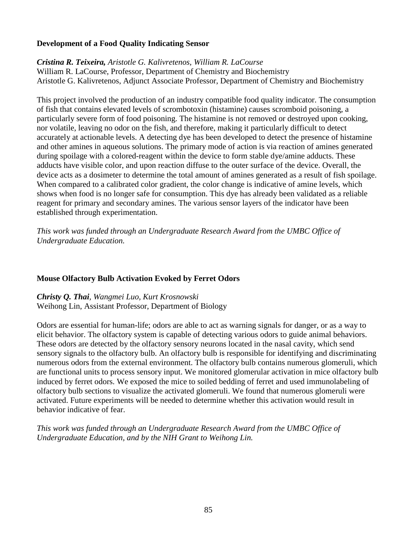### **Development of a Food Quality Indicating Sensor**

*Cristina R. Teixeira, Aristotle G. Kalivretenos, William R. LaCourse* William R. LaCourse, Professor, Department of Chemistry and Biochemistry Aristotle G. Kalivretenos, Adjunct Associate Professor, Department of Chemistry and Biochemistry

This project involved the production of an industry compatible food quality indicator. The consumption of fish that contains elevated levels of scrombotoxin (histamine) causes scromboid poisoning, a particularly severe form of food poisoning. The histamine is not removed or destroyed upon cooking, nor volatile, leaving no odor on the fish, and therefore, making it particularly difficult to detect accurately at actionable levels. A detecting dye has been developed to detect the presence of histamine and other amines in aqueous solutions. The primary mode of action is via reaction of amines generated during spoilage with a colored-reagent within the device to form stable dye/amine adducts. These adducts have visible color, and upon reaction diffuse to the outer surface of the device. Overall, the device acts as a dosimeter to determine the total amount of amines generated as a result of fish spoilage. When compared to a calibrated color gradient, the color change is indicative of amine levels, which shows when food is no longer safe for consumption. This dye has already been validated as a reliable reagent for primary and secondary amines. The various sensor layers of the indicator have been established through experimentation.

*This work was funded through an Undergraduate Research Award from the UMBC Office of Undergraduate Education.*

#### **Mouse Olfactory Bulb Activation Evoked by Ferret Odors**

*Christy Q. Thai, Wangmei Luo, Kurt Krosnowski* Weihong Lin, Assistant Professor, Department of Biology

Odors are essential for human-life; odors are able to act as warning signals for danger, or as a way to elicit behavior. The olfactory system is capable of detecting various odors to guide animal behaviors. These odors are detected by the olfactory sensory neurons located in the nasal cavity, which send sensory signals to the olfactory bulb. An olfactory bulb is responsible for identifying and discriminating numerous odors from the external environment. The olfactory bulb contains numerous glomeruli, which are functional units to process sensory input. We monitored glomerular activation in mice olfactory bulb induced by ferret odors. We exposed the mice to soiled bedding of ferret and used immunolabeling of olfactory bulb sections to visualize the activated glomeruli. We found that numerous glomeruli were activated. Future experiments will be needed to determine whether this activation would result in behavior indicative of fear.

*This work was funded through an Undergraduate Research Award from the UMBC Office of Undergraduate Education, and by the NIH Grant to Weihong Lin.*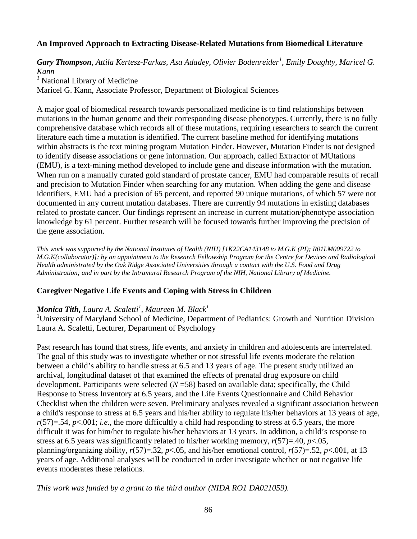## **An Improved Approach to Extracting Disease-Related Mutations from Biomedical Literature**

*Gary Thompson, Attila Kertesz-Farkas, Asa Adadey, Olivier Bodenreider<sup>1</sup> , Emily Doughty, Maricel G. Kann*

*<sup>1</sup>* National Library of Medicine

Maricel G. Kann, Associate Professor, Department of Biological Sciences

A major goal of biomedical research towards personalized medicine is to find relationships between mutations in the human genome and their corresponding disease phenotypes. Currently, there is no fully comprehensive database which records all of these mutations, requiring researchers to search the current literature each time a mutation is identified. The current baseline method for identifying mutations within abstracts is the text mining program Mutation Finder. However, Mutation Finder is not designed to identify disease associations or gene information. Our approach, called Extractor of MUtations (EMU), is a text-mining method developed to include gene and disease information with the mutation. When run on a manually curated gold standard of prostate cancer, EMU had comparable results of recall and precision to Mutation Finder when searching for any mutation. When adding the gene and disease identifiers, EMU had a precision of 65 percent, and reported 90 unique mutations, of which 57 were not documented in any current mutation databases. There are currently 94 mutations in existing databases related to prostate cancer. Our findings represent an increase in current mutation/phenotype association knowledge by 61 percent. Further research will be focused towards further improving the precision of the gene association.

*This work was supported by the National Institutes of Health (NIH) [1K22CA143148 to M.G.K (PI); R01LM009722 to M.G.K(collaborator)]; by an appointment to the Research Fellowship Program for the Centre for Devices and Radiological Health administrated by the Oak Ridge Associated Universities through a contact with the U.S. Food and Drug Administration; and in part by the Intramural Research Program of the NIH, National Library of Medicine.*

#### **Caregiver Negative Life Events and Coping with Stress in Children**

# *Monica Tith, Laura A. Scaletti<sup>1</sup> , Maureen M. Black1*

<sup>1</sup>University of Maryland School of Medicine, Department of Pediatrics: Growth and Nutrition Division Laura A. Scaletti, Lecturer, Department of Psychology

Past research has found that stress, life events, and anxiety in children and adolescents are interrelated. The goal of this study was to investigate whether or not stressful life events moderate the relation between a child's ability to handle stress at 6.5 and 13 years of age. The present study utilized an archival, longitudinal dataset of that examined the effects of prenatal drug exposure on child development. Participants were selected  $(N=58)$  based on available data; specifically, the Child Response to Stress Inventory at 6.5 years, and the Life Events Questionnaire and Child Behavior Checklist when the children were seven. Preliminary analyses revealed a significant association between a child's response to stress at 6.5 years and his/her ability to regulate his/her behaviors at 13 years of age,  $r(57)=0.54$ ,  $p<0.001$ ; *i.e.*, the more difficultly a child had responding to stress at 6.5 years, the more difficult it was for him/her to regulate his/her behaviors at 13 years. In addition, a child's response to stress at 6.5 years was significantly related to his/her working memory, *r*(57)=.40, *p*<.05, planning/organizing ability,  $r(57)=32$ ,  $p<0.05$ , and his/her emotional control,  $r(57)=52$ ,  $p<0.01$ , at 13 years of age. Additional analyses will be conducted in order investigate whether or not negative life events moderates these relations.

*This work was funded by a grant to the third author (NIDA RO1 DA021059).*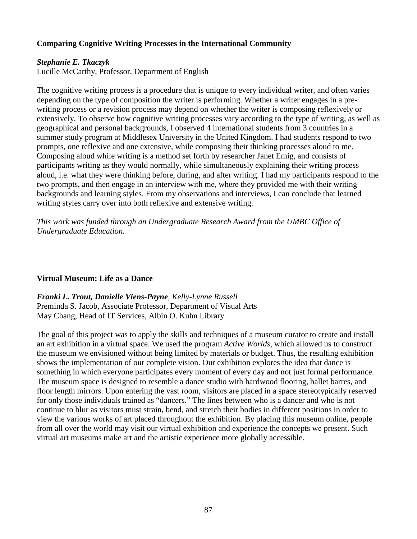# **Comparing Cognitive Writing Processes in the International Community**

#### *Stephanie E. Tkaczyk*

Lucille McCarthy, Professor, Department of English

The cognitive writing process is a procedure that is unique to every individual writer, and often varies depending on the type of composition the writer is performing. Whether a writer engages in a prewriting process or a revision process may depend on whether the writer is composing reflexively or extensively. To observe how cognitive writing processes vary according to the type of writing, as well as geographical and personal backgrounds, I observed 4 international students from 3 countries in a summer study program at Middlesex University in the United Kingdom. I had students respond to two prompts, one reflexive and one extensive, while composing their thinking processes aloud to me. Composing aloud while writing is a method set forth by researcher Janet Emig, and consists of participants writing as they would normally, while simultaneously explaining their writing process aloud, i.e. what they were thinking before, during, and after writing. I had my participants respond to the two prompts, and then engage in an interview with me, where they provided me with their writing backgrounds and learning styles. From my observations and interviews, I can conclude that learned writing styles carry over into both reflexive and extensive writing.

*This work was funded through an Undergraduate Research Award from the UMBC Office of Undergraduate Education.* 

#### **Virtual Museum: Life as a Dance**

*Franki L. Trout, Danielle Viens-Payne, Kelly-Lynne Russell* Preminda S. Jacob, Associate Professor, Department of Visual Arts May Chang, Head of IT Services, Albin O. Kuhn Library

The goal of this project was to apply the skills and techniques of a museum curator to create and install an art exhibition in a virtual space. We used the program *Active Worlds*, which allowed us to construct the museum we envisioned without being limited by materials or budget. Thus, the resulting exhibition shows the implementation of our complete vision. Our exhibition explores the idea that dance is something in which everyone participates every moment of every day and not just formal performance. The museum space is designed to resemble a dance studio with hardwood flooring, ballet barres, and floor length mirrors. Upon entering the vast room, visitors are placed in a space stereotypically reserved for only those individuals trained as "dancers." The lines between who is a dancer and who is not continue to blur as visitors must strain, bend, and stretch their bodies in different positions in order to view the various works of art placed throughout the exhibition. By placing this museum online, people from all over the world may visit our virtual exhibition and experience the concepts we present. Such virtual art museums make art and the artistic experience more globally accessible.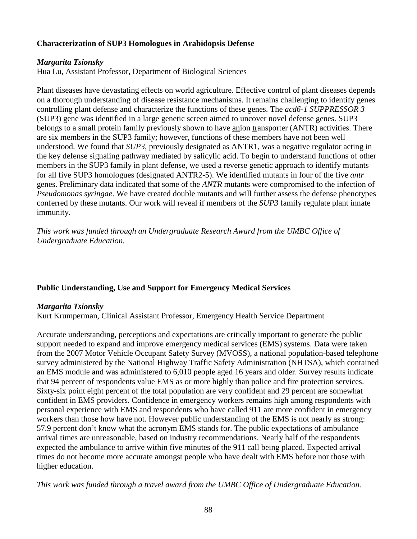# **Characterization of SUP3 Homologues in Arabidopsis Defense**

### *Margarita Tsionsky*

Hua Lu, Assistant Professor, Department of Biological Sciences

Plant diseases have devastating effects on world agriculture. Effective control of plant diseases depends on a thorough understanding of disease resistance mechanisms. It remains challenging to identify genes controlling plant defense and characterize the functions of these genes. The *acd6-1 SUPPRESSOR 3* (SUP3) gene was identified in a large genetic screen aimed to uncover novel defense genes. SUP3 belongs to a small protein family previously shown to have anion transporter (ANTR) activities. There are six members in the SUP3 family; however, functions of these members have not been well understood. We found that *SUP3*, previously designated as ANTR1, was a negative regulator acting in the key defense signaling pathway mediated by salicylic acid. To begin to understand functions of other members in the SUP3 family in plant defense, we used a reverse genetic approach to identify mutants for all five SUP3 homologues (designated ANTR2-5). We identified mutants in four of the five *antr* genes. Preliminary data indicated that some of the *ANTR* mutants were compromised to the infection of *Pseudomonas syringae*. We have created double mutants and will further assess the defense phenotypes conferred by these mutants. Our work will reveal if members of the *SUP3* family regulate plant innate immunity.

*This work was funded through an Undergraduate Research Award from the UMBC Office of Undergraduate Education.*

# **Public Understanding, Use and Support for Emergency Medical Services**

#### *Margarita Tsionsky*

Kurt Krumperman, Clinical Assistant Professor, Emergency Health Service Department

Accurate understanding, perceptions and expectations are critically important to generate the public support needed to expand and improve emergency medical services (EMS) systems. Data were taken from the 2007 Motor Vehicle Occupant Safety Survey (MVOSS), a national population-based telephone survey administered by the National Highway Traffic Safety Administration (NHTSA), which contained an EMS module and was administered to 6,010 people aged 16 years and older. Survey results indicate that 94 percent of respondents value EMS as or more highly than police and fire protection services. Sixty-six point eight percent of the total population are very confident and 29 percent are somewhat confident in EMS providers. Confidence in emergency workers remains high among respondents with personal experience with EMS and respondents who have called 911 are more confident in emergency workers than those how have not. However public understanding of the EMS is not nearly as strong: 57.9 percent don't know what the acronym EMS stands for. The public expectations of ambulance arrival times are unreasonable, based on industry recommendations. Nearly half of the respondents expected the ambulance to arrive within five minutes of the 911 call being placed. Expected arrival times do not become more accurate amongst people who have dealt with EMS before nor those with higher education.

*This work was funded through a travel award from the UMBC Office of Undergraduate Education.*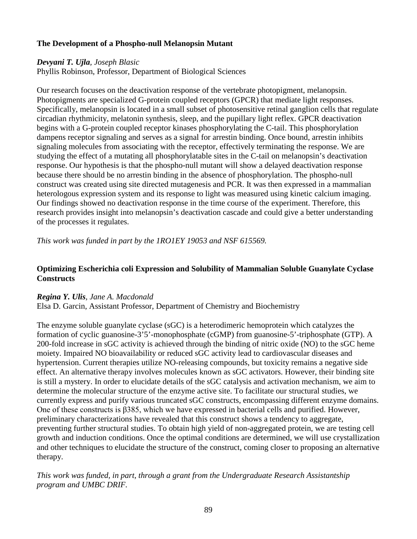# **The Development of a Phospho-null Melanopsin Mutant**

# *Devyani T. Ujla, Joseph Blasic*

Phyllis Robinson, Professor, Department of Biological Sciences

Our research focuses on the deactivation response of the vertebrate photopigment, melanopsin. Photopigments are specialized G-protein coupled receptors (GPCR) that mediate light responses. Specifically, melanopsin is located in a small subset of photosensitive retinal ganglion cells that regulate circadian rhythmicity, melatonin synthesis, sleep, and the pupillary light reflex. GPCR deactivation begins with a G-protein coupled receptor kinases phosphorylating the C-tail. This phosphorylation dampens receptor signaling and serves as a signal for arrestin binding. Once bound, arrestin inhibits signaling molecules from associating with the receptor, effectively terminating the response. We are studying the effect of a mutating all phosphorylatable sites in the C-tail on melanopsin's deactivation response. Our hypothesis is that the phospho-null mutant will show a delayed deactivation response because there should be no arrestin binding in the absence of phosphorylation. The phospho-null construct was created using site directed mutagenesis and PCR. It was then expressed in a mammalian heterologous expression system and its response to light was measured using kinetic calcium imaging. Our findings showed no deactivation response in the time course of the experiment. Therefore, this research provides insight into melanopsin's deactivation cascade and could give a better understanding of the processes it regulates.

*This work was funded in part by the 1RO1EY 19053 and NSF 615569.*

# **Optimizing Escherichia coli Expression and Solubility of Mammalian Soluble Guanylate Cyclase Constructs**

# *Regina Y. Ulis, Jane A. Macdonald*

Elsa D. Garcin, Assistant Professor, Department of Chemistry and Biochemistry

The enzyme soluble guanylate cyclase (sGC) is a heterodimeric hemoprotein which catalyzes the formation of cyclic guanosine-3'5'-monophosphate (cGMP) from guanosine-5'-triphosphate (GTP). A 200-fold increase in sGC activity is achieved through the binding of nitric oxide (NO) to the sGC heme moiety. Impaired NO bioavailability or reduced sGC activity lead to cardiovascular diseases and hypertension. Current therapies utilize NO-releasing compounds, but toxicity remains a negative side effect. An alternative therapy involves molecules known as sGC activators. However, their binding site is still a mystery. In order to elucidate details of the sGC catalysis and activation mechanism, we aim to determine the molecular structure of the enzyme active site. To facilitate our structural studies, we currently express and purify various truncated sGC constructs, encompassing different enzyme domains. One of these constructs is β385, which we have expressed in bacterial cells and purified. However, preliminary characterizations have revealed that this construct shows a tendency to aggregate, preventing further structural studies. To obtain high yield of non-aggregated protein, we are testing cell growth and induction conditions. Once the optimal conditions are determined, we will use crystallization and other techniques to elucidate the structure of the construct, coming closer to proposing an alternative therapy.

*This work was funded, in part, through a grant from the Undergraduate Research Assistantship program and UMBC DRIF.*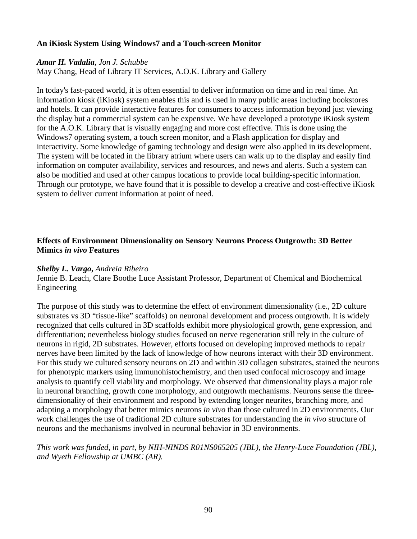### **An iKiosk System Using Windows7 and a Touch-screen Monitor**

#### *Amar H. Vadalia, Jon J. Schubbe*

May Chang, Head of Library IT Services, A.O.K. Library and Gallery

In today's fast-paced world, it is often essential to deliver information on time and in real time. An information kiosk (iKiosk) system enables this and is used in many public areas including bookstores and hotels. It can provide interactive features for consumers to access information beyond just viewing the display but a commercial system can be expensive. We have developed a prototype iKiosk system for the A.O.K. Library that is visually engaging and more cost effective. This is done using the Windows7 operating system, a touch screen monitor, and a Flash application for display and interactivity. Some knowledge of gaming technology and design were also applied in its development. The system will be located in the library atrium where users can walk up to the display and easily find information on computer availability, services and resources, and news and alerts. Such a system can also be modified and used at other campus locations to provide local building-specific information. Through our prototype, we have found that it is possible to develop a creative and cost-effective iKiosk system to deliver current information at point of need.

## **Effects of Environment Dimensionality on Sensory Neurons Process Outgrowth: 3D Better Mimics** *in vivo* **Features**

#### *Shelby L. Vargo***,** *Andreia Ribeiro*

Jennie B. Leach, Clare Boothe Luce Assistant Professor, Department of Chemical and Biochemical Engineering

The purpose of this study was to determine the effect of environment dimensionality (i.e., 2D culture substrates vs 3D "tissue-like" scaffolds) on neuronal development and process outgrowth. It is widely recognized that cells cultured in 3D scaffolds exhibit more physiological growth, gene expression, and differentiation; nevertheless biology studies focused on nerve regeneration still rely in the culture of neurons in rigid, 2D substrates. However, efforts focused on developing improved methods to repair nerves have been limited by the lack of knowledge of how neurons interact with their 3D environment. For this study we cultured sensory neurons on 2D and within 3D collagen substrates, stained the neurons for phenotypic markers using immunohistochemistry, and then used confocal microscopy and image analysis to quantify cell viability and morphology. We observed that dimensionality plays a major role in neuronal branching, growth cone morphology, and outgrowth mechanisms. Neurons sense the threedimensionality of their environment and respond by extending longer neurites, branching more, and adapting a morphology that better mimics neurons *in vivo* than those cultured in 2D environments. Our work challenges the use of traditional 2D culture substrates for understanding the *in vivo* structure of neurons and the mechanisms involved in neuronal behavior in 3D environments.

# *This work was funded, in part, by NIH-NINDS R01NS065205 (JBL), the Henry-Luce Foundation (JBL), and Wyeth Fellowship at UMBC (AR).*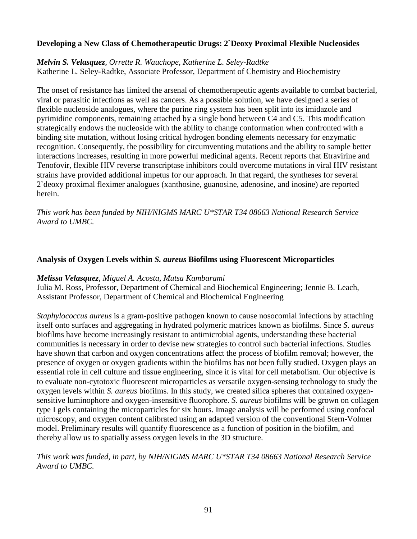## **Developing a New Class of Chemotherapeutic Drugs: 2`Deoxy Proximal Flexible Nucleosides**

*Melvin S. Velasquez, Orrette R. Wauchope, Katherine L. Seley-Radtke* Katherine L. Seley-Radtke, Associate Professor, Department of Chemistry and Biochemistry

The onset of resistance has limited the arsenal of chemotherapeutic agents available to combat bacterial, viral or parasitic infections as well as cancers. As a possible solution, we have designed a series of flexible nucleoside analogues, where the purine ring system has been split into its imidazole and pyrimidine components, remaining attached by a single bond between C4 and C5. This modification strategically endows the nucleoside with the ability to change conformation when confronted with a binding site mutation, without losing critical hydrogen bonding elements necessary for enzymatic recognition. Consequently, the possibility for circumventing mutations and the ability to sample better interactions increases, resulting in more powerful medicinal agents. Recent reports that Etravirine and Tenofovir, flexible HIV reverse transcriptase inhibitors could overcome mutations in viral HIV resistant strains have provided additional impetus for our approach. In that regard, the syntheses for several 2`deoxy proximal fleximer analogues (xanthosine, guanosine, adenosine, and inosine) are reported herein.

*This work has been funded by NIH/NIGMS MARC U\*STAR T34 08663 National Research Service Award to UMBC.*

### **Analysis of Oxygen Levels within** *S. aureus* **Biofilms using Fluorescent Microparticles**

#### *Melissa Velasquez*, *Miguel A. Acosta, Mutsa Kambarami*

Julia M. Ross, Professor, Department of Chemical and Biochemical Engineering; Jennie B. Leach, Assistant Professor, Department of Chemical and Biochemical Engineering

*Staphylococcus aureus* is a gram-positive pathogen known to cause nosocomial infections by attaching itself onto surfaces and aggregating in hydrated polymeric matrices known as biofilms. Since *S. aureus* biofilms have become increasingly resistant to antimicrobial agents, understanding these bacterial communities is necessary in order to devise new strategies to control such bacterial infections. Studies have shown that carbon and oxygen concentrations affect the process of biofilm removal; however, the presence of oxygen or oxygen gradients within the biofilms has not been fully studied. Oxygen plays an essential role in cell culture and tissue engineering, since it is vital for cell metabolism. Our objective is to evaluate non-cytotoxic fluorescent microparticles as versatile oxygen-sensing technology to study the oxygen levels within *S. aureus* biofilms. In this study, we created silica spheres that contained oxygensensitive luminophore and oxygen-insensitive fluorophore. *S. aureus* biofilms will be grown on collagen type I gels containing the microparticles for six hours. Image analysis will be performed using confocal microscopy, and oxygen content calibrated using an adapted version of the conventional Stern-Volmer model. Preliminary results will quantify fluorescence as a function of position in the biofilm, and thereby allow us to spatially assess oxygen levels in the 3D structure.

### *This work was funded, in part, by NIH/NIGMS MARC U\*STAR T34 08663 National Research Service Award to UMBC.*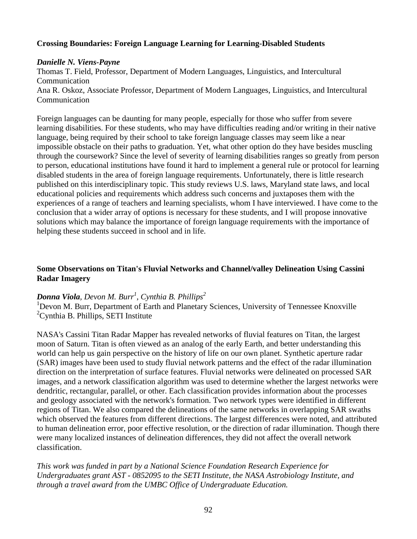### **Crossing Boundaries: Foreign Language Learning for Learning-Disabled Students**

### *Danielle N. Viens-Payne*

Thomas T. Field, Professor, Department of Modern Languages, Linguistics, and Intercultural Communication Ana R. Oskoz, Associate Professor, Department of Modern Languages, Linguistics, and Intercultural Communication

Foreign languages can be daunting for many people, especially for those who suffer from severe learning disabilities. For these students, who may have difficulties reading and/or writing in their native language, being required by their school to take foreign language classes may seem like a near impossible obstacle on their paths to graduation. Yet, what other option do they have besides muscling through the coursework? Since the level of severity of learning disabilities ranges so greatly from person to person, educational institutions have found it hard to implement a general rule or protocol for learning disabled students in the area of foreign language requirements. Unfortunately, there is little research published on this interdisciplinary topic. This study reviews U.S. laws, Maryland state laws, and local educational policies and requirements which address such concerns and juxtaposes them with the experiences of a range of teachers and learning specialists, whom I have interviewed. I have come to the conclusion that a wider array of options is necessary for these students, and I will propose innovative solutions which may balance the importance of foreign language requirements with the importance of helping these students succeed in school and in life.

# **Some Observations on Titan's Fluvial Networks and Channel/valley Delineation Using Cassini Radar Imagery**

# *Donna Viola, Devon M. Burr<sup>1</sup> , Cynthia B. Phillips<sup>2</sup>*

<sup>1</sup>Devon M. Burr, Department of Earth and Planetary Sciences, University of Tennessee Knoxville <sup>2</sup>Cynthia B. Phillips, SETI Institute

NASA's Cassini Titan Radar Mapper has revealed networks of fluvial features on Titan, the largest moon of Saturn. Titan is often viewed as an analog of the early Earth, and better understanding this world can help us gain perspective on the history of life on our own planet. Synthetic aperture radar (SAR) images have been used to study fluvial network patterns and the effect of the radar illumination direction on the interpretation of surface features. Fluvial networks were delineated on processed SAR images, and a network classification algorithm was used to determine whether the largest networks were dendritic, rectangular, parallel, or other. Each classification provides information about the processes and geology associated with the network's formation. Two network types were identified in different regions of Titan. We also compared the delineations of the same networks in overlapping SAR swaths which observed the features from different directions. The largest differences were noted, and attributed to human delineation error, poor effective resolution, or the direction of radar illumination. Though there were many localized instances of delineation differences, they did not affect the overall network classification.

*This work was funded in part by a National Science Foundation Research Experience for Undergraduates grant AST - 0852095 to the SETI Institute, the NASA Astrobiology Institute, and through a travel award from the UMBC Office of Undergraduate Education.*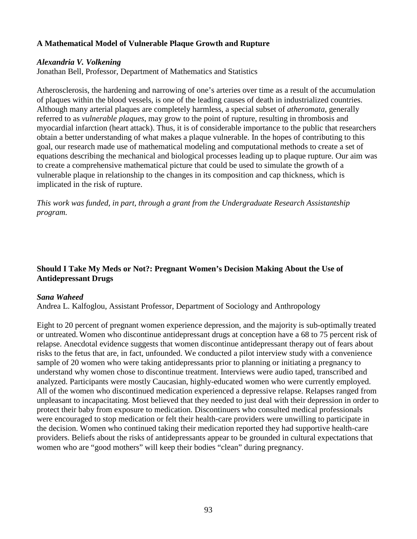# **A Mathematical Model of Vulnerable Plaque Growth and Rupture**

## *Alexandria V. Volkening*

Jonathan Bell, Professor, Department of Mathematics and Statistics

Atherosclerosis, the hardening and narrowing of one's arteries over time as a result of the accumulation of plaques within the blood vessels, is one of the leading causes of death in industrialized countries. Although many arterial plaques are completely harmless, a special subset of *atheromata*, generally referred to as *vulnerable plaques*, may grow to the point of rupture, resulting in thrombosis and myocardial infarction (heart attack). Thus, it is of considerable importance to the public that researchers obtain a better understanding of what makes a plaque vulnerable. In the hopes of contributing to this goal, our research made use of mathematical modeling and computational methods to create a set of equations describing the mechanical and biological processes leading up to plaque rupture. Our aim was to create a comprehensive mathematical picture that could be used to simulate the growth of a vulnerable plaque in relationship to the changes in its composition and cap thickness, which is implicated in the risk of rupture.

*This work was funded, in part, through a grant from the Undergraduate Research Assistantship program.*

# **Should I Take My Meds or Not?: Pregnant Women's Decision Making About the Use of Antidepressant Drugs**

# *Sana Waheed*

Andrea L. Kalfoglou, Assistant Professor, Department of Sociology and Anthropology

Eight to 20 percent of pregnant women experience depression, and the majority is sub-optimally treated or untreated. Women who discontinue antidepressant drugs at conception have a 68 to 75 percent risk of relapse. Anecdotal evidence suggests that women discontinue antidepressant therapy out of fears about risks to the fetus that are, in fact, unfounded. We conducted a pilot interview study with a convenience sample of 20 women who were taking antidepressants prior to planning or initiating a pregnancy to understand why women chose to discontinue treatment. Interviews were audio taped, transcribed and analyzed. Participants were mostly Caucasian, highly-educated women who were currently employed. All of the women who discontinued medication experienced a depressive relapse. Relapses ranged from unpleasant to incapacitating. Most believed that they needed to just deal with their depression in order to protect their baby from exposure to medication. Discontinuers who consulted medical professionals were encouraged to stop medication or felt their health-care providers were unwilling to participate in the decision. Women who continued taking their medication reported they had supportive health-care providers. Beliefs about the risks of antidepressants appear to be grounded in cultural expectations that women who are "good mothers" will keep their bodies "clean" during pregnancy.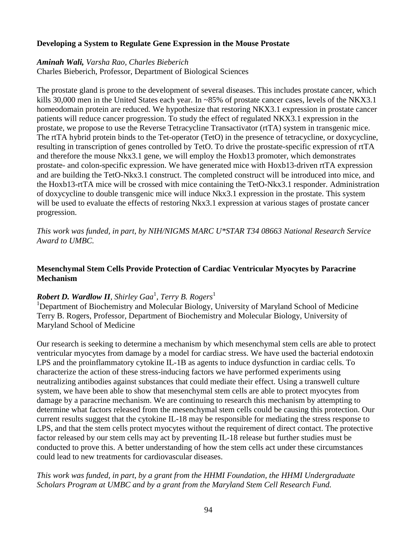## **Developing a System to Regulate Gene Expression in the Mouse Prostate**

#### *Aminah Wali, Varsha Rao, Charles Bieberich*

Charles Bieberich, Professor, Department of Biological Sciences

The prostate gland is prone to the development of several diseases. This includes prostate cancer, which kills 30,000 men in the United States each year. In ~85% of prostate cancer cases, levels of the NKX3.1 homeodomain protein are reduced. We hypothesize that restoring NKX3.1 expression in prostate cancer patients will reduce cancer progression. To study the effect of regulated NKX3.1 expression in the prostate, we propose to use the Reverse Tetracycline Transactivator (rtTA) system in transgenic mice. The rtTA hybrid protein binds to the Tet-operator (TetO) in the presence of tetracycline, or doxycycline, resulting in transcription of genes controlled by TetO. To drive the prostate-specific expression of rtTA and therefore the mouse Nkx3.1 gene, we will employ the Hoxb13 promoter, which demonstrates prostate- and colon-specific expression. We have generated mice with Hoxb13-driven rtTA expression and are building the TetO-Nkx3.1 construct. The completed construct will be introduced into mice, and the Hoxb13-rtTA mice will be crossed with mice containing the TetO-Nkx3.1 responder. Administration of doxycycline to double transgenic mice will induce Nkx3.1 expression in the prostate. This system will be used to evaluate the effects of restoring Nkx3.1 expression at various stages of prostate cancer progression.

*This work was funded, in part, by NIH/NIGMS MARC U\*STAR T34 08663 National Research Service Award to UMBC.*

## **Mesenchymal Stem Cells Provide Protection of Cardiac Ventricular Myocytes by Paracrine Mechanism**

# *Robert D. Wardlow II, Shirley Gaa*<sup>1</sup> *, Terry B. Rogers*<sup>1</sup>

<sup>1</sup>Department of Biochemistry and Molecular Biology, University of Maryland School of Medicine Terry B. Rogers, Professor, Department of Biochemistry and Molecular Biology, University of Maryland School of Medicine

Our research is seeking to determine a mechanism by which mesenchymal stem cells are able to protect ventricular myocytes from damage by a model for cardiac stress. We have used the bacterial endotoxin LPS and the proinflammatory cytokine IL-1B as agents to induce dysfunction in cardiac cells. To characterize the action of these stress-inducing factors we have performed experiments using neutralizing antibodies against substances that could mediate their effect. Using a transwell culture system, we have been able to show that mesenchymal stem cells are able to protect myocytes from damage by a paracrine mechanism. We are continuing to research this mechanism by attempting to determine what factors released from the mesenchymal stem cells could be causing this protection. Our current results suggest that the cytokine IL-18 may be responsible for mediating the stress response to LPS, and that the stem cells protect myocytes without the requirement of direct contact. The protective factor released by our stem cells may act by preventing IL-18 release but further studies must be conducted to prove this. A better understanding of how the stem cells act under these circumstances could lead to new treatments for cardiovascular diseases.

### *This work was funded, in part, by a grant from the HHMI Foundation, the HHMI Undergraduate Scholars Program at UMBC and by a grant from the Maryland Stem Cell Research Fund.*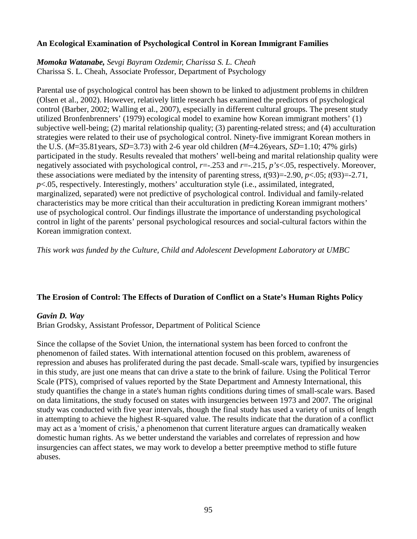### **An Ecological Examination of Psychological Control in Korean Immigrant Families**

*Momoka Watanabe, Sevgi Bayram Ozdemir, Charissa S. L. Cheah* Charissa S. L. Cheah, Associate Professor, Department of Psychology

Parental use of psychological control has been shown to be linked to adjustment problems in children (Olsen et al., 2002). However, relatively little research has examined the predictors of psychological control (Barber, 2002; Walling et al., 2007), especially in different cultural groups. The present study utilized Bronfenbrenners' (1979) ecological model to examine how Korean immigrant mothers' (1) subjective well-being; (2) marital relationship quality; (3) parenting-related stress; and (4) acculturation strategies were related to their use of psychological control. Ninety-five immigrant Korean mothers in the U.S. (*M*=35.81years, *SD*=3.73) with 2-6 year old children (*M*=4.26years, *SD*=1.10; 47% girls) participated in the study. Results revealed that mothers' well-being and marital relationship quality were negatively associated with psychological control, *r*=-.253 and *r*=-.215, *p's*<.05, respectively. Moreover, these associations were mediated by the intensity of parenting stress,  $t(93)=2.90$ ,  $p<.05$ ;  $t(93)=2.71$ , *p*<.05, respectively. Interestingly, mothers' acculturation style (i.e., assimilated, integrated, marginalized, separated) were not predictive of psychological control. Individual and family-related characteristics may be more critical than their acculturation in predicting Korean immigrant mothers' use of psychological control. Our findings illustrate the importance of understanding psychological control in light of the parents' personal psychological resources and social-cultural factors within the Korean immigration context.

*This work was funded by the Culture, Child and Adolescent Development Laboratory at UMBC*

#### **The Erosion of Control: The Effects of Duration of Conflict on a State's Human Rights Policy**

#### *Gavin D. Way*

Brian Grodsky, Assistant Professor, Department of Political Science

Since the collapse of the Soviet Union, the international system has been forced to confront the phenomenon of failed states. With international attention focused on this problem, awareness of repression and abuses has proliferated during the past decade. Small-scale wars, typified by insurgencies in this study, are just one means that can drive a state to the brink of failure. Using the Political Terror Scale (PTS), comprised of values reported by the State Department and Amnesty International, this study quantifies the change in a state's human rights conditions during times of small-scale wars. Based on data limitations, the study focused on states with insurgencies between 1973 and 2007. The original study was conducted with five year intervals, though the final study has used a variety of units of length in attempting to achieve the highest R-squared value. The results indicate that the duration of a conflict may act as a 'moment of crisis,' a phenomenon that current literature argues can dramatically weaken domestic human rights. As we better understand the variables and correlates of repression and how insurgencies can affect states, we may work to develop a better preemptive method to stifle future abuses.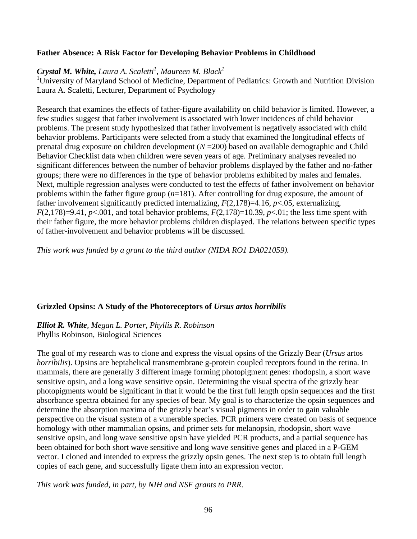## **Father Absence: A Risk Factor for Developing Behavior Problems in Childhood**

# *Crystal M. White, Laura A. Scaletti<sup>1</sup> , Maureen M. Black1*

<sup>1</sup>University of Maryland School of Medicine, Department of Pediatrics: Growth and Nutrition Division Laura A. Scaletti, Lecturer, Department of Psychology

Research that examines the effects of father-figure availability on child behavior is limited. However, a few studies suggest that father involvement is associated with lower incidences of child behavior problems. The present study hypothesized that father involvement is negatively associated with child behavior problems. Participants were selected from a study that examined the longitudinal effects of prenatal drug exposure on children development (*N* =200) based on available demographic and Child Behavior Checklist data when children were seven years of age. Preliminary analyses revealed no significant differences between the number of behavior problems displayed by the father and no-father groups; there were no differences in the type of behavior problems exhibited by males and females. Next, multiple regression analyses were conducted to test the effects of father involvement on behavior problems within the father figure group (*n*=181). After controlling for drug exposure, the amount of father involvement significantly predicted internalizing, *F*(2,178)=4.16, *p*<.05, externalizing, *F*(2,178)=9.41, *p*<.001, and total behavior problems, *F*(2,178)=10.39, *p*<.01; the less time spent with their father figure, the more behavior problems children displayed. The relations between specific types of father-involvement and behavior problems will be discussed.

*This work was funded by a grant to the third author (NIDA RO1 DA021059).*

# **Grizzled Opsins: A Study of the Photoreceptors of** *Ursus artos horribilis*

#### *Elliot R. White, Megan L. Porter, Phyllis R. Robinson* Phyllis Robinson, Biological Sciences

The goal of my research was to clone and express the visual opsins of the Grizzly Bear (*Ursus* artos *horribilis*). Opsins are heptahelical transmembrane g-protein coupled receptors found in the retina. In mammals, there are generally 3 different image forming photopigment genes: rhodopsin, a short wave sensitive opsin, and a long wave sensitive opsin. Determining the visual spectra of the grizzly bear photopigments would be significant in that it would be the first full length opsin sequences and the first absorbance spectra obtained for any species of bear. My goal is to characterize the opsin sequences and determine the absorption maxima of the grizzly bear's visual pigments in order to gain valuable perspective on the visual system of a vunerable species. PCR primers were created on basis of sequence homology with other mammalian opsins, and primer sets for melanopsin, rhodopsin, short wave sensitive opsin, and long wave sensitive opsin have yielded PCR products, and a partial sequence has been obtained for both short wave sensitive and long wave sensitive genes and placed in a P-GEM vector. I cloned and intended to express the grizzly opsin genes. The next step is to obtain full length copies of each gene, and successfully ligate them into an expression vector.

*This work was funded, in part, by NIH and NSF grants to PRR.*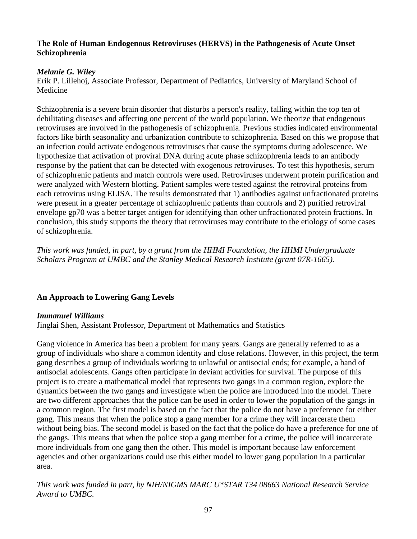### **The Role of Human Endogenous Retroviruses (HERVS) in the Pathogenesis of Acute Onset Schizophrenia**

# *Melanie G. Wiley*

Erik P. Lillehoj, Associate Professor, Department of Pediatrics, University of Maryland School of Medicine

Schizophrenia is a severe brain disorder that disturbs a person's reality, falling within the top ten of debilitating diseases and affecting one percent of the world population. We theorize that endogenous retroviruses are involved in the pathogenesis of schizophrenia. Previous studies indicated environmental factors like birth seasonality and urbanization contribute to schizophrenia. Based on this we propose that an infection could activate endogenous retroviruses that cause the symptoms during adolescence. We hypothesize that activation of proviral DNA during acute phase schizophrenia leads to an antibody response by the patient that can be detected with exogenous retroviruses. To test this hypothesis, serum of schizophrenic patients and match controls were used. Retroviruses underwent protein purification and were analyzed with Western blotting. Patient samples were tested against the retroviral proteins from each retrovirus using ELISA. The results demonstrated that 1) antibodies against unfractionated proteins were present in a greater percentage of schizophrenic patients than controls and 2) purified retroviral envelope gp70 was a better target antigen for identifying than other unfractionated protein fractions. In conclusion, this study supports the theory that retroviruses may contribute to the etiology of some cases of schizophrenia.

*This work was funded, in part, by a grant from the HHMI Foundation, the HHMI Undergraduate Scholars Program at UMBC and the Stanley Medical Research Institute (grant 07R-1665).*

# **An Approach to Lowering Gang Levels**

# *Immanuel Williams*

Jinglai Shen, Assistant Professor, Department of Mathematics and Statistics

Gang violence in America has been a problem for many years. Gangs are generally referred to as a group of individuals who share a common identity and close relations. However, in this project, the term gang describes a group of individuals working to unlawful or antisocial ends; for example, a band of antisocial adolescents. Gangs often participate in deviant activities for survival. The purpose of this project is to create a mathematical model that represents two gangs in a common region, explore the dynamics between the two gangs and investigate when the police are introduced into the model. There are two different approaches that the police can be used in order to lower the population of the gangs in a common region. The first model is based on the fact that the police do not have a preference for either gang. This means that when the police stop a gang member for a crime they will incarcerate them without being bias. The second model is based on the fact that the police do have a preference for one of the gangs. This means that when the police stop a gang member for a crime, the police will incarcerate more individuals from one gang then the other. This model is important because law enforcement agencies and other organizations could use this either model to lower gang population in a particular area.

*This work was funded in part, by NIH/NIGMS MARC U\*STAR T34 08663 National Research Service Award to UMBC.*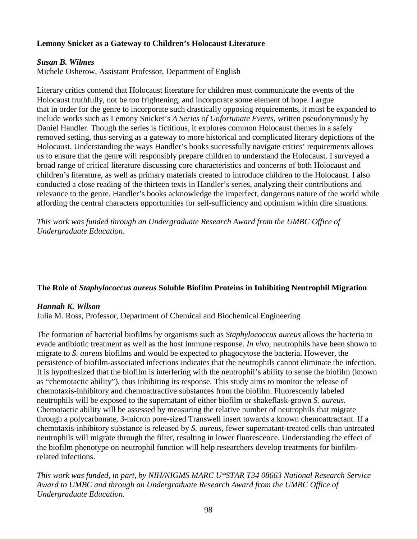# **Lemony Snicket as a Gateway to Children's Holocaust Literature**

# *Susan B. Wilmes*

Michele Osherow, Assistant Professor, Department of English

Literary critics contend that Holocaust literature for children must communicate the events of the Holocaust truthfully, not be too frightening, and incorporate some element of hope. I argue that in order for the genre to incorporate such drastically opposing requirements, it must be expanded to include works such as Lemony Snicket's *A Series of Unfortunate Events*, written pseudonymously by Daniel Handler. Though the series is fictitious, it explores common Holocaust themes in a safely removed setting, thus serving as a gateway to more historical and complicated literary depictions of the Holocaust. Understanding the ways Handler's books successfully navigate critics' requirements allows us to ensure that the genre will responsibly prepare children to understand the Holocaust. I surveyed a broad range of critical literature discussing core characteristics and concerns of both Holocaust and children's literature, as well as primary materials created to introduce children to the Holocaust. I also conducted a close reading of the thirteen texts in Handler's series, analyzing their contributions and relevance to the genre. Handler's books acknowledge the imperfect, dangerous nature of the world while affording the central characters opportunities for self-sufficiency and optimism within dire situations.

*This work was funded through an Undergraduate Research Award from the UMBC Office of Undergraduate Education.*

# **The Role of** *Staphylococcus aureus* **Soluble Biofilm Proteins in Inhibiting Neutrophil Migration**

# *Hannah K. Wilson*

Julia M. Ross, Professor, Department of Chemical and Biochemical Engineering

The formation of bacterial biofilms by organisms such as *Staphylococcus aureus* allows the bacteria to evade antibiotic treatment as well as the host immune response. *In vivo*, neutrophils have been shown to migrate to *S. aureus* biofilms and would be expected to phagocytose the bacteria. However, the persistence of biofilm-associated infections indicates that the neutrophils cannot eliminate the infection. It is hypothesized that the biofilm is interfering with the neutrophil's ability to sense the biofilm (known as "chemotactic ability"), thus inhibiting its response. This study aims to monitor the release of chemotaxis-inhibitory and chemoattractive substances from the biofilm. Fluorescently labeled neutrophils will be exposed to the supernatant of either biofilm or shakeflask-grown *S. aureus.* Chemotactic ability will be assessed by measuring the relative number of neutrophils that migrate through a polycarbonate, 3-micron pore-sized Transwell insert towards a known chemoattractant. If a chemotaxis-inhibitory substance is released by *S. aureus*, fewer supernatant-treated cells than untreated neutrophils will migrate through the filter, resulting in lower fluorescence. Understanding the effect of the biofilm phenotype on neutrophil function will help researchers develop treatments for biofilmrelated infections.

*This work was funded, in part, by NIH/NIGMS MARC U\*STAR T34 08663 National Research Service Award to UMBC and through an Undergraduate Research Award from the UMBC Office of Undergraduate Education.*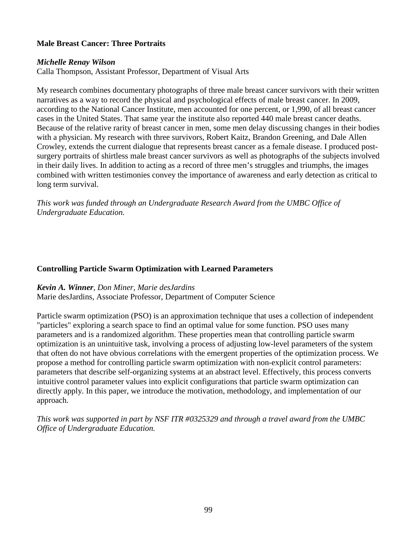### **Male Breast Cancer: Three Portraits**

#### *Michelle Renay Wilson*

Calla Thompson, Assistant Professor, Department of Visual Arts

My research combines documentary photographs of three male breast cancer survivors with their written narratives as a way to record the physical and psychological effects of male breast cancer. In 2009, according to the National Cancer Institute, men accounted for one percent, or 1,990, of all breast cancer cases in the United States. That same year the institute also reported 440 male breast cancer deaths. Because of the relative rarity of breast cancer in men, some men delay discussing changes in their bodies with a physician. My research with three survivors, Robert Kaitz, Brandon Greening, and Dale Allen Crowley, extends the current dialogue that represents breast cancer as a female disease. I produced postsurgery portraits of shirtless male breast cancer survivors as well as photographs of the subjects involved in their daily lives. In addition to acting as a record of three men's struggles and triumphs, the images combined with written testimonies convey the importance of awareness and early detection as critical to long term survival.

*This work was funded through an Undergraduate Research Award from the UMBC Office of Undergraduate Education.*

#### **Controlling Particle Swarm Optimization with Learned Parameters**

#### *Kevin A. Winner, Don Miner, Marie desJardins*

Marie desJardins, Associate Professor, Department of Computer Science

Particle swarm optimization (PSO) is an approximation technique that uses a collection of independent "particles" exploring a search space to find an optimal value for some function. PSO uses many parameters and is a randomized algorithm. These properties mean that controlling particle swarm optimization is an unintuitive task, involving a process of adjusting low-level parameters of the system that often do not have obvious correlations with the emergent properties of the optimization process. We propose a method for controlling particle swarm optimization with non-explicit control parameters: parameters that describe self-organizing systems at an abstract level. Effectively, this process converts intuitive control parameter values into explicit configurations that particle swarm optimization can directly apply. In this paper, we introduce the motivation, methodology, and implementation of our approach.

*This work was supported in part by NSF ITR #0325329 and through a travel award from the UMBC Office of Undergraduate Education.*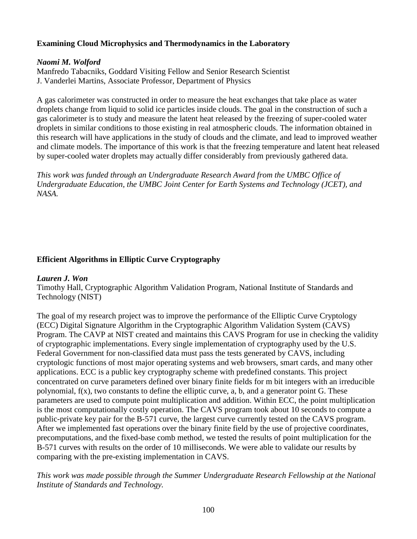# **Examining Cloud Microphysics and Thermodynamics in the Laboratory**

### *Naomi M. Wolford*

Manfredo Tabacniks, Goddard Visiting Fellow and Senior Research Scientist J. Vanderlei Martins, Associate Professor, Department of Physics

A gas calorimeter was constructed in order to measure the heat exchanges that take place as water droplets change from liquid to solid ice particles inside clouds. The goal in the construction of such a gas calorimeter is to study and measure the latent heat released by the freezing of super-cooled water droplets in similar conditions to those existing in real atmospheric clouds. The information obtained in this research will have applications in the study of clouds and the climate, and lead to improved weather and climate models. The importance of this work is that the freezing temperature and latent heat released by super-cooled water droplets may actually differ considerably from previously gathered data.

*This work was funded through an Undergraduate Research Award from the UMBC Office of Undergraduate Education, the UMBC Joint Center for Earth Systems and Technology (JCET), and NASA.*

# **Efficient Algorithms in Elliptic Curve Cryptography**

#### *Lauren J. Won*

Timothy Hall, Cryptographic Algorithm Validation Program, National Institute of Standards and Technology (NIST)

The goal of my research project was to improve the performance of the Elliptic Curve Cryptology (ECC) Digital Signature Algorithm in the Cryptographic Algorithm Validation System (CAVS) Program. The CAVP at NIST created and maintains this CAVS Program for use in checking the validity of cryptographic implementations. Every single implementation of cryptography used by the U.S. Federal Government for non-classified data must pass the tests generated by CAVS, including cryptologic functions of most major operating systems and web browsers, smart cards, and many other applications. ECC is a public key cryptography scheme with predefined constants. This project concentrated on curve parameters defined over binary finite fields for m bit integers with an irreducible polynomial,  $f(x)$ , two constants to define the elliptic curve, a, b, and a generator point G. These parameters are used to compute point multiplication and addition. Within ECC, the point multiplication is the most computationally costly operation. The CAVS program took about 10 seconds to compute a public-private key pair for the B-571 curve, the largest curve currently tested on the CAVS program. After we implemented fast operations over the binary finite field by the use of projective coordinates, precomputations, and the fixed-base comb method, we tested the results of point multiplication for the B-571 curves with results on the order of 10 milliseconds. We were able to validate our results by comparing with the pre-existing implementation in CAVS.

*This work was made possible through the Summer Undergraduate Research Fellowship at the National Institute of Standards and Technology.*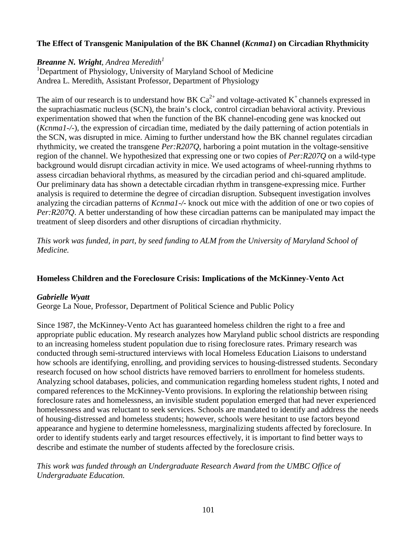# **The Effect of Transgenic Manipulation of the BK Channel (***Kcnma1***) on Circadian Rhythmicity**

# *Breanne N. Wright, Andrea Meredith*

<sup>1</sup>Department of Physiology, University of Maryland School of Medicine Andrea L. Meredith, Assistant Professor, Department of Physiology

The aim of our research is to understand how BK  $Ca^{2+}$  and voltage-activated K<sup>+</sup> channels expressed in the suprachiasmatic nucleus (SCN), the brain's clock, control circadian behavioral activity. Previous experimentation showed that when the function of the BK channel-encoding gene was knocked out (*Kcnma1-/-*), the expression of circadian time, mediated by the daily patterning of action potentials in the SCN, was disrupted in mice. Aiming to further understand how the BK channel regulates circadian rhythmicity, we created the transgene *Per:R207Q*, harboring a point mutation in the voltage-sensitive region of the channel. We hypothesized that expressing one or two copies of *Per:R207Q* on a wild-type background would disrupt circadian activity in mice. We used actograms of wheel-running rhythms to assess circadian behavioral rhythms, as measured by the circadian period and chi-squared amplitude. Our preliminary data has shown a detectable circadian rhythm in transgene-expressing mice. Further analysis is required to determine the degree of circadian disruption. Subsequent investigation involves analyzing the circadian patterns of *Kcnma1-/-* knock out mice with the addition of one or two copies of *Per:R207Q*. A better understanding of how these circadian patterns can be manipulated may impact the treatment of sleep disorders and other disruptions of circadian rhythmicity.

*This work was funded, in part, by seed funding to ALM from the University of Maryland School of Medicine.*

# **Homeless Children and the Foreclosure Crisis: Implications of the McKinney-Vento Act**

#### *Gabrielle Wyatt*

George La Noue, Professor, Department of Political Science and Public Policy

Since 1987, the McKinney-Vento Act has guaranteed homeless children the right to a free and appropriate public education. My research analyzes how Maryland public school districts are responding to an increasing homeless student population due to rising foreclosure rates. Primary research was conducted through semi-structured interviews with local Homeless Education Liaisons to understand how schools are identifying, enrolling, and providing services to housing-distressed students. Secondary research focused on how school districts have removed barriers to enrollment for homeless students. Analyzing school databases, policies, and communication regarding homeless student rights, I noted and compared references to the McKinney-Vento provisions. In exploring the relationship between rising foreclosure rates and homelessness, an invisible student population emerged that had never experienced homelessness and was reluctant to seek services. Schools are mandated to identify and address the needs of housing-distressed and homeless students; however, schools were hesitant to use factors beyond appearance and hygiene to determine homelessness, marginalizing students affected by foreclosure. In order to identify students early and target resources effectively, it is important to find better ways to describe and estimate the number of students affected by the foreclosure crisis.

*This work was funded through an Undergraduate Research Award from the UMBC Office of Undergraduate Education.*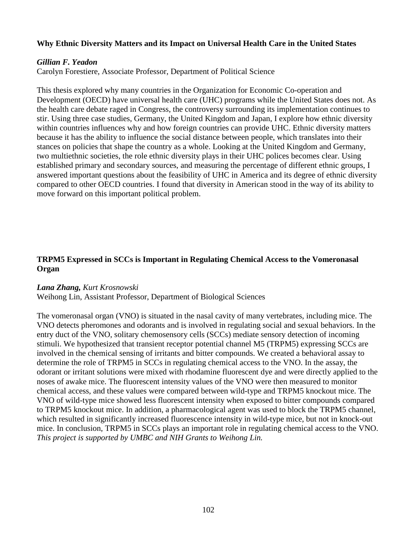### **Why Ethnic Diversity Matters and its Impact on Universal Health Care in the United States**

### *Gillian F. Yeadon*

Carolyn Forestiere, Associate Professor, Department of Political Science

This thesis explored why many countries in the Organization for Economic Co-operation and Development (OECD) have universal health care (UHC) programs while the United States does not. As the health care debate raged in Congress, the controversy surrounding its implementation continues to stir. Using three case studies, Germany, the United Kingdom and Japan, I explore how ethnic diversity within countries influences why and how foreign countries can provide UHC. Ethnic diversity matters because it has the ability to influence the social distance between people, which translates into their stances on policies that shape the country as a whole. Looking at the United Kingdom and Germany, two multiethnic societies, the role ethnic diversity plays in their UHC polices becomes clear. Using established primary and secondary sources, and measuring the percentage of different ethnic groups, I answered important questions about the feasibility of UHC in America and its degree of ethnic diversity compared to other OECD countries. I found that diversity in American stood in the way of its ability to move forward on this important political problem.

# **TRPM5 Expressed in SCCs is Important in Regulating Chemical Access to the Vomeronasal Organ**

#### *Lana Zhang, Kurt Krosnowski*

Weihong Lin, Assistant Professor, Department of Biological Sciences

The vomeronasal organ (VNO) is situated in the nasal cavity of many vertebrates, including mice. The VNO detects pheromones and odorants and is involved in regulating social and sexual behaviors. In the entry duct of the VNO, solitary chemosensory cells (SCCs) mediate sensory detection of incoming stimuli. We hypothesized that transient receptor potential channel M5 (TRPM5) expressing SCCs are involved in the chemical sensing of irritants and bitter compounds. We created a behavioral assay to determine the role of TRPM5 in SCCs in regulating chemical access to the VNO. In the assay, the odorant or irritant solutions were mixed with rhodamine fluorescent dye and were directly applied to the noses of awake mice. The fluorescent intensity values of the VNO were then measured to monitor chemical access, and these values were compared between wild-type and TRPM5 knockout mice. The VNO of wild-type mice showed less fluorescent intensity when exposed to bitter compounds compared to TRPM5 knockout mice. In addition, a pharmacological agent was used to block the TRPM5 channel, which resulted in significantly increased fluorescence intensity in wild-type mice, but not in knock-out mice. In conclusion, TRPM5 in SCCs plays an important role in regulating chemical access to the VNO. *This project is supported by UMBC and NIH Grants to Weihong Lin.*